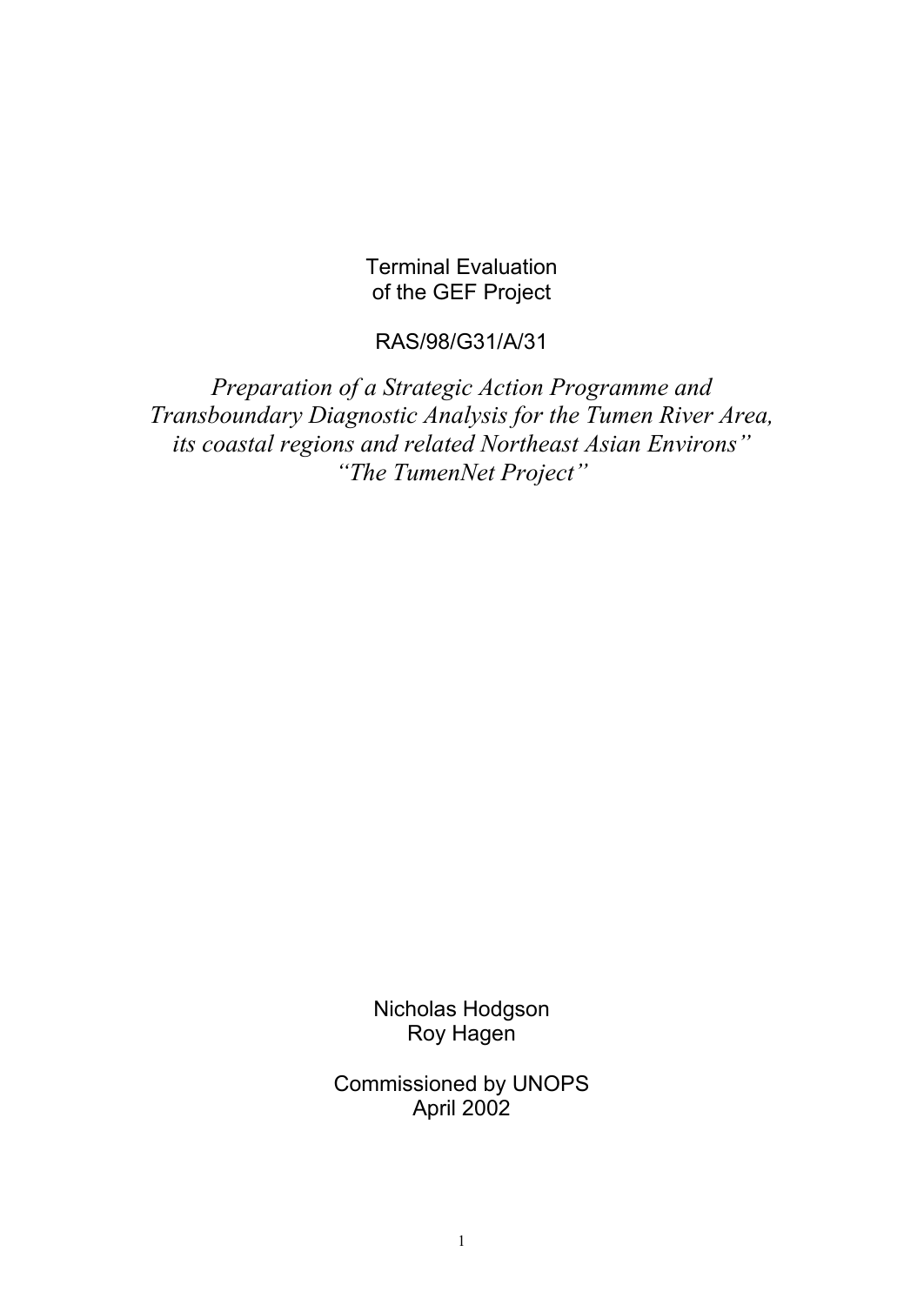Terminal Evaluation of the GEF Project

# RAS/98/G31/A/31

*Preparation of a Strategic Action Programme and Transboundary Diagnostic Analysis for the Tumen River Area, its coastal regions and related Northeast Asian Environs" "The TumenNet Project"*

> Nicholas Hodgson Roy Hagen

Commissioned by UNOPS April 2002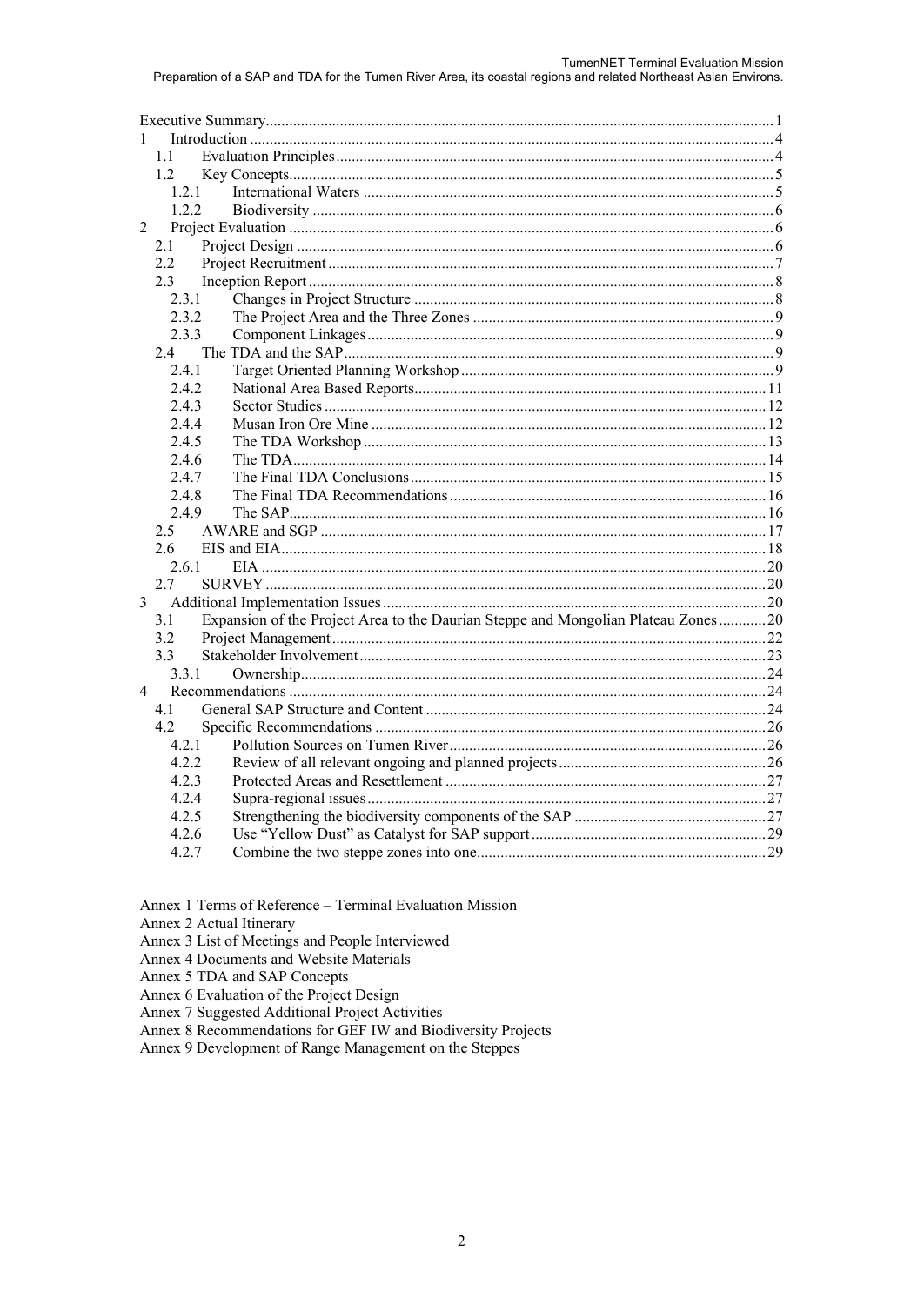| $\mathbf{1}$   |                                                                                   |  |  |  |  |
|----------------|-----------------------------------------------------------------------------------|--|--|--|--|
| 1.1            |                                                                                   |  |  |  |  |
| 1.2            |                                                                                   |  |  |  |  |
|                | 1.2.1                                                                             |  |  |  |  |
|                | 1.2.2                                                                             |  |  |  |  |
| $\overline{2}$ |                                                                                   |  |  |  |  |
| 2.1            |                                                                                   |  |  |  |  |
| 2.2            |                                                                                   |  |  |  |  |
| 2.3            |                                                                                   |  |  |  |  |
| 2.3.1          |                                                                                   |  |  |  |  |
| 2.3.2          |                                                                                   |  |  |  |  |
| 2.3.3          |                                                                                   |  |  |  |  |
| 2.4            |                                                                                   |  |  |  |  |
| 2.4.1          |                                                                                   |  |  |  |  |
| 2.4.2          |                                                                                   |  |  |  |  |
| 2.4.3          |                                                                                   |  |  |  |  |
| 2.4.4          |                                                                                   |  |  |  |  |
| 2.4.5          |                                                                                   |  |  |  |  |
| 2.4.6          |                                                                                   |  |  |  |  |
| 2.4.7          |                                                                                   |  |  |  |  |
| 2.4.8          |                                                                                   |  |  |  |  |
| 2.4.9          |                                                                                   |  |  |  |  |
| 2.5            |                                                                                   |  |  |  |  |
| 2.6            |                                                                                   |  |  |  |  |
| 2.6.1          |                                                                                   |  |  |  |  |
| 2.7            |                                                                                   |  |  |  |  |
| $\overline{3}$ |                                                                                   |  |  |  |  |
| 3.1            | Expansion of the Project Area to the Daurian Steppe and Mongolian Plateau Zones20 |  |  |  |  |
| 3.2            |                                                                                   |  |  |  |  |
| 3.3            |                                                                                   |  |  |  |  |
| 3.3.1          |                                                                                   |  |  |  |  |
| 4              |                                                                                   |  |  |  |  |
| 4.1            |                                                                                   |  |  |  |  |
| 4.2            |                                                                                   |  |  |  |  |
| 4.2.1          |                                                                                   |  |  |  |  |
| 4.2.2          |                                                                                   |  |  |  |  |
| 4.2.3          |                                                                                   |  |  |  |  |
| 4.2.4          |                                                                                   |  |  |  |  |
| 4.2.5          |                                                                                   |  |  |  |  |
| 4.2.6          |                                                                                   |  |  |  |  |
| 4.2.7          |                                                                                   |  |  |  |  |

Annex 1 Terms of Reference - Terminal Evaluation Mission

Annex 2 Actual Itinerary

Annex 3 List of Meetings and People Interviewed

Annex 4 Documents and Website Materials

Annex 5 TDA and SAP Concepts

Annex 6 Evaluation of the Project Design

Annex 7 Suggested Additional Project Activities

Annex 8 Recommendations for GEF IW and Biodiversity Projects

Annex 9 Development of Range Management on the Steppes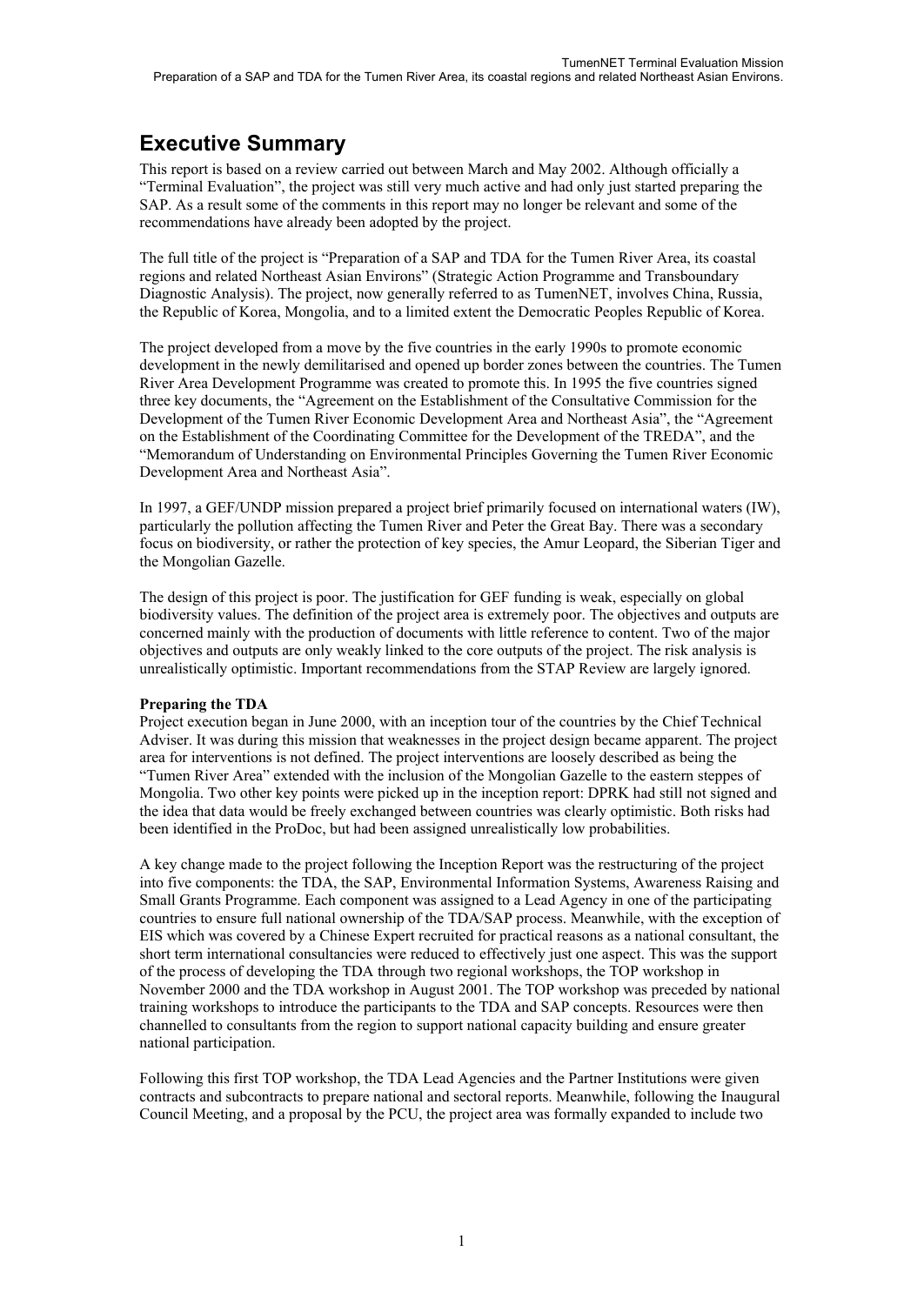# **Executive Summary**

This report is based on a review carried out between March and May 2002. Although officially a "Terminal Evaluation", the project was still very much active and had only just started preparing the SAP. As a result some of the comments in this report may no longer be relevant and some of the recommendations have already been adopted by the project.

The full title of the project is "Preparation of a SAP and TDA for the Tumen River Area, its coastal regions and related Northeast Asian Environs" (Strategic Action Programme and Transboundary Diagnostic Analysis). The project, now generally referred to as TumenNET, involves China, Russia, the Republic of Korea, Mongolia, and to a limited extent the Democratic Peoples Republic of Korea.

The project developed from a move by the five countries in the early 1990s to promote economic development in the newly demilitarised and opened up border zones between the countries. The Tumen River Area Development Programme was created to promote this. In 1995 the five countries signed three key documents, the "Agreement on the Establishment of the Consultative Commission for the Development of the Tumen River Economic Development Area and Northeast Asia", the "Agreement on the Establishment of the Coordinating Committee for the Development of the TREDA", and the "Memorandum of Understanding on Environmental Principles Governing the Tumen River Economic Development Area and Northeast Asia".

In 1997, a GEF/UNDP mission prepared a project brief primarily focused on international waters (IW), particularly the pollution affecting the Tumen River and Peter the Great Bay. There was a secondary focus on biodiversity, or rather the protection of key species, the Amur Leopard, the Siberian Tiger and the Mongolian Gazelle.

The design of this project is poor. The justification for GEF funding is weak, especially on global biodiversity values. The definition of the project area is extremely poor. The objectives and outputs are concerned mainly with the production of documents with little reference to content. Two of the major objectives and outputs are only weakly linked to the core outputs of the project. The risk analysis is unrealistically optimistic. Important recommendations from the STAP Review are largely ignored.

### **Preparing the TDA**

Project execution began in June 2000, with an inception tour of the countries by the Chief Technical Adviser. It was during this mission that weaknesses in the project design became apparent. The project area for interventions is not defined. The project interventions are loosely described as being the "Tumen River Area" extended with the inclusion of the Mongolian Gazelle to the eastern steppes of Mongolia. Two other key points were picked up in the inception report: DPRK had still not signed and the idea that data would be freely exchanged between countries was clearly optimistic. Both risks had been identified in the ProDoc, but had been assigned unrealistically low probabilities.

A key change made to the project following the Inception Report was the restructuring of the project into five components: the TDA, the SAP, Environmental Information Systems, Awareness Raising and Small Grants Programme. Each component was assigned to a Lead Agency in one of the participating countries to ensure full national ownership of the TDA/SAP process. Meanwhile, with the exception of EIS which was covered by a Chinese Expert recruited for practical reasons as a national consultant, the short term international consultancies were reduced to effectively just one aspect. This was the support of the process of developing the TDA through two regional workshops, the TOP workshop in November 2000 and the TDA workshop in August 2001. The TOP workshop was preceded by national training workshops to introduce the participants to the TDA and SAP concepts. Resources were then channelled to consultants from the region to support national capacity building and ensure greater national participation.

Following this first TOP workshop, the TDA Lead Agencies and the Partner Institutions were given contracts and subcontracts to prepare national and sectoral reports. Meanwhile, following the Inaugural Council Meeting, and a proposal by the PCU, the project area was formally expanded to include two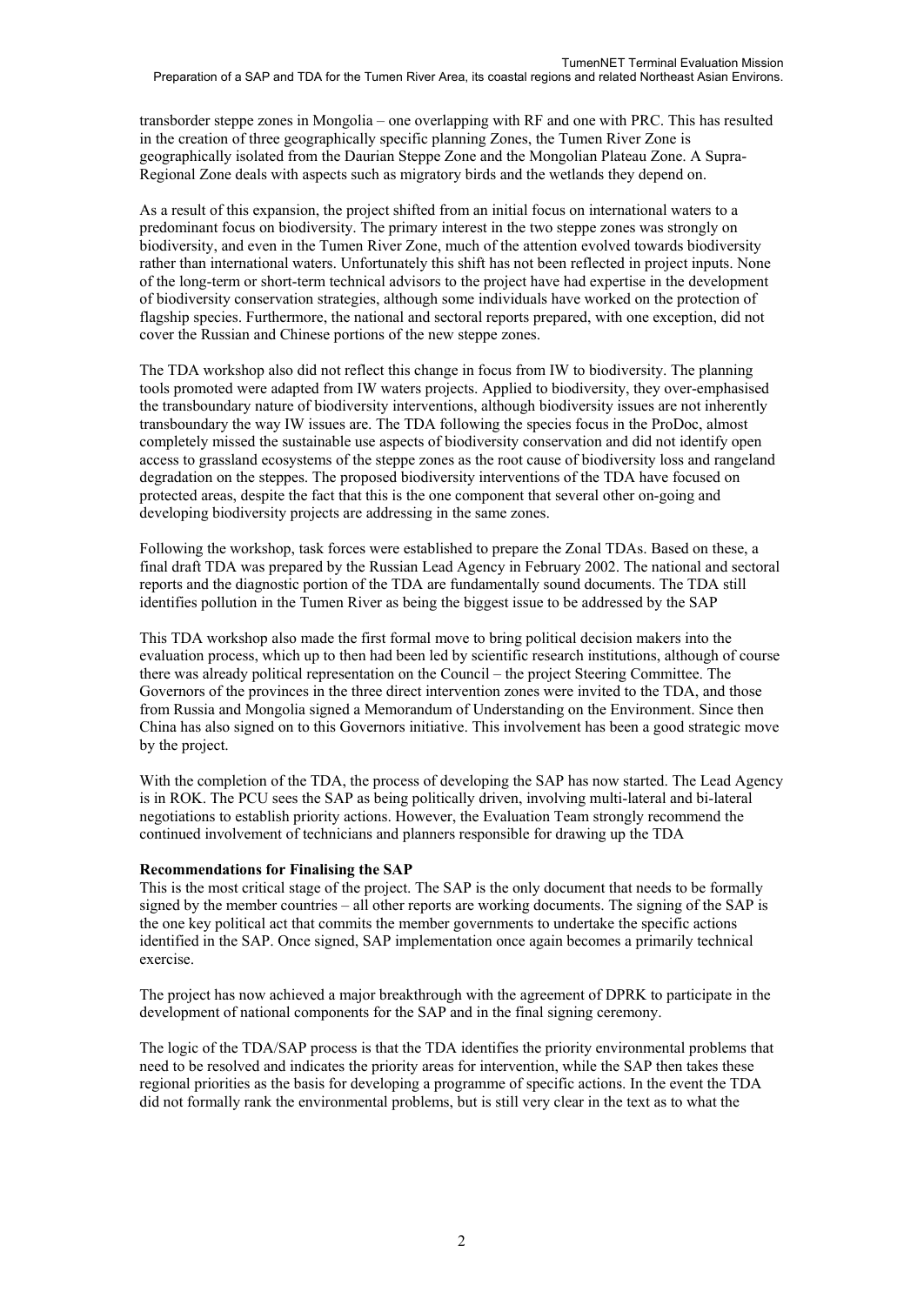transborder steppe zones in Mongolia – one overlapping with RF and one with PRC. This has resulted in the creation of three geographically specific planning Zones, the Tumen River Zone is geographically isolated from the Daurian Steppe Zone and the Mongolian Plateau Zone. A Supra-Regional Zone deals with aspects such as migratory birds and the wetlands they depend on.

As a result of this expansion, the project shifted from an initial focus on international waters to a predominant focus on biodiversity. The primary interest in the two steppe zones was strongly on biodiversity, and even in the Tumen River Zone, much of the attention evolved towards biodiversity rather than international waters. Unfortunately this shift has not been reflected in project inputs. None of the long-term or short-term technical advisors to the project have had expertise in the development of biodiversity conservation strategies, although some individuals have worked on the protection of flagship species. Furthermore, the national and sectoral reports prepared, with one exception, did not cover the Russian and Chinese portions of the new steppe zones.

The TDA workshop also did not reflect this change in focus from IW to biodiversity. The planning tools promoted were adapted from IW waters projects. Applied to biodiversity, they over-emphasised the transboundary nature of biodiversity interventions, although biodiversity issues are not inherently transboundary the way IW issues are. The TDA following the species focus in the ProDoc, almost completely missed the sustainable use aspects of biodiversity conservation and did not identify open access to grassland ecosystems of the steppe zones as the root cause of biodiversity loss and rangeland degradation on the steppes. The proposed biodiversity interventions of the TDA have focused on protected areas, despite the fact that this is the one component that several other on-going and developing biodiversity projects are addressing in the same zones.

Following the workshop, task forces were established to prepare the Zonal TDAs. Based on these, a final draft TDA was prepared by the Russian Lead Agency in February 2002. The national and sectoral reports and the diagnostic portion of the TDA are fundamentally sound documents. The TDA still identifies pollution in the Tumen River as being the biggest issue to be addressed by the SAP

This TDA workshop also made the first formal move to bring political decision makers into the evaluation process, which up to then had been led by scientific research institutions, although of course there was already political representation on the Council – the project Steering Committee. The Governors of the provinces in the three direct intervention zones were invited to the TDA, and those from Russia and Mongolia signed a Memorandum of Understanding on the Environment. Since then China has also signed on to this Governors initiative. This involvement has been a good strategic move by the project.

With the completion of the TDA, the process of developing the SAP has now started. The Lead Agency is in ROK. The PCU sees the SAP as being politically driven, involving multi-lateral and bi-lateral negotiations to establish priority actions. However, the Evaluation Team strongly recommend the continued involvement of technicians and planners responsible for drawing up the TDA

#### **Recommendations for Finalising the SAP**

This is the most critical stage of the project. The SAP is the only document that needs to be formally signed by the member countries – all other reports are working documents. The signing of the SAP is the one key political act that commits the member governments to undertake the specific actions identified in the SAP. Once signed, SAP implementation once again becomes a primarily technical exercise.

The project has now achieved a major breakthrough with the agreement of DPRK to participate in the development of national components for the SAP and in the final signing ceremony.

The logic of the TDA/SAP process is that the TDA identifies the priority environmental problems that need to be resolved and indicates the priority areas for intervention, while the SAP then takes these regional priorities as the basis for developing a programme of specific actions. In the event the TDA did not formally rank the environmental problems, but is still very clear in the text as to what the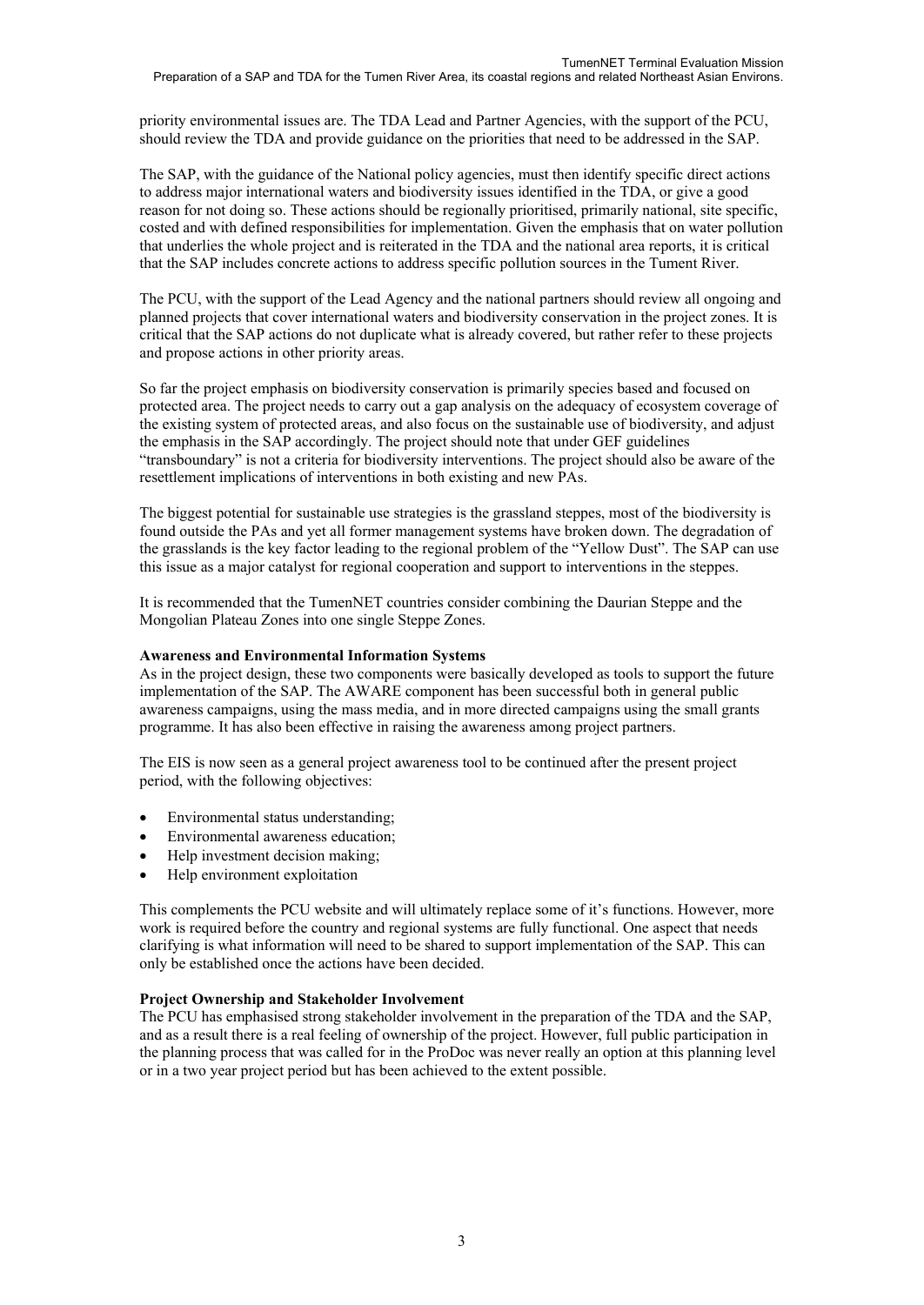priority environmental issues are. The TDA Lead and Partner Agencies, with the support of the PCU, should review the TDA and provide guidance on the priorities that need to be addressed in the SAP.

The SAP, with the guidance of the National policy agencies, must then identify specific direct actions to address major international waters and biodiversity issues identified in the TDA, or give a good reason for not doing so. These actions should be regionally prioritised, primarily national, site specific, costed and with defined responsibilities for implementation. Given the emphasis that on water pollution that underlies the whole project and is reiterated in the TDA and the national area reports, it is critical that the SAP includes concrete actions to address specific pollution sources in the Tument River.

The PCU, with the support of the Lead Agency and the national partners should review all ongoing and planned projects that cover international waters and biodiversity conservation in the project zones. It is critical that the SAP actions do not duplicate what is already covered, but rather refer to these projects and propose actions in other priority areas.

So far the project emphasis on biodiversity conservation is primarily species based and focused on protected area. The project needs to carry out a gap analysis on the adequacy of ecosystem coverage of the existing system of protected areas, and also focus on the sustainable use of biodiversity, and adjust the emphasis in the SAP accordingly. The project should note that under GEF guidelines "transboundary" is not a criteria for biodiversity interventions. The project should also be aware of the resettlement implications of interventions in both existing and new PAs.

The biggest potential for sustainable use strategies is the grassland steppes, most of the biodiversity is found outside the PAs and yet all former management systems have broken down. The degradation of the grasslands is the key factor leading to the regional problem of the "Yellow Dust". The SAP can use this issue as a major catalyst for regional cooperation and support to interventions in the steppes.

It is recommended that the TumenNET countries consider combining the Daurian Steppe and the Mongolian Plateau Zones into one single Steppe Zones.

#### **Awareness and Environmental Information Systems**

As in the project design, these two components were basically developed as tools to support the future implementation of the SAP. The AWARE component has been successful both in general public awareness campaigns, using the mass media, and in more directed campaigns using the small grants programme. It has also been effective in raising the awareness among project partners.

The EIS is now seen as a general project awareness tool to be continued after the present project period, with the following objectives:

- Environmental status understanding;
- Environmental awareness education;
- Help investment decision making;
- Help environment exploitation

This complements the PCU website and will ultimately replace some of it's functions. However, more work is required before the country and regional systems are fully functional. One aspect that needs clarifying is what information will need to be shared to support implementation of the SAP. This can only be established once the actions have been decided.

#### **Project Ownership and Stakeholder Involvement**

The PCU has emphasised strong stakeholder involvement in the preparation of the TDA and the SAP, and as a result there is a real feeling of ownership of the project. However, full public participation in the planning process that was called for in the ProDoc was never really an option at this planning level or in a two year project period but has been achieved to the extent possible.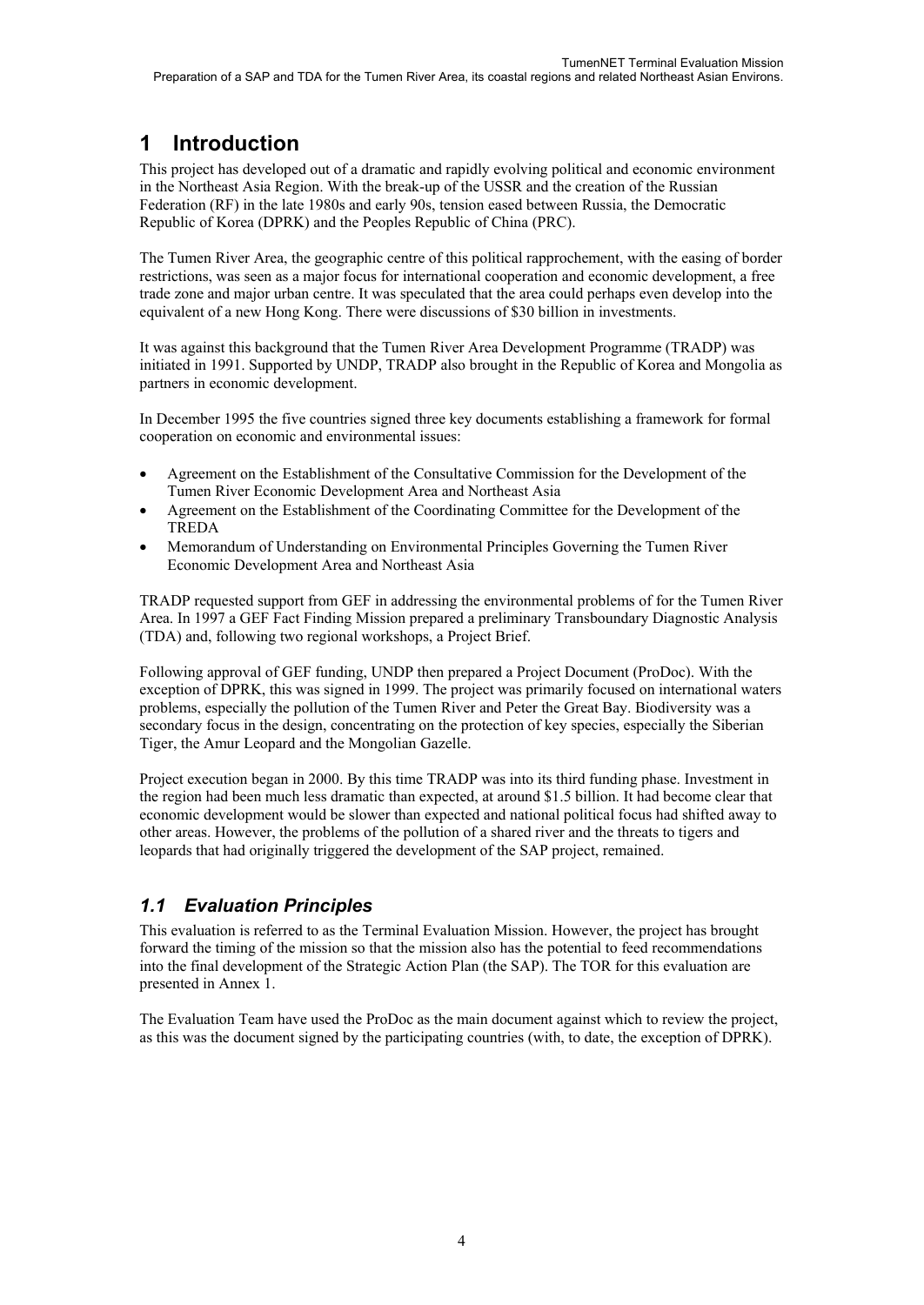# **1 Introduction**

This project has developed out of a dramatic and rapidly evolving political and economic environment in the Northeast Asia Region. With the break-up of the USSR and the creation of the Russian Federation (RF) in the late 1980s and early 90s, tension eased between Russia, the Democratic Republic of Korea (DPRK) and the Peoples Republic of China (PRC).

The Tumen River Area, the geographic centre of this political rapprochement, with the easing of border restrictions, was seen as a major focus for international cooperation and economic development, a free trade zone and major urban centre. It was speculated that the area could perhaps even develop into the equivalent of a new Hong Kong. There were discussions of \$30 billion in investments.

It was against this background that the Tumen River Area Development Programme (TRADP) was initiated in 1991. Supported by UNDP, TRADP also brought in the Republic of Korea and Mongolia as partners in economic development.

In December 1995 the five countries signed three key documents establishing a framework for formal cooperation on economic and environmental issues:

- Agreement on the Establishment of the Consultative Commission for the Development of the Tumen River Economic Development Area and Northeast Asia
- Agreement on the Establishment of the Coordinating Committee for the Development of the TREDA
- Memorandum of Understanding on Environmental Principles Governing the Tumen River Economic Development Area and Northeast Asia

TRADP requested support from GEF in addressing the environmental problems of for the Tumen River Area. In 1997 a GEF Fact Finding Mission prepared a preliminary Transboundary Diagnostic Analysis (TDA) and, following two regional workshops, a Project Brief.

Following approval of GEF funding, UNDP then prepared a Project Document (ProDoc). With the exception of DPRK, this was signed in 1999. The project was primarily focused on international waters problems, especially the pollution of the Tumen River and Peter the Great Bay. Biodiversity was a secondary focus in the design, concentrating on the protection of key species, especially the Siberian Tiger, the Amur Leopard and the Mongolian Gazelle.

Project execution began in 2000. By this time TRADP was into its third funding phase. Investment in the region had been much less dramatic than expected, at around \$1.5 billion. It had become clear that economic development would be slower than expected and national political focus had shifted away to other areas. However, the problems of the pollution of a shared river and the threats to tigers and leopards that had originally triggered the development of the SAP project, remained.

# *1.1 Evaluation Principles*

This evaluation is referred to as the Terminal Evaluation Mission. However, the project has brought forward the timing of the mission so that the mission also has the potential to feed recommendations into the final development of the Strategic Action Plan (the SAP). The TOR for this evaluation are presented in Annex 1.

The Evaluation Team have used the ProDoc as the main document against which to review the project, as this was the document signed by the participating countries (with, to date, the exception of DPRK).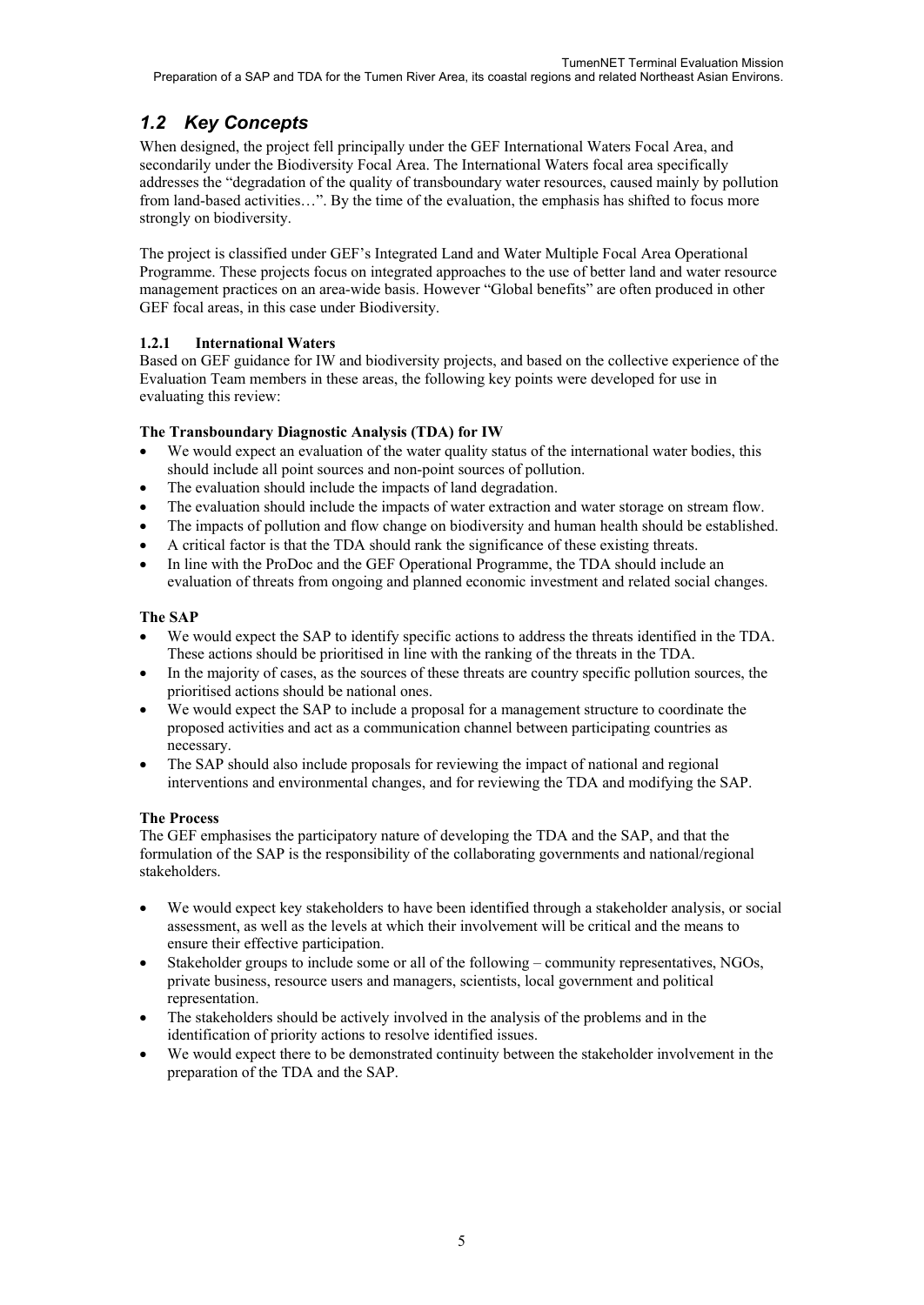# *1.2 Key Concepts*

When designed, the project fell principally under the GEF International Waters Focal Area, and secondarily under the Biodiversity Focal Area. The International Waters focal area specifically addresses the "degradation of the quality of transboundary water resources, caused mainly by pollution from land-based activities…". By the time of the evaluation, the emphasis has shifted to focus more strongly on biodiversity.

The project is classified under GEF's Integrated Land and Water Multiple Focal Area Operational Programme. These projects focus on integrated approaches to the use of better land and water resource management practices on an area-wide basis. However "Global benefits" are often produced in other GEF focal areas, in this case under Biodiversity.

## **1.2.1 International Waters**

Based on GEF guidance for IW and biodiversity projects, and based on the collective experience of the Evaluation Team members in these areas, the following key points were developed for use in evaluating this review:

## **The Transboundary Diagnostic Analysis (TDA) for IW**

- We would expect an evaluation of the water quality status of the international water bodies, this should include all point sources and non-point sources of pollution.
- The evaluation should include the impacts of land degradation.
- The evaluation should include the impacts of water extraction and water storage on stream flow.
- The impacts of pollution and flow change on biodiversity and human health should be established.
- A critical factor is that the TDA should rank the significance of these existing threats.
- In line with the ProDoc and the GEF Operational Programme, the TDA should include an evaluation of threats from ongoing and planned economic investment and related social changes.

## **The SAP**

- We would expect the SAP to identify specific actions to address the threats identified in the TDA. These actions should be prioritised in line with the ranking of the threats in the TDA.
- In the majority of cases, as the sources of these threats are country specific pollution sources, the prioritised actions should be national ones.
- We would expect the SAP to include a proposal for a management structure to coordinate the proposed activities and act as a communication channel between participating countries as necessary.
- The SAP should also include proposals for reviewing the impact of national and regional interventions and environmental changes, and for reviewing the TDA and modifying the SAP.

### **The Process**

The GEF emphasises the participatory nature of developing the TDA and the SAP, and that the formulation of the SAP is the responsibility of the collaborating governments and national/regional stakeholders.

- We would expect key stakeholders to have been identified through a stakeholder analysis, or social assessment, as well as the levels at which their involvement will be critical and the means to ensure their effective participation.
- Stakeholder groups to include some or all of the following community representatives, NGOs, private business, resource users and managers, scientists, local government and political representation.
- The stakeholders should be actively involved in the analysis of the problems and in the identification of priority actions to resolve identified issues.
- We would expect there to be demonstrated continuity between the stakeholder involvement in the preparation of the TDA and the SAP.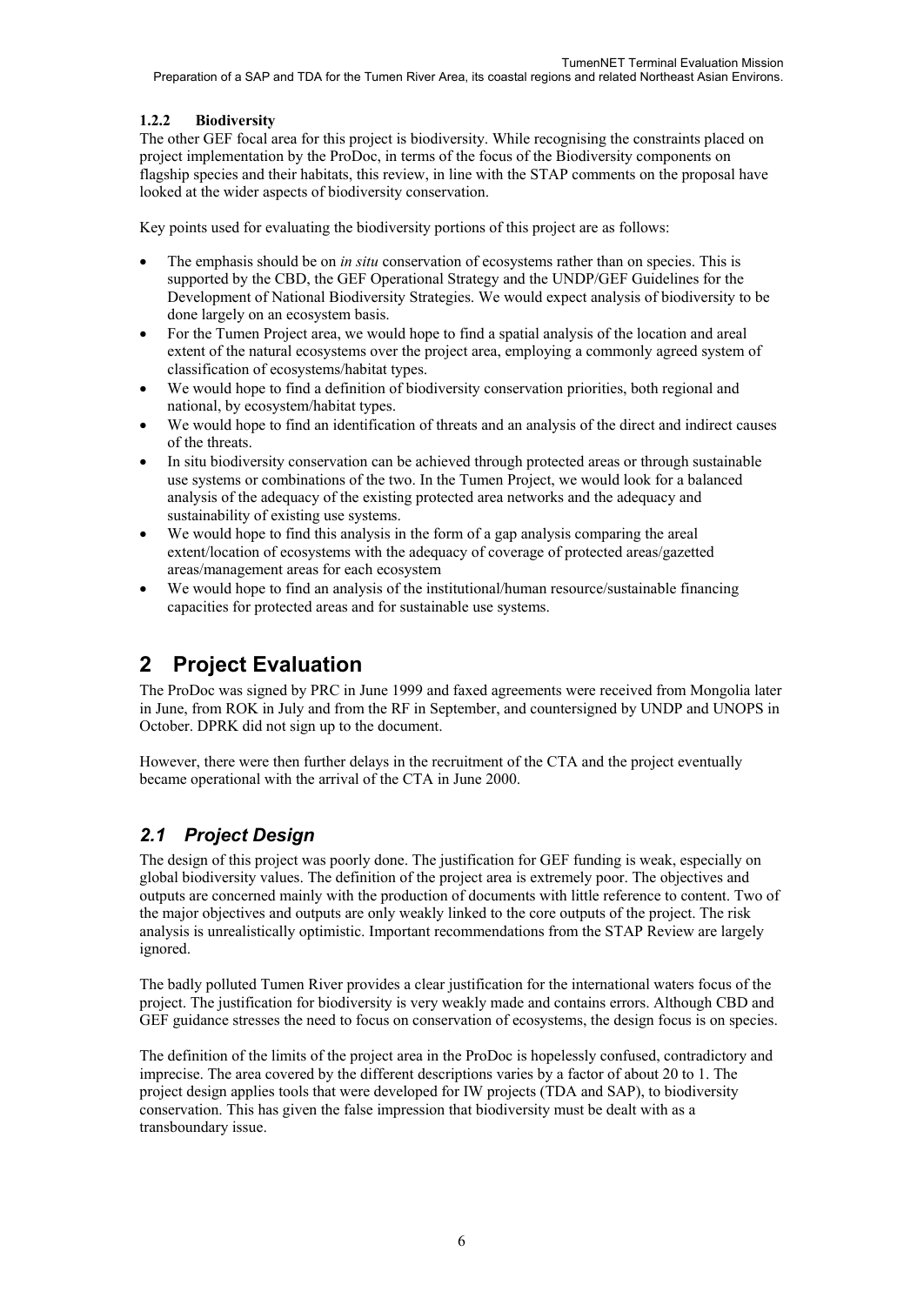### **1.2.2 Biodiversity**

The other GEF focal area for this project is biodiversity. While recognising the constraints placed on project implementation by the ProDoc, in terms of the focus of the Biodiversity components on flagship species and their habitats, this review, in line with the STAP comments on the proposal have looked at the wider aspects of biodiversity conservation.

Key points used for evaluating the biodiversity portions of this project are as follows:

- The emphasis should be on *in situ* conservation of ecosystems rather than on species. This is supported by the CBD, the GEF Operational Strategy and the UNDP/GEF Guidelines for the Development of National Biodiversity Strategies. We would expect analysis of biodiversity to be done largely on an ecosystem basis.
- For the Tumen Project area, we would hope to find a spatial analysis of the location and areal extent of the natural ecosystems over the project area, employing a commonly agreed system of classification of ecosystems/habitat types.
- We would hope to find a definition of biodiversity conservation priorities, both regional and national, by ecosystem/habitat types.
- We would hope to find an identification of threats and an analysis of the direct and indirect causes of the threats.
- In situ biodiversity conservation can be achieved through protected areas or through sustainable use systems or combinations of the two. In the Tumen Project, we would look for a balanced analysis of the adequacy of the existing protected area networks and the adequacy and sustainability of existing use systems.
- We would hope to find this analysis in the form of a gap analysis comparing the areal extent/location of ecosystems with the adequacy of coverage of protected areas/gazetted areas/management areas for each ecosystem
- We would hope to find an analysis of the institutional/human resource/sustainable financing capacities for protected areas and for sustainable use systems.

# **2 Project Evaluation**

The ProDoc was signed by PRC in June 1999 and faxed agreements were received from Mongolia later in June, from ROK in July and from the RF in September, and countersigned by UNDP and UNOPS in October. DPRK did not sign up to the document.

However, there were then further delays in the recruitment of the CTA and the project eventually became operational with the arrival of the CTA in June 2000.

# *2.1 Project Design*

The design of this project was poorly done. The justification for GEF funding is weak, especially on global biodiversity values. The definition of the project area is extremely poor. The objectives and outputs are concerned mainly with the production of documents with little reference to content. Two of the major objectives and outputs are only weakly linked to the core outputs of the project. The risk analysis is unrealistically optimistic. Important recommendations from the STAP Review are largely ignored.

The badly polluted Tumen River provides a clear justification for the international waters focus of the project. The justification for biodiversity is very weakly made and contains errors. Although CBD and GEF guidance stresses the need to focus on conservation of ecosystems, the design focus is on species.

The definition of the limits of the project area in the ProDoc is hopelessly confused, contradictory and imprecise. The area covered by the different descriptions varies by a factor of about 20 to 1. The project design applies tools that were developed for IW projects (TDA and SAP), to biodiversity conservation. This has given the false impression that biodiversity must be dealt with as a transboundary issue.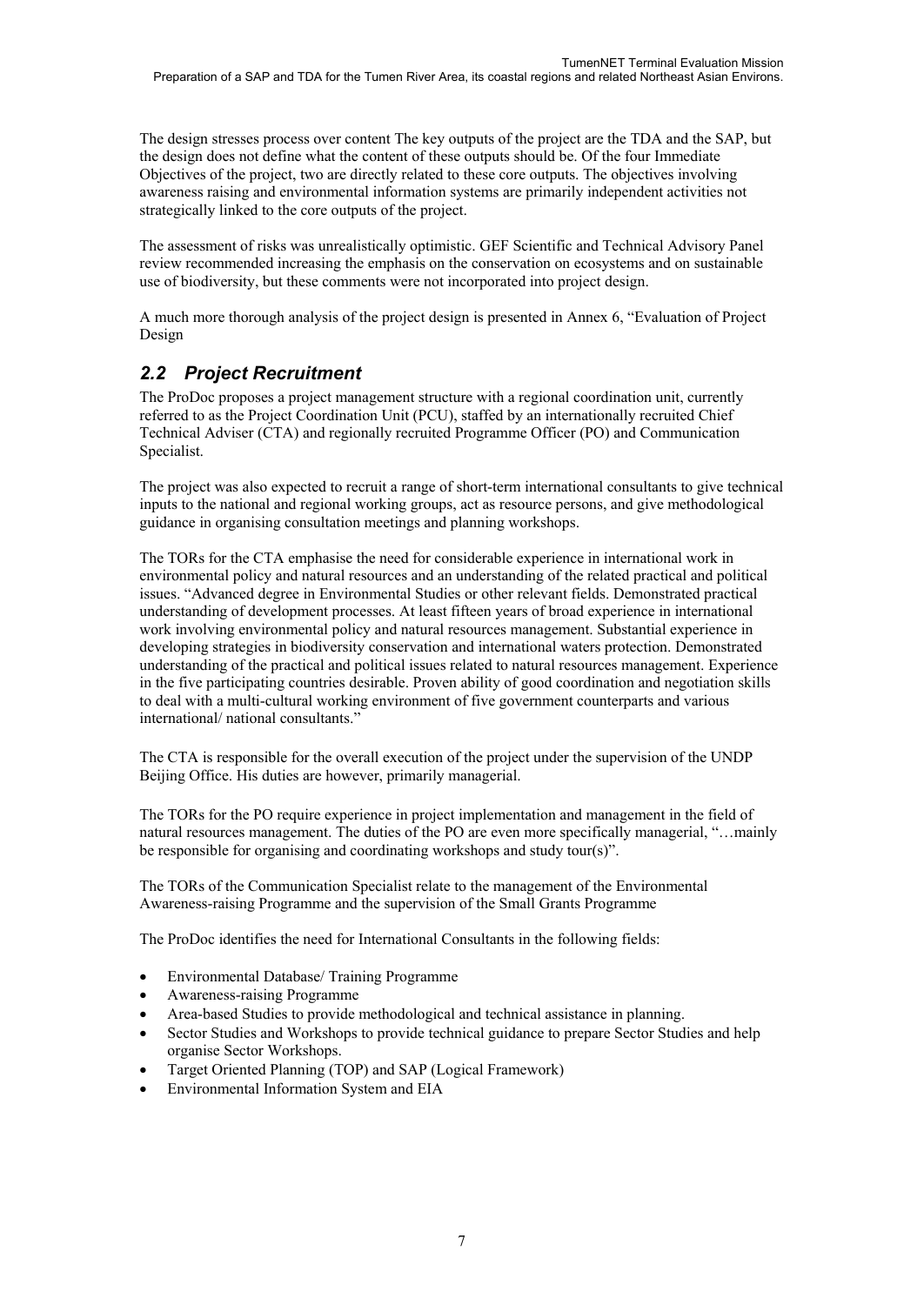The design stresses process over content The key outputs of the project are the TDA and the SAP, but the design does not define what the content of these outputs should be. Of the four Immediate Objectives of the project, two are directly related to these core outputs. The objectives involving awareness raising and environmental information systems are primarily independent activities not strategically linked to the core outputs of the project.

The assessment of risks was unrealistically optimistic. GEF Scientific and Technical Advisory Panel review recommended increasing the emphasis on the conservation on ecosystems and on sustainable use of biodiversity, but these comments were not incorporated into project design.

A much more thorough analysis of the project design is presented in Annex 6, "Evaluation of Project Design

# *2.2 Project Recruitment*

The ProDoc proposes a project management structure with a regional coordination unit, currently referred to as the Project Coordination Unit (PCU), staffed by an internationally recruited Chief Technical Adviser (CTA) and regionally recruited Programme Officer (PO) and Communication Specialist.

The project was also expected to recruit a range of short-term international consultants to give technical inputs to the national and regional working groups, act as resource persons, and give methodological guidance in organising consultation meetings and planning workshops.

The TORs for the CTA emphasise the need for considerable experience in international work in environmental policy and natural resources and an understanding of the related practical and political issues. "Advanced degree in Environmental Studies or other relevant fields. Demonstrated practical understanding of development processes. At least fifteen years of broad experience in international work involving environmental policy and natural resources management. Substantial experience in developing strategies in biodiversity conservation and international waters protection. Demonstrated understanding of the practical and political issues related to natural resources management. Experience in the five participating countries desirable. Proven ability of good coordination and negotiation skills to deal with a multi-cultural working environment of five government counterparts and various international/ national consultants."

The CTA is responsible for the overall execution of the project under the supervision of the UNDP Beijing Office. His duties are however, primarily managerial.

The TORs for the PO require experience in project implementation and management in the field of natural resources management. The duties of the PO are even more specifically managerial, "…mainly be responsible for organising and coordinating workshops and study tour(s)".

The TORs of the Communication Specialist relate to the management of the Environmental Awareness-raising Programme and the supervision of the Small Grants Programme

The ProDoc identifies the need for International Consultants in the following fields:

- Environmental Database/ Training Programme
- Awareness-raising Programme
- Area-based Studies to provide methodological and technical assistance in planning.
- Sector Studies and Workshops to provide technical guidance to prepare Sector Studies and help organise Sector Workshops.
- Target Oriented Planning (TOP) and SAP (Logical Framework)
- Environmental Information System and EIA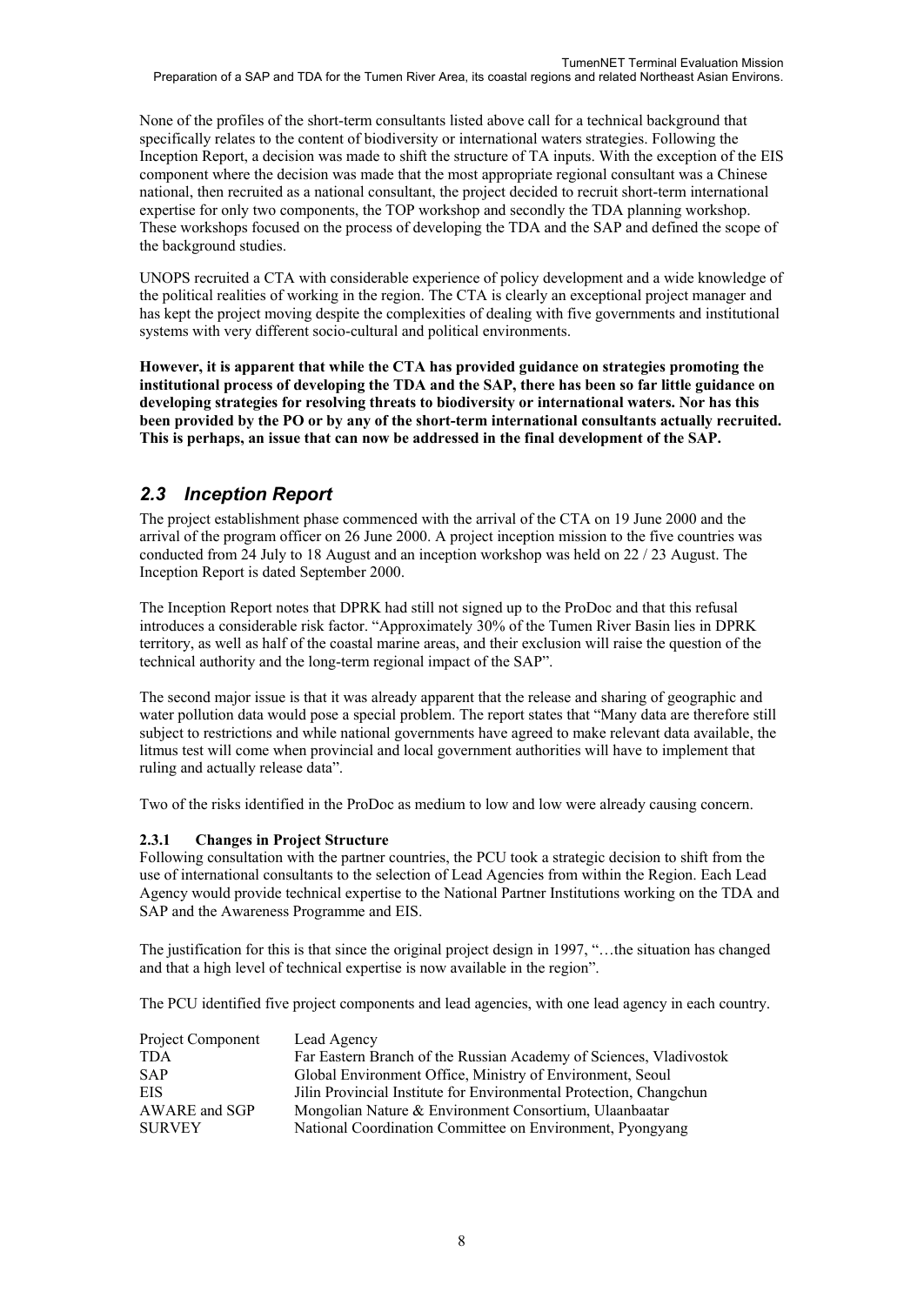None of the profiles of the short-term consultants listed above call for a technical background that specifically relates to the content of biodiversity or international waters strategies. Following the Inception Report, a decision was made to shift the structure of TA inputs. With the exception of the EIS component where the decision was made that the most appropriate regional consultant was a Chinese national, then recruited as a national consultant, the project decided to recruit short-term international expertise for only two components, the TOP workshop and secondly the TDA planning workshop. These workshops focused on the process of developing the TDA and the SAP and defined the scope of the background studies.

UNOPS recruited a CTA with considerable experience of policy development and a wide knowledge of the political realities of working in the region. The CTA is clearly an exceptional project manager and has kept the project moving despite the complexities of dealing with five governments and institutional systems with very different socio-cultural and political environments.

**However, it is apparent that while the CTA has provided guidance on strategies promoting the institutional process of developing the TDA and the SAP, there has been so far little guidance on developing strategies for resolving threats to biodiversity or international waters. Nor has this been provided by the PO or by any of the short-term international consultants actually recruited. This is perhaps, an issue that can now be addressed in the final development of the SAP.**

## *2.3 Inception Report*

The project establishment phase commenced with the arrival of the CTA on 19 June 2000 and the arrival of the program officer on 26 June 2000. A project inception mission to the five countries was conducted from 24 July to 18 August and an inception workshop was held on 22 / 23 August. The Inception Report is dated September 2000.

The Inception Report notes that DPRK had still not signed up to the ProDoc and that this refusal introduces a considerable risk factor. "Approximately 30% of the Tumen River Basin lies in DPRK territory, as well as half of the coastal marine areas, and their exclusion will raise the question of the technical authority and the long-term regional impact of the SAP".

The second major issue is that it was already apparent that the release and sharing of geographic and water pollution data would pose a special problem. The report states that "Many data are therefore still subject to restrictions and while national governments have agreed to make relevant data available, the litmus test will come when provincial and local government authorities will have to implement that ruling and actually release data".

Two of the risks identified in the ProDoc as medium to low and low were already causing concern.

### **2.3.1 Changes in Project Structure**

Following consultation with the partner countries, the PCU took a strategic decision to shift from the use of international consultants to the selection of Lead Agencies from within the Region. Each Lead Agency would provide technical expertise to the National Partner Institutions working on the TDA and SAP and the Awareness Programme and EIS.

The justification for this is that since the original project design in 1997, "…the situation has changed and that a high level of technical expertise is now available in the region".

The PCU identified five project components and lead agencies, with one lead agency in each country.

| Project Component | Lead Agency                                                        |
|-------------------|--------------------------------------------------------------------|
| <b>TDA</b>        | Far Eastern Branch of the Russian Academy of Sciences, Vladivostok |
| <b>SAP</b>        | Global Environment Office, Ministry of Environment, Seoul          |
| EIS.              | Jilin Provincial Institute for Environmental Protection, Changchun |
| AWARE and SGP     | Mongolian Nature & Environment Consortium, Ulaanbaatar             |
| <b>SURVEY</b>     | National Coordination Committee on Environment, Pyongyang          |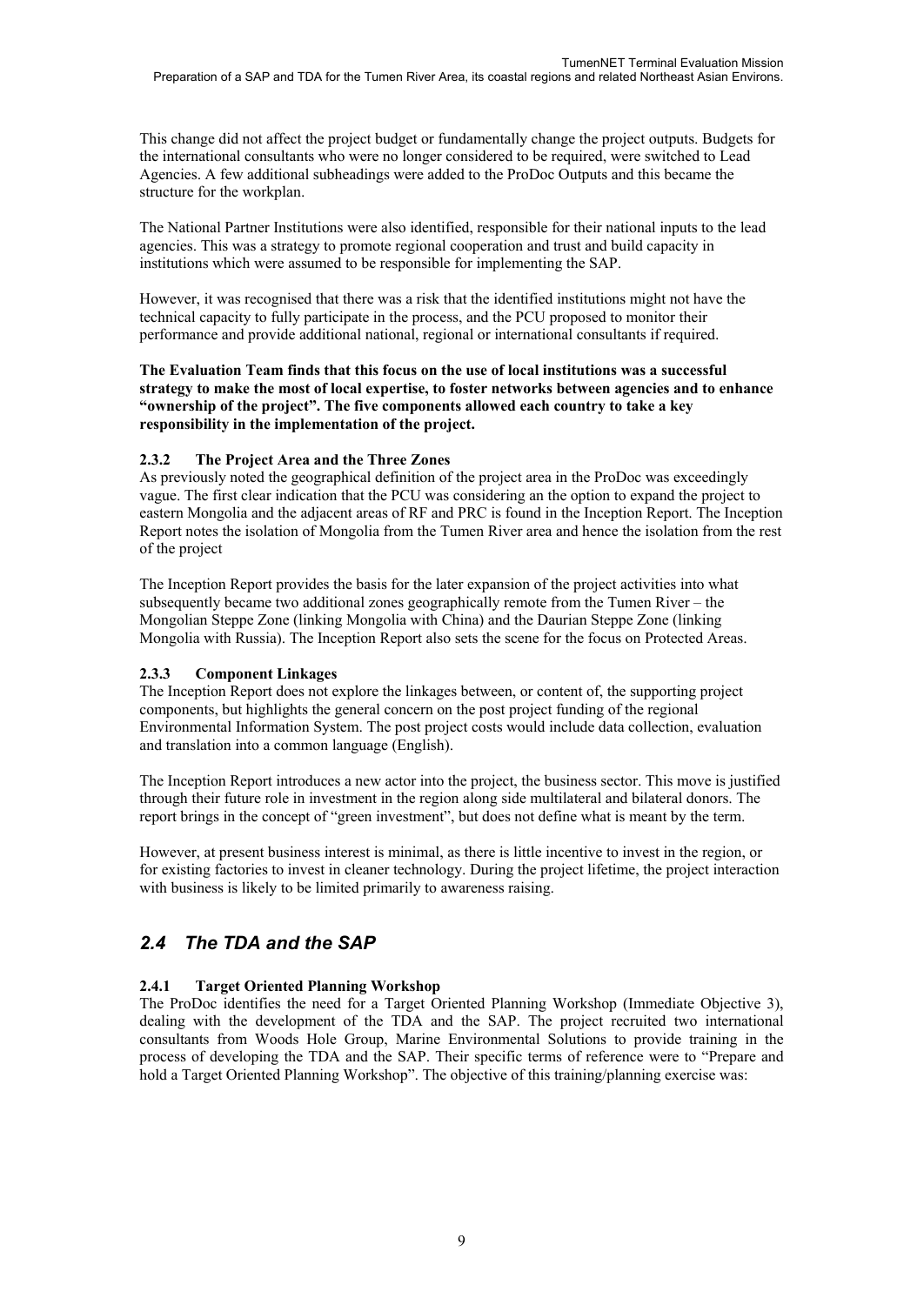This change did not affect the project budget or fundamentally change the project outputs. Budgets for the international consultants who were no longer considered to be required, were switched to Lead Agencies. A few additional subheadings were added to the ProDoc Outputs and this became the structure for the workplan.

The National Partner Institutions were also identified, responsible for their national inputs to the lead agencies. This was a strategy to promote regional cooperation and trust and build capacity in institutions which were assumed to be responsible for implementing the SAP.

However, it was recognised that there was a risk that the identified institutions might not have the technical capacity to fully participate in the process, and the PCU proposed to monitor their performance and provide additional national, regional or international consultants if required.

#### **The Evaluation Team finds that this focus on the use of local institutions was a successful strategy to make the most of local expertise, to foster networks between agencies and to enhance "ownership of the project". The five components allowed each country to take a key responsibility in the implementation of the project.**

### **2.3.2 The Project Area and the Three Zones**

As previously noted the geographical definition of the project area in the ProDoc was exceedingly vague. The first clear indication that the PCU was considering an the option to expand the project to eastern Mongolia and the adjacent areas of RF and PRC is found in the Inception Report. The Inception Report notes the isolation of Mongolia from the Tumen River area and hence the isolation from the rest of the project

The Inception Report provides the basis for the later expansion of the project activities into what subsequently became two additional zones geographically remote from the Tumen River – the Mongolian Steppe Zone (linking Mongolia with China) and the Daurian Steppe Zone (linking Mongolia with Russia). The Inception Report also sets the scene for the focus on Protected Areas.

### **2.3.3 Component Linkages**

The Inception Report does not explore the linkages between, or content of, the supporting project components, but highlights the general concern on the post project funding of the regional Environmental Information System. The post project costs would include data collection, evaluation and translation into a common language (English).

The Inception Report introduces a new actor into the project, the business sector. This move is justified through their future role in investment in the region along side multilateral and bilateral donors. The report brings in the concept of "green investment", but does not define what is meant by the term.

However, at present business interest is minimal, as there is little incentive to invest in the region, or for existing factories to invest in cleaner technology. During the project lifetime, the project interaction with business is likely to be limited primarily to awareness raising.

## *2.4 The TDA and the SAP*

### **2.4.1 Target Oriented Planning Workshop**

The ProDoc identifies the need for a Target Oriented Planning Workshop (Immediate Objective 3), dealing with the development of the TDA and the SAP. The project recruited two international consultants from Woods Hole Group, Marine Environmental Solutions to provide training in the process of developing the TDA and the SAP. Their specific terms of reference were to "Prepare and hold a Target Oriented Planning Workshop". The objective of this training/planning exercise was: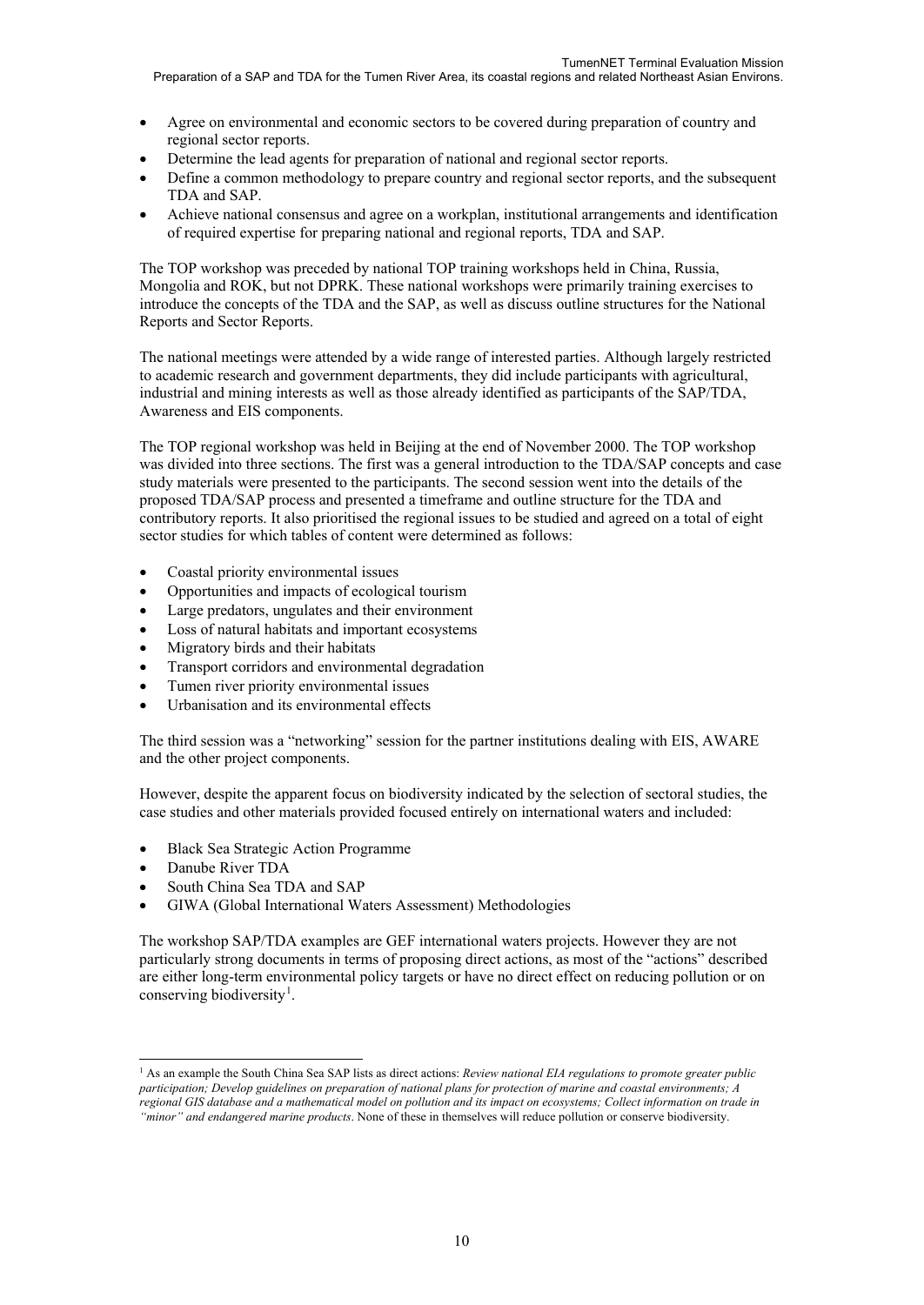#### Preparation of a SAP and TDA for the Tumen River Area, its coastal regions and related Northeast Asian Environs.

- Agree on environmental and economic sectors to be covered during preparation of country and regional sector reports.
- Determine the lead agents for preparation of national and regional sector reports.
- Define a common methodology to prepare country and regional sector reports, and the subsequent TDA and SAP.
- Achieve national consensus and agree on a workplan, institutional arrangements and identification of required expertise for preparing national and regional reports, TDA and SAP.

The TOP workshop was preceded by national TOP training workshops held in China, Russia, Mongolia and ROK, but not DPRK. These national workshops were primarily training exercises to introduce the concepts of the TDA and the SAP, as well as discuss outline structures for the National Reports and Sector Reports.

The national meetings were attended by a wide range of interested parties. Although largely restricted to academic research and government departments, they did include participants with agricultural, industrial and mining interests as well as those already identified as participants of the SAP/TDA, Awareness and EIS components.

The TOP regional workshop was held in Beijing at the end of November 2000. The TOP workshop was divided into three sections. The first was a general introduction to the TDA/SAP concepts and case study materials were presented to the participants. The second session went into the details of the proposed TDA/SAP process and presented a timeframe and outline structure for the TDA and contributory reports. It also prioritised the regional issues to be studied and agreed on a total of eight sector studies for which tables of content were determined as follows:

- Coastal priority environmental issues
- Opportunities and impacts of ecological tourism
- Large predators, ungulates and their environment
- Loss of natural habitats and important ecosystems
- Migratory birds and their habitats
- Transport corridors and environmental degradation
- Tumen river priority environmental issues
- Urbanisation and its environmental effects

The third session was a "networking" session for the partner institutions dealing with EIS, AWARE and the other project components.

However, despite the apparent focus on biodiversity indicated by the selection of sectoral studies, the case studies and other materials provided focused entirely on international waters and included:

- Black Sea Strategic Action Programme
- Danube River TDA

-

- South China Sea TDA and SAP
- GIWA (Global International Waters Assessment) Methodologies

The workshop SAP/TDA examples are GEF international waters projects. However they are not particularly strong documents in terms of proposing direct actions, as most of the "actions" described are either long-term environmental policy targets or have no direct effect on reducing pollution or on conserving biodiversity<sup>[1](#page-11-0)</sup>.

<span id="page-11-0"></span><sup>&</sup>lt;sup>1</sup> As an example the South China Sea SAP lists as direct actions: *Review national EIA regulations to promote greater public participation; Develop guidelines on preparation of national plans for protection of marine and coastal environments; A regional GIS database and a mathematical model on pollution and its impact on ecosystems; Collect information on trade in "minor" and endangered marine products*. None of these in themselves will reduce pollution or conserve biodiversity.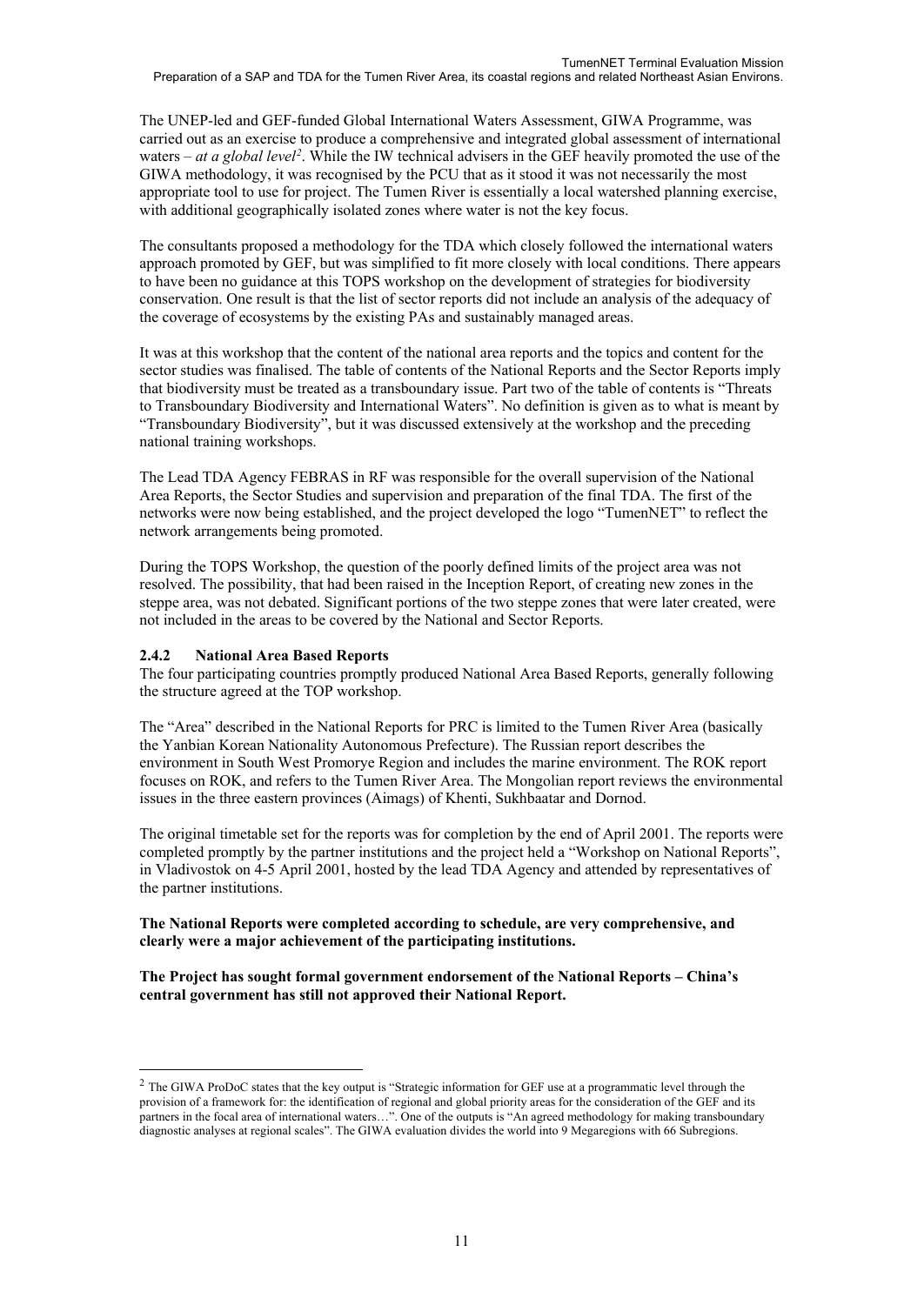The UNEP-led and GEF-funded Global International Waters Assessment, GIWA Programme, was carried out as an exercise to produce a comprehensive and integrated global assessment of international waters – *at a global level*<sup>[2](#page-12-0)</sup>. While the IW technical advisers in the GEF heavily promoted the use of the GIWA methodology, it was recognised by the PCU that as it stood it was not necessarily the most appropriate tool to use for project. The Tumen River is essentially a local watershed planning exercise, with additional geographically isolated zones where water is not the key focus.

The consultants proposed a methodology for the TDA which closely followed the international waters approach promoted by GEF, but was simplified to fit more closely with local conditions. There appears to have been no guidance at this TOPS workshop on the development of strategies for biodiversity conservation. One result is that the list of sector reports did not include an analysis of the adequacy of the coverage of ecosystems by the existing PAs and sustainably managed areas.

It was at this workshop that the content of the national area reports and the topics and content for the sector studies was finalised. The table of contents of the National Reports and the Sector Reports imply that biodiversity must be treated as a transboundary issue. Part two of the table of contents is "Threats to Transboundary Biodiversity and International Waters". No definition is given as to what is meant by "Transboundary Biodiversity", but it was discussed extensively at the workshop and the preceding national training workshops.

The Lead TDA Agency FEBRAS in RF was responsible for the overall supervision of the National Area Reports, the Sector Studies and supervision and preparation of the final TDA. The first of the networks were now being established, and the project developed the logo "TumenNET" to reflect the network arrangements being promoted.

During the TOPS Workshop, the question of the poorly defined limits of the project area was not resolved. The possibility, that had been raised in the Inception Report, of creating new zones in the steppe area, was not debated. Significant portions of the two steppe zones that were later created, were not included in the areas to be covered by the National and Sector Reports.

#### **2.4.2 National Area Based Reports**

-

The four participating countries promptly produced National Area Based Reports, generally following the structure agreed at the TOP workshop.

The "Area" described in the National Reports for PRC is limited to the Tumen River Area (basically the Yanbian Korean Nationality Autonomous Prefecture). The Russian report describes the environment in South West Promorye Region and includes the marine environment. The ROK report focuses on ROK, and refers to the Tumen River Area. The Mongolian report reviews the environmental issues in the three eastern provinces (Aimags) of Khenti, Sukhbaatar and Dornod.

The original timetable set for the reports was for completion by the end of April 2001. The reports were completed promptly by the partner institutions and the project held a "Workshop on National Reports", in Vladivostok on 4-5 April 2001, hosted by the lead TDA Agency and attended by representatives of the partner institutions.

#### **The National Reports were completed according to schedule, are very comprehensive, and clearly were a major achievement of the participating institutions.**

**The Project has sought formal government endorsement of the National Reports – China's central government has still not approved their National Report.**

<span id="page-12-0"></span><sup>&</sup>lt;sup>2</sup> The GIWA ProDoC states that the key output is "Strategic information for GEF use at a programmatic level through the provision of a framework for: the identification of regional and global priority areas for the consideration of the GEF and its partners in the focal area of international waters…". One of the outputs is "An agreed methodology for making transboundary diagnostic analyses at regional scales". The GIWA evaluation divides the world into 9 Megaregions with 66 Subregions.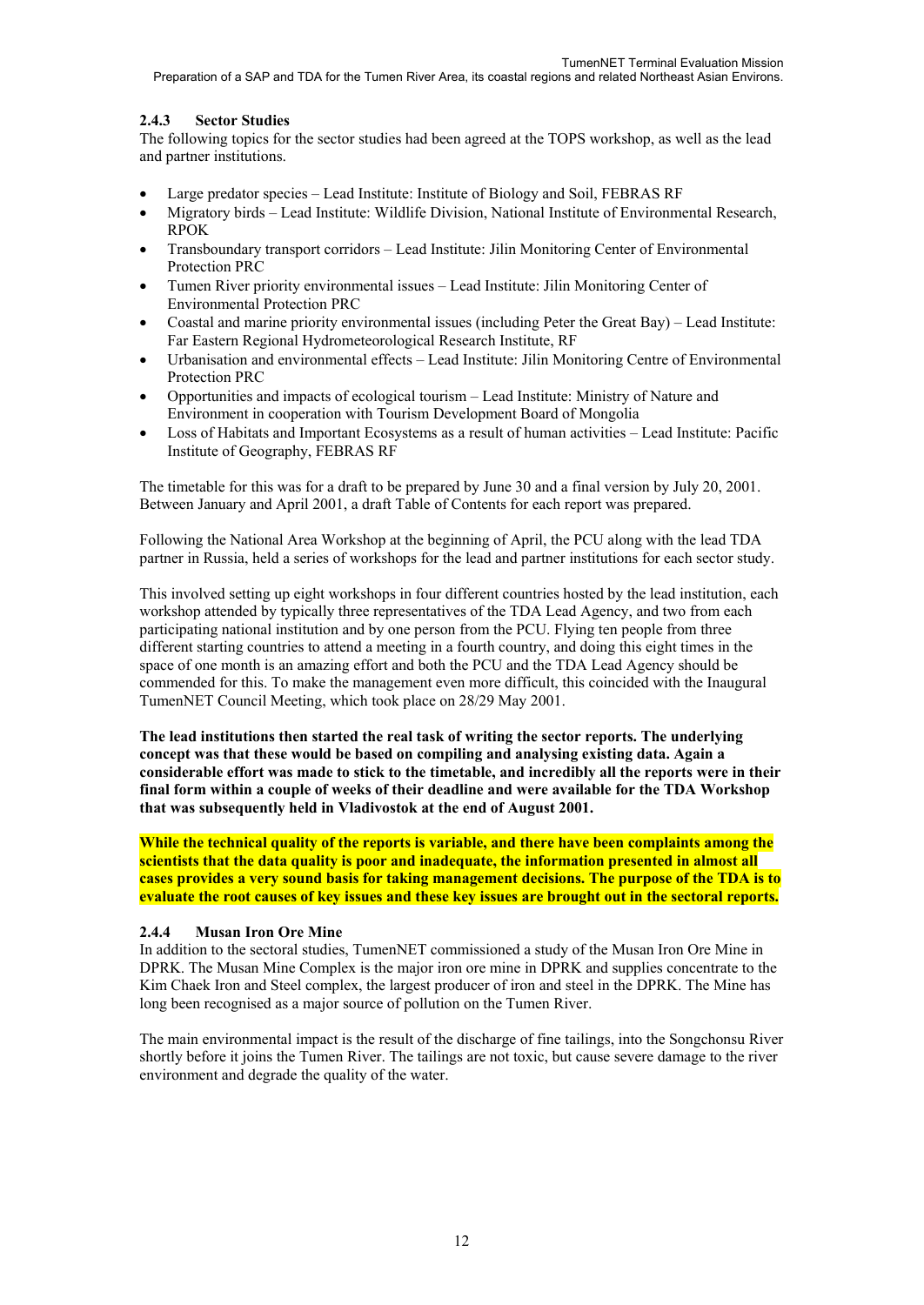### **2.4.3 Sector Studies**

The following topics for the sector studies had been agreed at the TOPS workshop, as well as the lead and partner institutions.

- Large predator species Lead Institute: Institute of Biology and Soil, FEBRAS RF
- Migratory birds Lead Institute: Wildlife Division, National Institute of Environmental Research, RPOK
- Transboundary transport corridors Lead Institute: Jilin Monitoring Center of Environmental Protection PRC
- Tumen River priority environmental issues Lead Institute: Jilin Monitoring Center of Environmental Protection PRC
- Coastal and marine priority environmental issues (including Peter the Great Bay) Lead Institute: Far Eastern Regional Hydrometeorological Research Institute, RF
- Urbanisation and environmental effects Lead Institute: Jilin Monitoring Centre of Environmental Protection PRC
- Opportunities and impacts of ecological tourism Lead Institute: Ministry of Nature and Environment in cooperation with Tourism Development Board of Mongolia
- Loss of Habitats and Important Ecosystems as a result of human activities Lead Institute: Pacific Institute of Geography, FEBRAS RF

The timetable for this was for a draft to be prepared by June 30 and a final version by July 20, 2001. Between January and April 2001, a draft Table of Contents for each report was prepared.

Following the National Area Workshop at the beginning of April, the PCU along with the lead TDA partner in Russia, held a series of workshops for the lead and partner institutions for each sector study.

This involved setting up eight workshops in four different countries hosted by the lead institution, each workshop attended by typically three representatives of the TDA Lead Agency, and two from each participating national institution and by one person from the PCU. Flying ten people from three different starting countries to attend a meeting in a fourth country, and doing this eight times in the space of one month is an amazing effort and both the PCU and the TDA Lead Agency should be commended for this. To make the management even more difficult, this coincided with the Inaugural TumenNET Council Meeting, which took place on 28/29 May 2001.

**The lead institutions then started the real task of writing the sector reports. The underlying concept was that these would be based on compiling and analysing existing data. Again a considerable effort was made to stick to the timetable, and incredibly all the reports were in their final form within a couple of weeks of their deadline and were available for the TDA Workshop that was subsequently held in Vladivostok at the end of August 2001.**

**While the technical quality of the reports is variable, and there have been complaints among the scientists that the data quality is poor and inadequate, the information presented in almost all cases provides a very sound basis for taking management decisions. The purpose of the TDA is to evaluate the root causes of key issues and these key issues are brought out in the sectoral reports.** 

### **2.4.4 Musan Iron Ore Mine**

In addition to the sectoral studies, TumenNET commissioned a study of the Musan Iron Ore Mine in DPRK. The Musan Mine Complex is the major iron ore mine in DPRK and supplies concentrate to the Kim Chaek Iron and Steel complex, the largest producer of iron and steel in the DPRK. The Mine has long been recognised as a major source of pollution on the Tumen River.

The main environmental impact is the result of the discharge of fine tailings, into the Songchonsu River shortly before it joins the Tumen River. The tailings are not toxic, but cause severe damage to the river environment and degrade the quality of the water.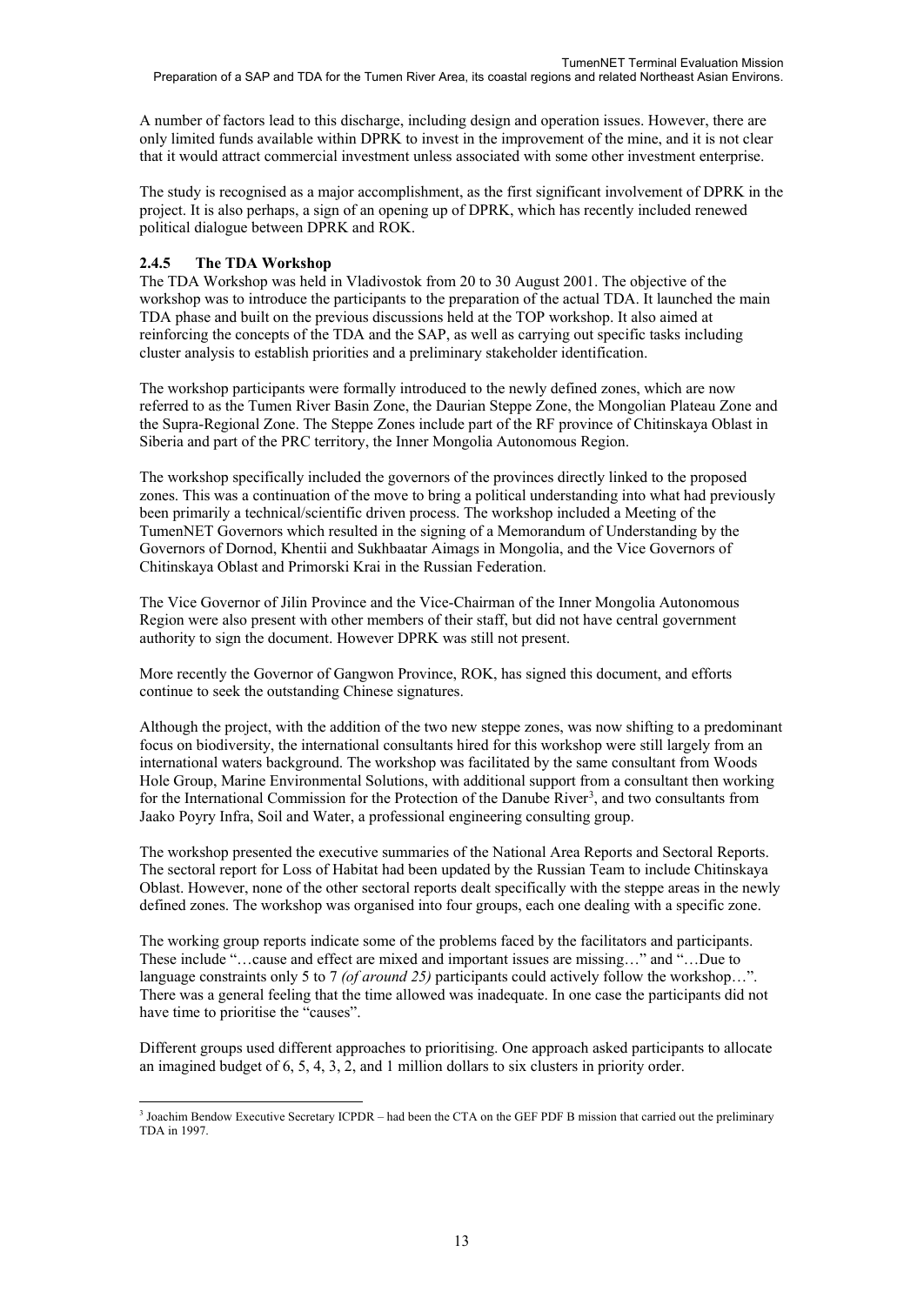A number of factors lead to this discharge, including design and operation issues. However, there are only limited funds available within DPRK to invest in the improvement of the mine, and it is not clear that it would attract commercial investment unless associated with some other investment enterprise.

The study is recognised as a major accomplishment, as the first significant involvement of DPRK in the project. It is also perhaps, a sign of an opening up of DPRK, which has recently included renewed political dialogue between DPRK and ROK.

### **2.4.5 The TDA Workshop**

The TDA Workshop was held in Vladivostok from 20 to 30 August 2001. The objective of the workshop was to introduce the participants to the preparation of the actual TDA. It launched the main TDA phase and built on the previous discussions held at the TOP workshop. It also aimed at reinforcing the concepts of the TDA and the SAP, as well as carrying out specific tasks including cluster analysis to establish priorities and a preliminary stakeholder identification.

The workshop participants were formally introduced to the newly defined zones, which are now referred to as the Tumen River Basin Zone, the Daurian Steppe Zone, the Mongolian Plateau Zone and the Supra-Regional Zone. The Steppe Zones include part of the RF province of Chitinskaya Oblast in Siberia and part of the PRC territory, the Inner Mongolia Autonomous Region.

The workshop specifically included the governors of the provinces directly linked to the proposed zones. This was a continuation of the move to bring a political understanding into what had previously been primarily a technical/scientific driven process. The workshop included a Meeting of the TumenNET Governors which resulted in the signing of a Memorandum of Understanding by the Governors of Dornod, Khentii and Sukhbaatar Aimags in Mongolia, and the Vice Governors of Chitinskaya Oblast and Primorski Krai in the Russian Federation.

The Vice Governor of Jilin Province and the Vice-Chairman of the Inner Mongolia Autonomous Region were also present with other members of their staff, but did not have central government authority to sign the document. However DPRK was still not present.

More recently the Governor of Gangwon Province, ROK, has signed this document, and efforts continue to seek the outstanding Chinese signatures.

Although the project, with the addition of the two new steppe zones, was now shifting to a predominant focus on biodiversity, the international consultants hired for this workshop were still largely from an international waters background. The workshop was facilitated by the same consultant from Woods Hole Group, Marine Environmental Solutions, with additional support from a consultant then working for the International Commission for the Protection of the Danube River<sup>[3](#page-14-0)</sup>, and two consultants from Jaako Poyry Infra, Soil and Water, a professional engineering consulting group.

The workshop presented the executive summaries of the National Area Reports and Sectoral Reports. The sectoral report for Loss of Habitat had been updated by the Russian Team to include Chitinskaya Oblast. However, none of the other sectoral reports dealt specifically with the steppe areas in the newly defined zones. The workshop was organised into four groups, each one dealing with a specific zone.

The working group reports indicate some of the problems faced by the facilitators and participants. These include "…cause and effect are mixed and important issues are missing…" and "…Due to language constraints only 5 to 7 *(of around 25)* participants could actively follow the workshop…". There was a general feeling that the time allowed was inadequate. In one case the participants did not have time to prioritise the "causes".

Different groups used different approaches to prioritising. One approach asked participants to allocate an imagined budget of 6, 5, 4, 3, 2, and 1 million dollars to six clusters in priority order.

<span id="page-14-0"></span><sup>-</sup><sup>3</sup> Joachim Bendow Executive Secretary ICPDR – had been the CTA on the GEF PDF B mission that carried out the preliminary TDA in 1997.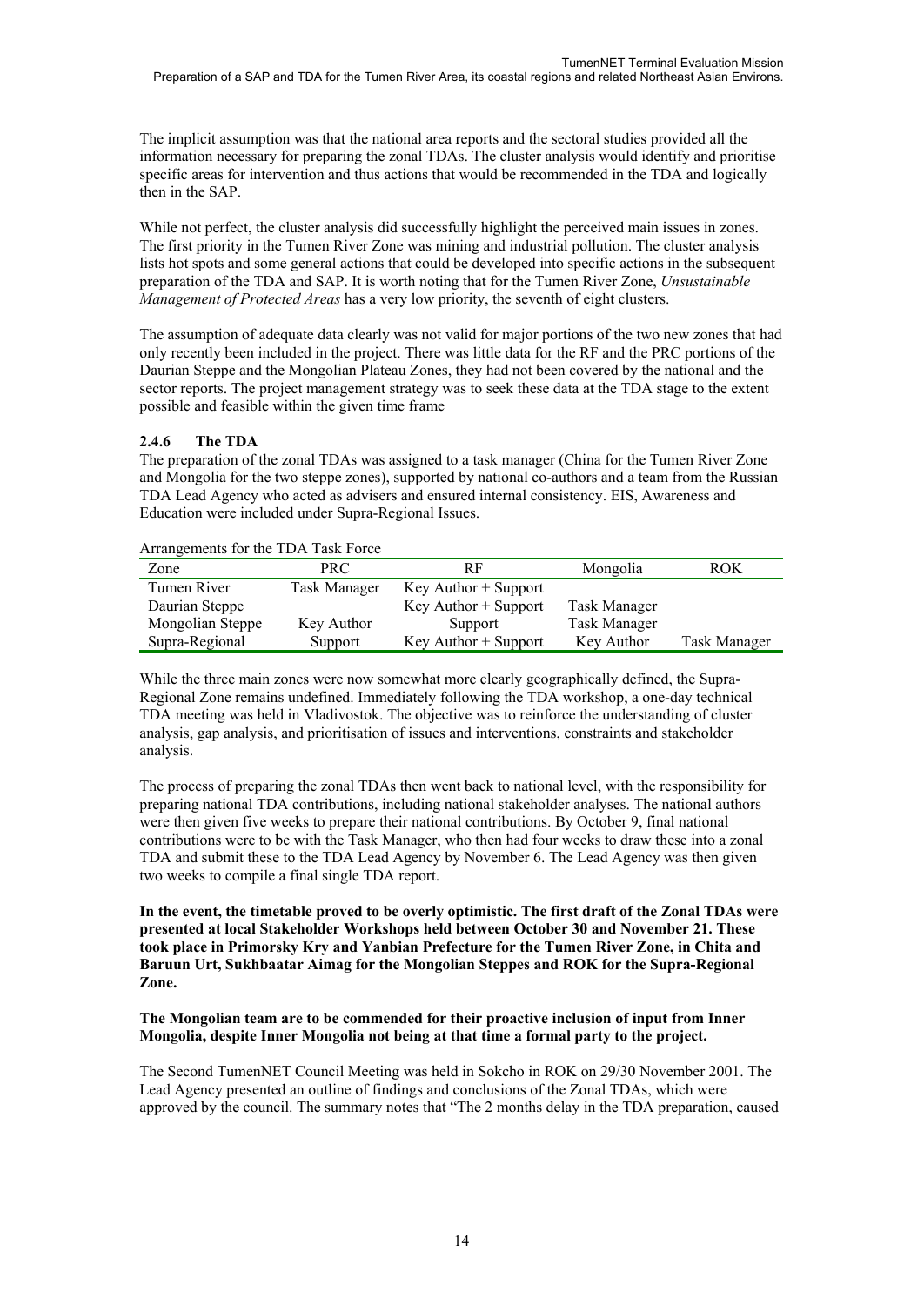The implicit assumption was that the national area reports and the sectoral studies provided all the information necessary for preparing the zonal TDAs. The cluster analysis would identify and prioritise specific areas for intervention and thus actions that would be recommended in the TDA and logically then in the SAP.

While not perfect, the cluster analysis did successfully highlight the perceived main issues in zones. The first priority in the Tumen River Zone was mining and industrial pollution. The cluster analysis lists hot spots and some general actions that could be developed into specific actions in the subsequent preparation of the TDA and SAP. It is worth noting that for the Tumen River Zone, *Unsustainable Management of Protected Areas* has a very low priority, the seventh of eight clusters.

The assumption of adequate data clearly was not valid for major portions of the two new zones that had only recently been included in the project. There was little data for the RF and the PRC portions of the Daurian Steppe and the Mongolian Plateau Zones, they had not been covered by the national and the sector reports. The project management strategy was to seek these data at the TDA stage to the extent possible and feasible within the given time frame

### **2.4.6 The TDA**

The preparation of the zonal TDAs was assigned to a task manager (China for the Tumen River Zone and Mongolia for the two steppe zones), supported by national co-authors and a team from the Russian TDA Lead Agency who acted as advisers and ensured internal consistency. EIS, Awareness and Education were included under Supra-Regional Issues.

| Zone             | PRC          | RF                       | Mongolia            | ROK          |
|------------------|--------------|--------------------------|---------------------|--------------|
| Tumen River      | Task Manager | $Key$ Author $+$ Support |                     |              |
| Daurian Steppe   |              | $Key$ Author + Support   | Task Manager        |              |
| Mongolian Steppe | Key Author   | Support                  | <b>Task Manager</b> |              |
| Supra-Regional   | Support      | $Key$ Author $+$ Support | Key Author          | Task Manager |

#### Arrangements for the TDA Task Force

While the three main zones were now somewhat more clearly geographically defined, the Supra-Regional Zone remains undefined. Immediately following the TDA workshop, a one-day technical TDA meeting was held in Vladivostok. The objective was to reinforce the understanding of cluster analysis, gap analysis, and prioritisation of issues and interventions, constraints and stakeholder analysis.

The process of preparing the zonal TDAs then went back to national level, with the responsibility for preparing national TDA contributions, including national stakeholder analyses. The national authors were then given five weeks to prepare their national contributions. By October 9, final national contributions were to be with the Task Manager, who then had four weeks to draw these into a zonal TDA and submit these to the TDA Lead Agency by November 6. The Lead Agency was then given two weeks to compile a final single TDA report.

**In the event, the timetable proved to be overly optimistic. The first draft of the Zonal TDAs were presented at local Stakeholder Workshops held between October 30 and November 21. These took place in Primorsky Kry and Yanbian Prefecture for the Tumen River Zone, in Chita and Baruun Urt, Sukhbaatar Aimag for the Mongolian Steppes and ROK for the Supra-Regional Zone.** 

#### **The Mongolian team are to be commended for their proactive inclusion of input from Inner Mongolia, despite Inner Mongolia not being at that time a formal party to the project.**

The Second TumenNET Council Meeting was held in Sokcho in ROK on 29/30 November 2001. The Lead Agency presented an outline of findings and conclusions of the Zonal TDAs, which were approved by the council. The summary notes that "The 2 months delay in the TDA preparation, caused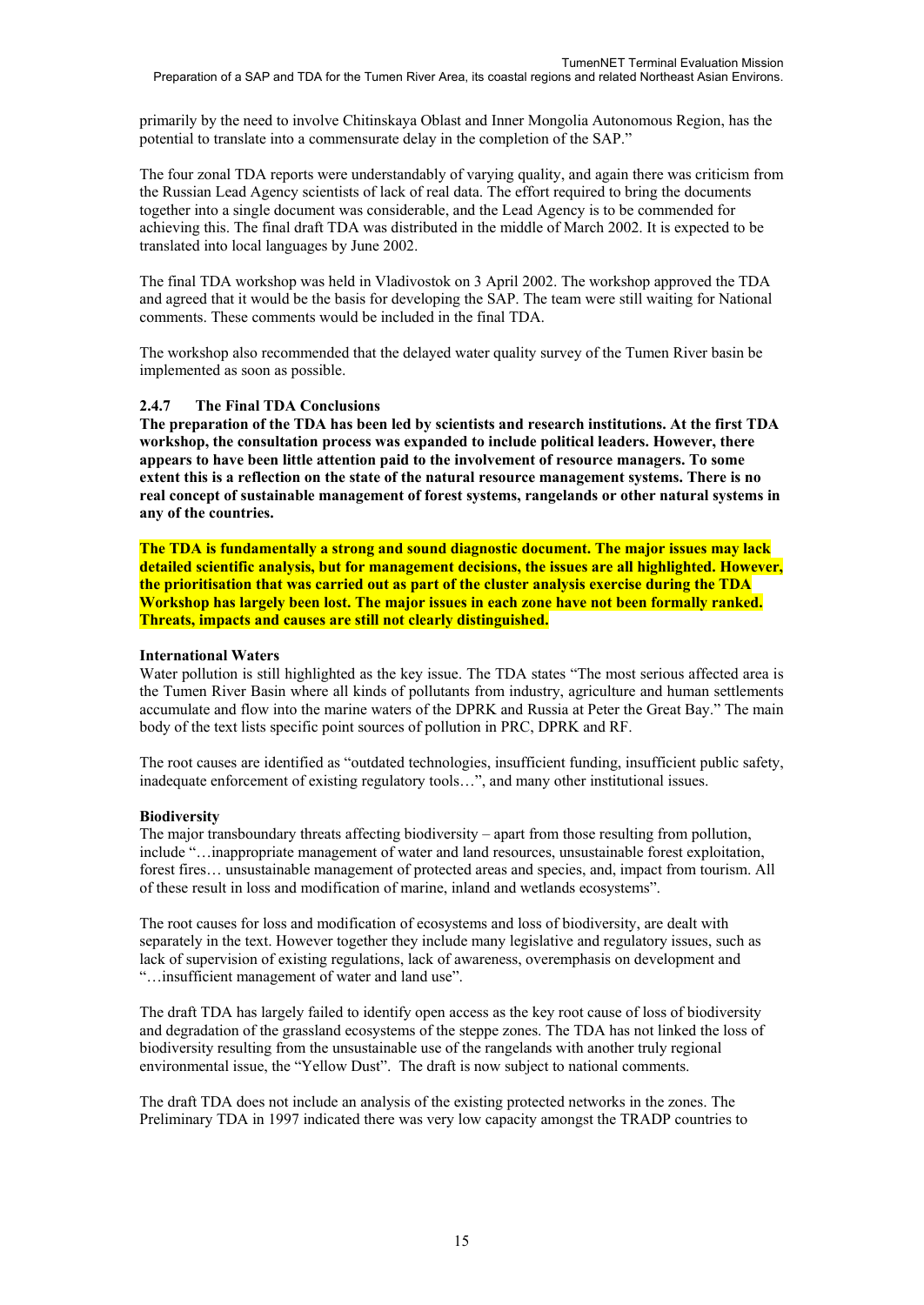primarily by the need to involve Chitinskaya Oblast and Inner Mongolia Autonomous Region, has the potential to translate into a commensurate delay in the completion of the SAP."

The four zonal TDA reports were understandably of varying quality, and again there was criticism from the Russian Lead Agency scientists of lack of real data. The effort required to bring the documents together into a single document was considerable, and the Lead Agency is to be commended for achieving this. The final draft TDA was distributed in the middle of March 2002. It is expected to be translated into local languages by June 2002.

The final TDA workshop was held in Vladivostok on 3 April 2002. The workshop approved the TDA and agreed that it would be the basis for developing the SAP. The team were still waiting for National comments. These comments would be included in the final TDA.

The workshop also recommended that the delayed water quality survey of the Tumen River basin be implemented as soon as possible.

#### **2.4.7 The Final TDA Conclusions**

**The preparation of the TDA has been led by scientists and research institutions. At the first TDA workshop, the consultation process was expanded to include political leaders. However, there appears to have been little attention paid to the involvement of resource managers. To some extent this is a reflection on the state of the natural resource management systems. There is no real concept of sustainable management of forest systems, rangelands or other natural systems in any of the countries.** 

**The TDA is fundamentally a strong and sound diagnostic document. The major issues may lack detailed scientific analysis, but for management decisions, the issues are all highlighted. However, the prioritisation that was carried out as part of the cluster analysis exercise during the TDA Workshop has largely been lost. The major issues in each zone have not been formally ranked. Threats, impacts and causes are still not clearly distinguished.** 

#### **International Waters**

Water pollution is still highlighted as the key issue. The TDA states "The most serious affected area is the Tumen River Basin where all kinds of pollutants from industry, agriculture and human settlements accumulate and flow into the marine waters of the DPRK and Russia at Peter the Great Bay." The main body of the text lists specific point sources of pollution in PRC, DPRK and RF.

The root causes are identified as "outdated technologies, insufficient funding, insufficient public safety, inadequate enforcement of existing regulatory tools…", and many other institutional issues.

#### **Biodiversity**

The major transboundary threats affecting biodiversity – apart from those resulting from pollution, include "…inappropriate management of water and land resources, unsustainable forest exploitation, forest fires… unsustainable management of protected areas and species, and, impact from tourism. All of these result in loss and modification of marine, inland and wetlands ecosystems".

The root causes for loss and modification of ecosystems and loss of biodiversity, are dealt with separately in the text. However together they include many legislative and regulatory issues, such as lack of supervision of existing regulations, lack of awareness, overemphasis on development and "…insufficient management of water and land use".

The draft TDA has largely failed to identify open access as the key root cause of loss of biodiversity and degradation of the grassland ecosystems of the steppe zones. The TDA has not linked the loss of biodiversity resulting from the unsustainable use of the rangelands with another truly regional environmental issue, the "Yellow Dust". The draft is now subject to national comments.

The draft TDA does not include an analysis of the existing protected networks in the zones. The Preliminary TDA in 1997 indicated there was very low capacity amongst the TRADP countries to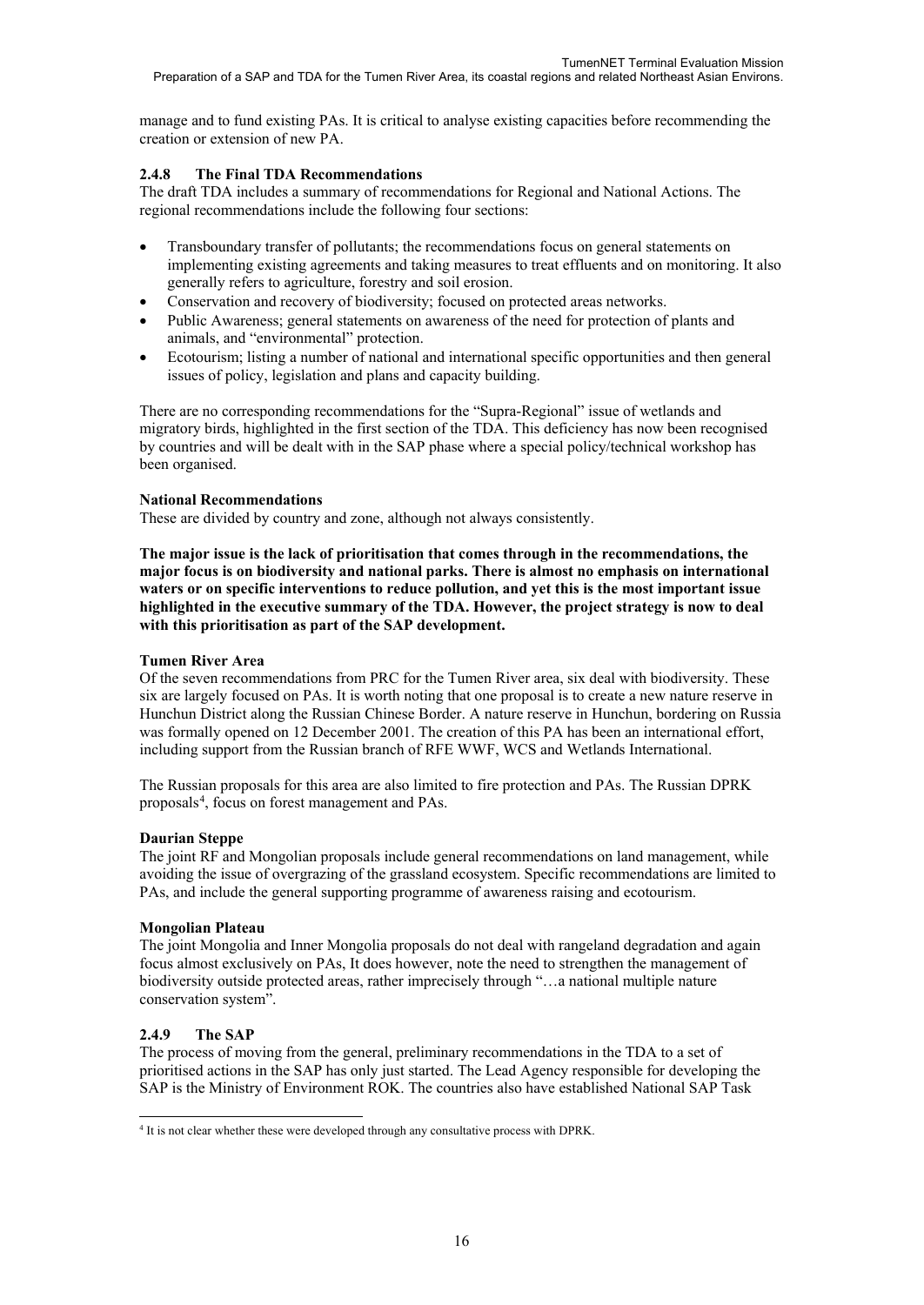manage and to fund existing PAs. It is critical to analyse existing capacities before recommending the creation or extension of new PA.

### **2.4.8 The Final TDA Recommendations**

The draft TDA includes a summary of recommendations for Regional and National Actions. The regional recommendations include the following four sections:

- Transboundary transfer of pollutants; the recommendations focus on general statements on implementing existing agreements and taking measures to treat effluents and on monitoring. It also generally refers to agriculture, forestry and soil erosion.
- Conservation and recovery of biodiversity; focused on protected areas networks.
- Public Awareness; general statements on awareness of the need for protection of plants and animals, and "environmental" protection.
- Ecotourism; listing a number of national and international specific opportunities and then general issues of policy, legislation and plans and capacity building.

There are no corresponding recommendations for the "Supra-Regional" issue of wetlands and migratory birds, highlighted in the first section of the TDA. This deficiency has now been recognised by countries and will be dealt with in the SAP phase where a special policy/technical workshop has been organised.

### **National Recommendations**

These are divided by country and zone, although not always consistently.

**The major issue is the lack of prioritisation that comes through in the recommendations, the major focus is on biodiversity and national parks. There is almost no emphasis on international waters or on specific interventions to reduce pollution, and yet this is the most important issue highlighted in the executive summary of the TDA. However, the project strategy is now to deal with this prioritisation as part of the SAP development.**

#### **Tumen River Area**

Of the seven recommendations from PRC for the Tumen River area, six deal with biodiversity. These six are largely focused on PAs. It is worth noting that one proposal is to create a new nature reserve in Hunchun District along the Russian Chinese Border. A nature reserve in Hunchun, bordering on Russia was formally opened on 12 December 2001. The creation of this PA has been an international effort, including support from the Russian branch of RFE WWF, WCS and Wetlands International.

The Russian proposals for this area are also limited to fire protection and PAs. The Russian DPRK proposals<sup>[4](#page-17-0)</sup>, focus on forest management and PAs.

### **Daurian Steppe**

The joint RF and Mongolian proposals include general recommendations on land management, while avoiding the issue of overgrazing of the grassland ecosystem. Specific recommendations are limited to PAs, and include the general supporting programme of awareness raising and ecotourism.

#### **Mongolian Plateau**

The joint Mongolia and Inner Mongolia proposals do not deal with rangeland degradation and again focus almost exclusively on PAs, It does however, note the need to strengthen the management of biodiversity outside protected areas, rather imprecisely through "…a national multiple nature conservation system".

### **2.4.9 The SAP**

The process of moving from the general, preliminary recommendations in the TDA to a set of prioritised actions in the SAP has only just started. The Lead Agency responsible for developing the SAP is the Ministry of Environment ROK. The countries also have established National SAP Task

<span id="page-17-0"></span><sup>-</sup><sup>4</sup> It is not clear whether these were developed through any consultative process with DPRK.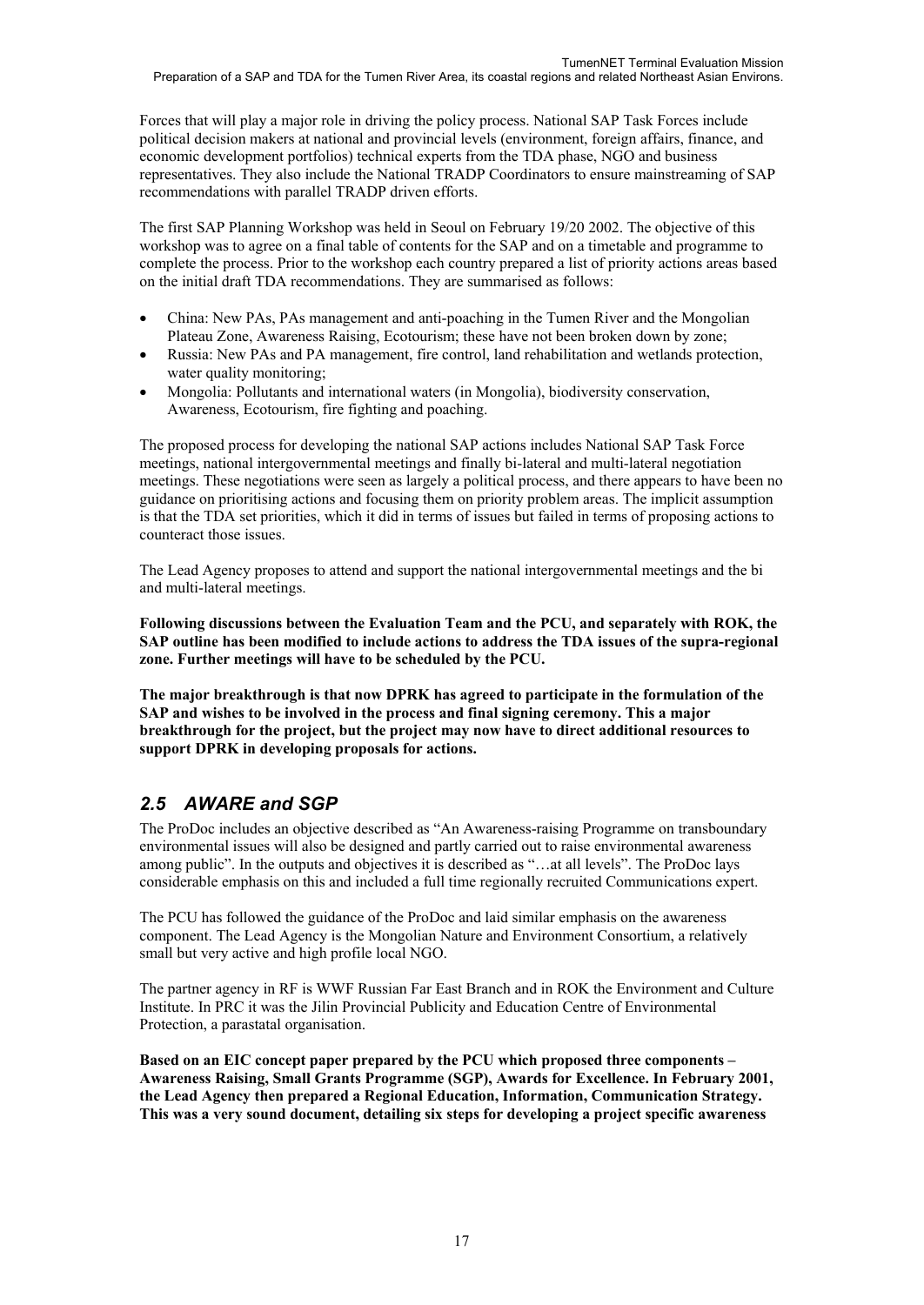Forces that will play a major role in driving the policy process. National SAP Task Forces include political decision makers at national and provincial levels (environment, foreign affairs, finance, and economic development portfolios) technical experts from the TDA phase, NGO and business representatives. They also include the National TRADP Coordinators to ensure mainstreaming of SAP recommendations with parallel TRADP driven efforts.

The first SAP Planning Workshop was held in Seoul on February 19/20 2002. The objective of this workshop was to agree on a final table of contents for the SAP and on a timetable and programme to complete the process. Prior to the workshop each country prepared a list of priority actions areas based on the initial draft TDA recommendations. They are summarised as follows:

- China: New PAs, PAs management and anti-poaching in the Tumen River and the Mongolian Plateau Zone, Awareness Raising, Ecotourism; these have not been broken down by zone;
- Russia: New PAs and PA management, fire control, land rehabilitation and wetlands protection, water quality monitoring;
- Mongolia: Pollutants and international waters (in Mongolia), biodiversity conservation, Awareness, Ecotourism, fire fighting and poaching.

The proposed process for developing the national SAP actions includes National SAP Task Force meetings, national intergovernmental meetings and finally bi-lateral and multi-lateral negotiation meetings. These negotiations were seen as largely a political process, and there appears to have been no guidance on prioritising actions and focusing them on priority problem areas. The implicit assumption is that the TDA set priorities, which it did in terms of issues but failed in terms of proposing actions to counteract those issues.

The Lead Agency proposes to attend and support the national intergovernmental meetings and the bi and multi-lateral meetings.

**Following discussions between the Evaluation Team and the PCU, and separately with ROK, the SAP outline has been modified to include actions to address the TDA issues of the supra-regional zone. Further meetings will have to be scheduled by the PCU.**

**The major breakthrough is that now DPRK has agreed to participate in the formulation of the SAP and wishes to be involved in the process and final signing ceremony. This a major breakthrough for the project, but the project may now have to direct additional resources to support DPRK in developing proposals for actions.**

## *2.5 AWARE and SGP*

The ProDoc includes an objective described as "An Awareness-raising Programme on transboundary environmental issues will also be designed and partly carried out to raise environmental awareness among public". In the outputs and objectives it is described as "…at all levels". The ProDoc lays considerable emphasis on this and included a full time regionally recruited Communications expert.

The PCU has followed the guidance of the ProDoc and laid similar emphasis on the awareness component. The Lead Agency is the Mongolian Nature and Environment Consortium, a relatively small but very active and high profile local NGO.

The partner agency in RF is WWF Russian Far East Branch and in ROK the Environment and Culture Institute. In PRC it was the Jilin Provincial Publicity and Education Centre of Environmental Protection, a parastatal organisation.

**Based on an EIC concept paper prepared by the PCU which proposed three components – Awareness Raising, Small Grants Programme (SGP), Awards for Excellence. In February 2001, the Lead Agency then prepared a Regional Education, Information, Communication Strategy. This was a very sound document, detailing six steps for developing a project specific awareness**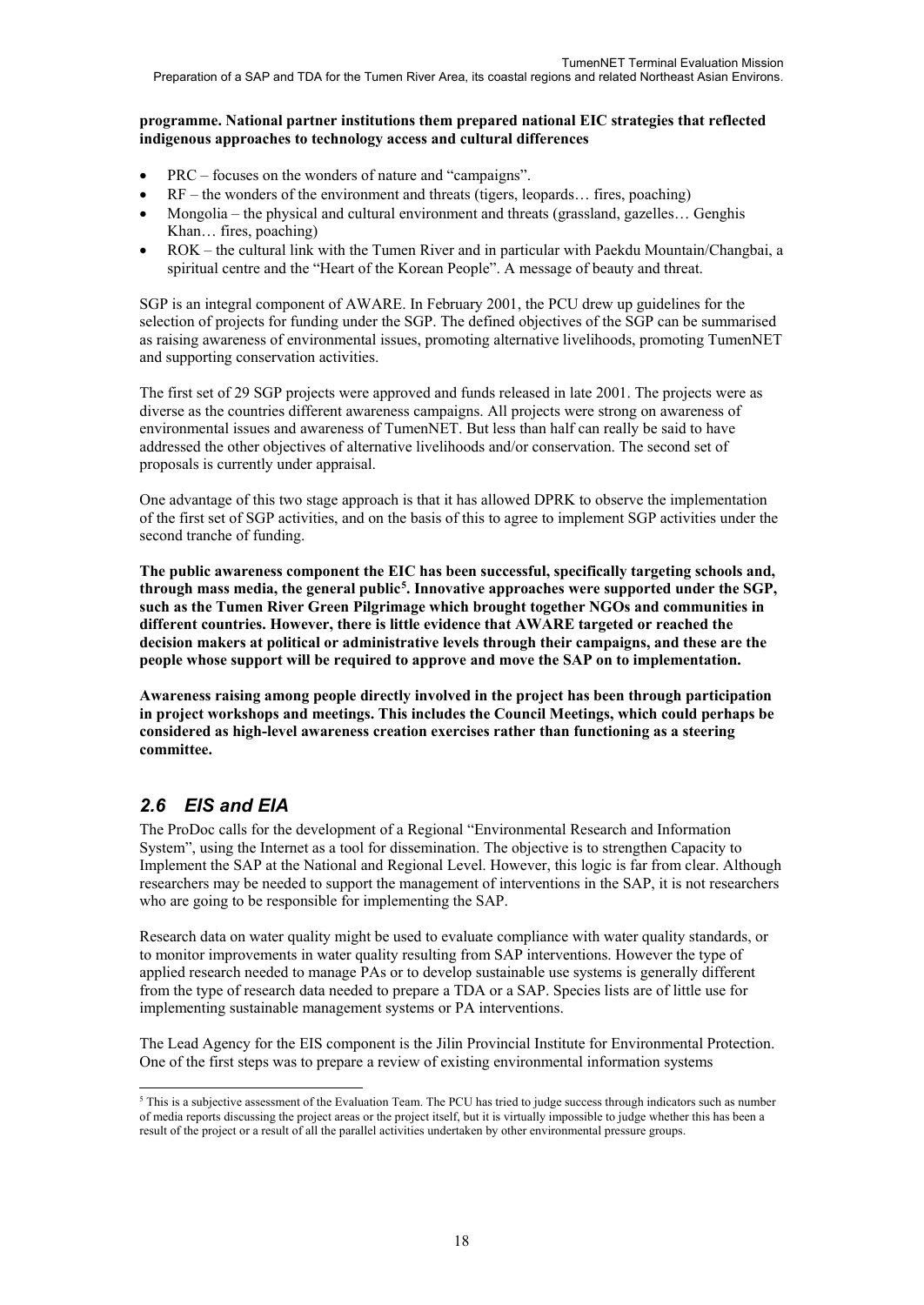#### **programme. National partner institutions them prepared national EIC strategies that reflected indigenous approaches to technology access and cultural differences**

- PRC focuses on the wonders of nature and "campaigns".
- $RF$  the wonders of the environment and threats (tigers, leopards... fires, poaching)
- Mongolia the physical and cultural environment and threats (grassland, gazelles… Genghis Khan… fires, poaching)
- ROK the cultural link with the Tumen River and in particular with Paekdu Mountain/Changbai, a spiritual centre and the "Heart of the Korean People". A message of beauty and threat.

SGP is an integral component of AWARE. In February 2001, the PCU drew up guidelines for the selection of projects for funding under the SGP. The defined objectives of the SGP can be summarised as raising awareness of environmental issues, promoting alternative livelihoods, promoting TumenNET and supporting conservation activities.

The first set of 29 SGP projects were approved and funds released in late 2001. The projects were as diverse as the countries different awareness campaigns. All projects were strong on awareness of environmental issues and awareness of TumenNET. But less than half can really be said to have addressed the other objectives of alternative livelihoods and/or conservation. The second set of proposals is currently under appraisal.

One advantage of this two stage approach is that it has allowed DPRK to observe the implementation of the first set of SGP activities, and on the basis of this to agree to implement SGP activities under the second tranche of funding.

**The public awareness component the EIC has been successful, specifically targeting schools and, through mass media, the general public[5](#page-19-0) . Innovative approaches were supported under the SGP, such as the Tumen River Green Pilgrimage which brought together NGOs and communities in different countries. However, there is little evidence that AWARE targeted or reached the decision makers at political or administrative levels through their campaigns, and these are the people whose support will be required to approve and move the SAP on to implementation.**

**Awareness raising among people directly involved in the project has been through participation in project workshops and meetings. This includes the Council Meetings, which could perhaps be considered as high-level awareness creation exercises rather than functioning as a steering committee.**

## *2.6 EIS and EIA*

The ProDoc calls for the development of a Regional "Environmental Research and Information System", using the Internet as a tool for dissemination. The objective is to strengthen Capacity to Implement the SAP at the National and Regional Level. However, this logic is far from clear. Although researchers may be needed to support the management of interventions in the SAP, it is not researchers who are going to be responsible for implementing the SAP.

Research data on water quality might be used to evaluate compliance with water quality standards, or to monitor improvements in water quality resulting from SAP interventions. However the type of applied research needed to manage PAs or to develop sustainable use systems is generally different from the type of research data needed to prepare a TDA or a SAP. Species lists are of little use for implementing sustainable management systems or PA interventions.

The Lead Agency for the EIS component is the Jilin Provincial Institute for Environmental Protection. One of the first steps was to prepare a review of existing environmental information systems

<span id="page-19-0"></span><sup>-</sup><sup>5</sup> This is a subjective assessment of the Evaluation Team. The PCU has tried to judge success through indicators such as number of media reports discussing the project areas or the project itself, but it is virtually impossible to judge whether this has been a result of the project or a result of all the parallel activities undertaken by other environmental pressure groups.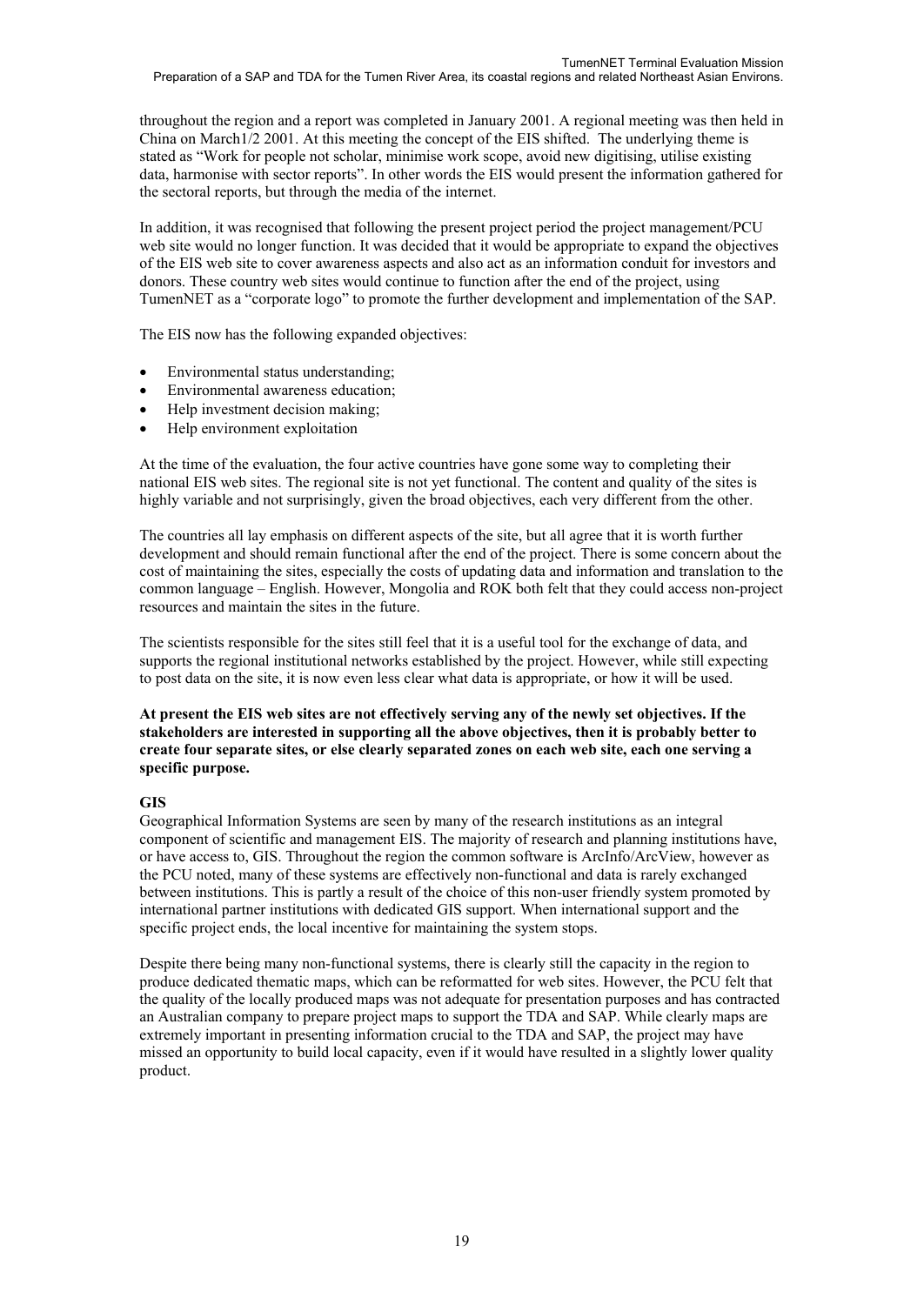throughout the region and a report was completed in January 2001. A regional meeting was then held in China on March1/2 2001. At this meeting the concept of the EIS shifted. The underlying theme is stated as "Work for people not scholar, minimise work scope, avoid new digitising, utilise existing data, harmonise with sector reports". In other words the EIS would present the information gathered for the sectoral reports, but through the media of the internet.

In addition, it was recognised that following the present project period the project management/PCU web site would no longer function. It was decided that it would be appropriate to expand the objectives of the EIS web site to cover awareness aspects and also act as an information conduit for investors and donors. These country web sites would continue to function after the end of the project, using TumenNET as a "corporate logo" to promote the further development and implementation of the SAP.

The EIS now has the following expanded objectives:

- Environmental status understanding;
- Environmental awareness education;
- Help investment decision making;
- Help environment exploitation

At the time of the evaluation, the four active countries have gone some way to completing their national EIS web sites. The regional site is not yet functional. The content and quality of the sites is highly variable and not surprisingly, given the broad objectives, each very different from the other.

The countries all lay emphasis on different aspects of the site, but all agree that it is worth further development and should remain functional after the end of the project. There is some concern about the cost of maintaining the sites, especially the costs of updating data and information and translation to the common language – English. However, Mongolia and ROK both felt that they could access non-project resources and maintain the sites in the future.

The scientists responsible for the sites still feel that it is a useful tool for the exchange of data, and supports the regional institutional networks established by the project. However, while still expecting to post data on the site, it is now even less clear what data is appropriate, or how it will be used.

#### **At present the EIS web sites are not effectively serving any of the newly set objectives. If the stakeholders are interested in supporting all the above objectives, then it is probably better to create four separate sites, or else clearly separated zones on each web site, each one serving a specific purpose.**

#### **GIS**

Geographical Information Systems are seen by many of the research institutions as an integral component of scientific and management EIS. The majority of research and planning institutions have, or have access to, GIS. Throughout the region the common software is ArcInfo/ArcView, however as the PCU noted, many of these systems are effectively non-functional and data is rarely exchanged between institutions. This is partly a result of the choice of this non-user friendly system promoted by international partner institutions with dedicated GIS support. When international support and the specific project ends, the local incentive for maintaining the system stops.

Despite there being many non-functional systems, there is clearly still the capacity in the region to produce dedicated thematic maps, which can be reformatted for web sites. However, the PCU felt that the quality of the locally produced maps was not adequate for presentation purposes and has contracted an Australian company to prepare project maps to support the TDA and SAP. While clearly maps are extremely important in presenting information crucial to the TDA and SAP, the project may have missed an opportunity to build local capacity, even if it would have resulted in a slightly lower quality product.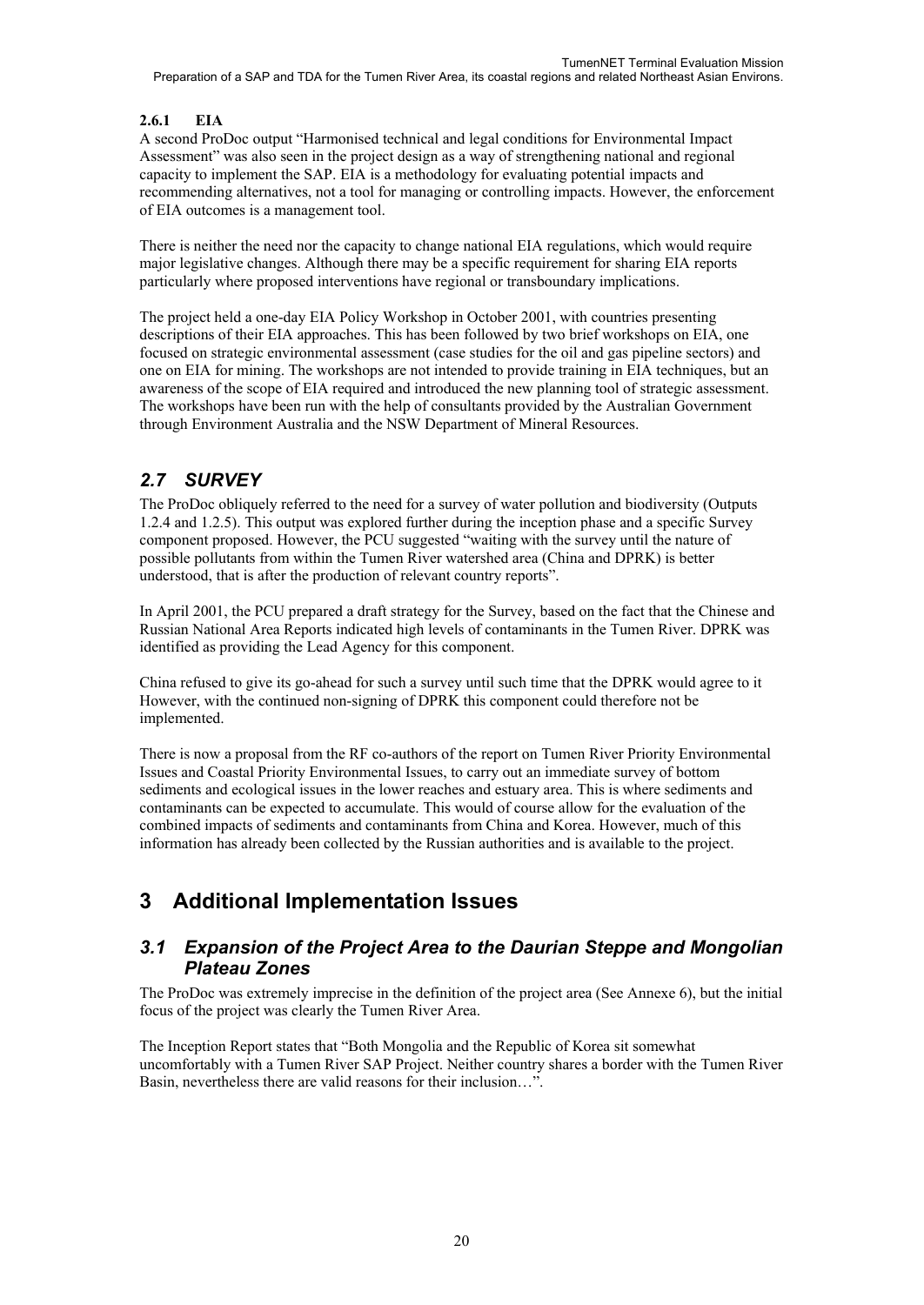### **2.6.1 EIA**

A second ProDoc output "Harmonised technical and legal conditions for Environmental Impact Assessment" was also seen in the project design as a way of strengthening national and regional capacity to implement the SAP. EIA is a methodology for evaluating potential impacts and recommending alternatives, not a tool for managing or controlling impacts. However, the enforcement of EIA outcomes is a management tool.

There is neither the need nor the capacity to change national EIA regulations, which would require major legislative changes. Although there may be a specific requirement for sharing EIA reports particularly where proposed interventions have regional or transboundary implications.

The project held a one-day EIA Policy Workshop in October 2001, with countries presenting descriptions of their EIA approaches. This has been followed by two brief workshops on EIA, one focused on strategic environmental assessment (case studies for the oil and gas pipeline sectors) and one on EIA for mining. The workshops are not intended to provide training in EIA techniques, but an awareness of the scope of EIA required and introduced the new planning tool of strategic assessment. The workshops have been run with the help of consultants provided by the Australian Government through Environment Australia and the NSW Department of Mineral Resources.

## *2.7 SURVEY*

The ProDoc obliquely referred to the need for a survey of water pollution and biodiversity (Outputs 1.2.4 and 1.2.5). This output was explored further during the inception phase and a specific Survey component proposed. However, the PCU suggested "waiting with the survey until the nature of possible pollutants from within the Tumen River watershed area (China and DPRK) is better understood, that is after the production of relevant country reports".

In April 2001, the PCU prepared a draft strategy for the Survey, based on the fact that the Chinese and Russian National Area Reports indicated high levels of contaminants in the Tumen River. DPRK was identified as providing the Lead Agency for this component.

China refused to give its go-ahead for such a survey until such time that the DPRK would agree to it However, with the continued non-signing of DPRK this component could therefore not be implemented.

There is now a proposal from the RF co-authors of the report on Tumen River Priority Environmental Issues and Coastal Priority Environmental Issues, to carry out an immediate survey of bottom sediments and ecological issues in the lower reaches and estuary area. This is where sediments and contaminants can be expected to accumulate. This would of course allow for the evaluation of the combined impacts of sediments and contaminants from China and Korea. However, much of this information has already been collected by the Russian authorities and is available to the project.

# **3 Additional Implementation Issues**

## *3.1 Expansion of the Project Area to the Daurian Steppe and Mongolian Plateau Zones*

The ProDoc was extremely imprecise in the definition of the project area (See Annexe 6), but the initial focus of the project was clearly the Tumen River Area.

The Inception Report states that "Both Mongolia and the Republic of Korea sit somewhat uncomfortably with a Tumen River SAP Project. Neither country shares a border with the Tumen River Basin, nevertheless there are valid reasons for their inclusion…".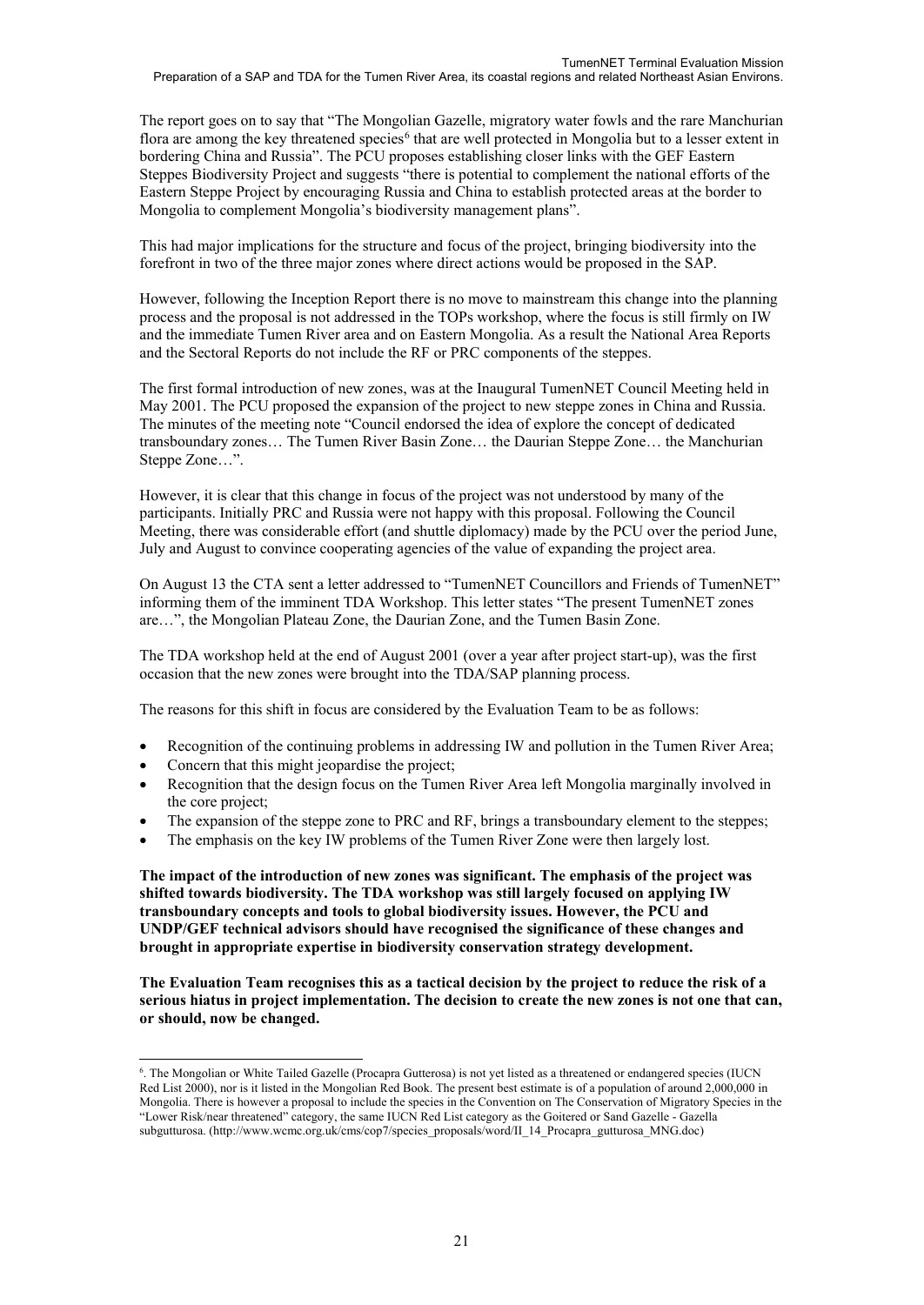The report goes on to say that "The Mongolian Gazelle, migratory water fowls and the rare Manchurian flora are among the key threatened species<sup>[6](#page-22-0)</sup> that are well protected in Mongolia but to a lesser extent in bordering China and Russia". The PCU proposes establishing closer links with the GEF Eastern Steppes Biodiversity Project and suggests "there is potential to complement the national efforts of the Eastern Steppe Project by encouraging Russia and China to establish protected areas at the border to Mongolia to complement Mongolia's biodiversity management plans".

This had major implications for the structure and focus of the project, bringing biodiversity into the forefront in two of the three major zones where direct actions would be proposed in the SAP.

However, following the Inception Report there is no move to mainstream this change into the planning process and the proposal is not addressed in the TOPs workshop, where the focus is still firmly on IW and the immediate Tumen River area and on Eastern Mongolia. As a result the National Area Reports and the Sectoral Reports do not include the RF or PRC components of the steppes.

The first formal introduction of new zones, was at the Inaugural TumenNET Council Meeting held in May 2001. The PCU proposed the expansion of the project to new steppe zones in China and Russia. The minutes of the meeting note "Council endorsed the idea of explore the concept of dedicated transboundary zones… The Tumen River Basin Zone… the Daurian Steppe Zone… the Manchurian Steppe Zone…".

However, it is clear that this change in focus of the project was not understood by many of the participants. Initially PRC and Russia were not happy with this proposal. Following the Council Meeting, there was considerable effort (and shuttle diplomacy) made by the PCU over the period June, July and August to convince cooperating agencies of the value of expanding the project area.

On August 13 the CTA sent a letter addressed to "TumenNET Councillors and Friends of TumenNET" informing them of the imminent TDA Workshop. This letter states "The present TumenNET zones are…", the Mongolian Plateau Zone, the Daurian Zone, and the Tumen Basin Zone.

The TDA workshop held at the end of August 2001 (over a year after project start-up), was the first occasion that the new zones were brought into the TDA/SAP planning process.

The reasons for this shift in focus are considered by the Evaluation Team to be as follows:

- Recognition of the continuing problems in addressing IW and pollution in the Tumen River Area;
- Concern that this might jeopardise the project;

-

- Recognition that the design focus on the Tumen River Area left Mongolia marginally involved in the core project;
- The expansion of the steppe zone to PRC and RF, brings a transboundary element to the steppes;
- The emphasis on the key IW problems of the Tumen River Zone were then largely lost.

**The impact of the introduction of new zones was significant. The emphasis of the project was shifted towards biodiversity. The TDA workshop was still largely focused on applying IW transboundary concepts and tools to global biodiversity issues. However, the PCU and UNDP/GEF technical advisors should have recognised the significance of these changes and brought in appropriate expertise in biodiversity conservation strategy development.** 

**The Evaluation Team recognises this as a tactical decision by the project to reduce the risk of a serious hiatus in project implementation. The decision to create the new zones is not one that can, or should, now be changed.** 

<span id="page-22-0"></span><sup>6</sup> . The Mongolian or White Tailed Gazelle (Procapra Gutterosa) is not yet listed as a threatened or endangered species (IUCN Red List 2000), nor is it listed in the Mongolian Red Book. The present best estimate is of a population of around 2,000,000 in Mongolia. There is however a proposal to include the species in the Convention on The Conservation of Migratory Species in the "Lower Risk/near threatened" category, the same IUCN Red List category as the Goitered or Sand Gazelle - Gazella subgutturosa. (http://www.wcmc.org.uk/cms/cop7/species\_proposals/word/II\_14\_Procapra\_gutturosa\_MNG.doc)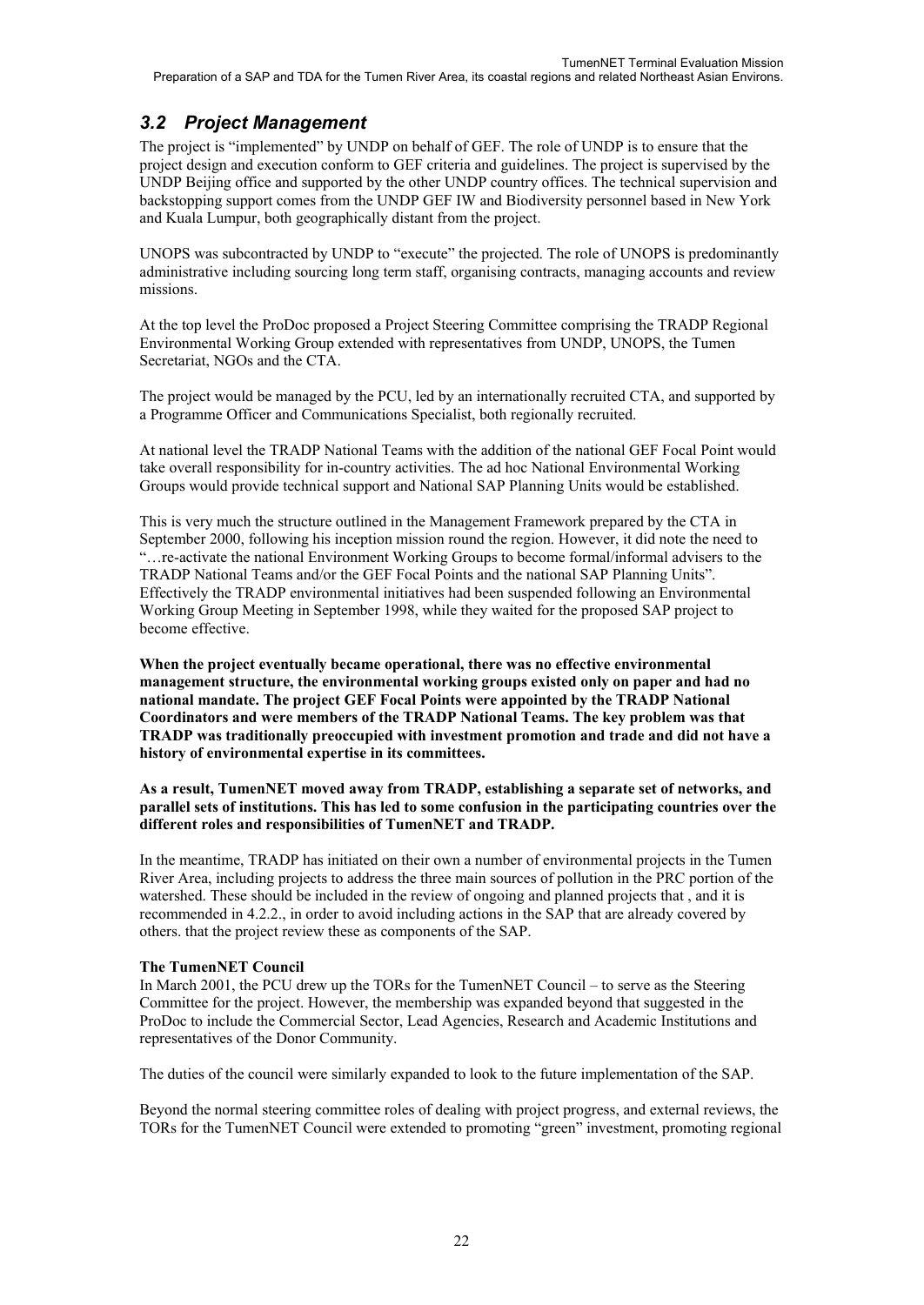## *3.2 Project Management*

The project is "implemented" by UNDP on behalf of GEF. The role of UNDP is to ensure that the project design and execution conform to GEF criteria and guidelines. The project is supervised by the UNDP Beijing office and supported by the other UNDP country offices. The technical supervision and backstopping support comes from the UNDP GEF IW and Biodiversity personnel based in New York and Kuala Lumpur, both geographically distant from the project.

UNOPS was subcontracted by UNDP to "execute" the projected. The role of UNOPS is predominantly administrative including sourcing long term staff, organising contracts, managing accounts and review missions.

At the top level the ProDoc proposed a Project Steering Committee comprising the TRADP Regional Environmental Working Group extended with representatives from UNDP, UNOPS, the Tumen Secretariat, NGOs and the CTA.

The project would be managed by the PCU, led by an internationally recruited CTA, and supported by a Programme Officer and Communications Specialist, both regionally recruited.

At national level the TRADP National Teams with the addition of the national GEF Focal Point would take overall responsibility for in-country activities. The ad hoc National Environmental Working Groups would provide technical support and National SAP Planning Units would be established.

This is very much the structure outlined in the Management Framework prepared by the CTA in September 2000, following his inception mission round the region. However, it did note the need to "…re-activate the national Environment Working Groups to become formal/informal advisers to the TRADP National Teams and/or the GEF Focal Points and the national SAP Planning Units". Effectively the TRADP environmental initiatives had been suspended following an Environmental Working Group Meeting in September 1998, while they waited for the proposed SAP project to become effective.

**When the project eventually became operational, there was no effective environmental management structure, the environmental working groups existed only on paper and had no national mandate. The project GEF Focal Points were appointed by the TRADP National Coordinators and were members of the TRADP National Teams. The key problem was that TRADP was traditionally preoccupied with investment promotion and trade and did not have a history of environmental expertise in its committees.**

#### **As a result, TumenNET moved away from TRADP, establishing a separate set of networks, and parallel sets of institutions. This has led to some confusion in the participating countries over the different roles and responsibilities of TumenNET and TRADP.**

In the meantime, TRADP has initiated on their own a number of environmental projects in the Tumen River Area, including projects to address the three main sources of pollution in the PRC portion of the watershed. These should be included in the review of ongoing and planned projects that , and it is recommended in 4.2.2., in order to avoid including actions in the SAP that are already covered by others. that the project review these as components of the SAP.

### **The TumenNET Council**

In March 2001, the PCU drew up the TORs for the TumenNET Council – to serve as the Steering Committee for the project. However, the membership was expanded beyond that suggested in the ProDoc to include the Commercial Sector, Lead Agencies, Research and Academic Institutions and representatives of the Donor Community.

The duties of the council were similarly expanded to look to the future implementation of the SAP.

Beyond the normal steering committee roles of dealing with project progress, and external reviews, the TORs for the TumenNET Council were extended to promoting "green" investment, promoting regional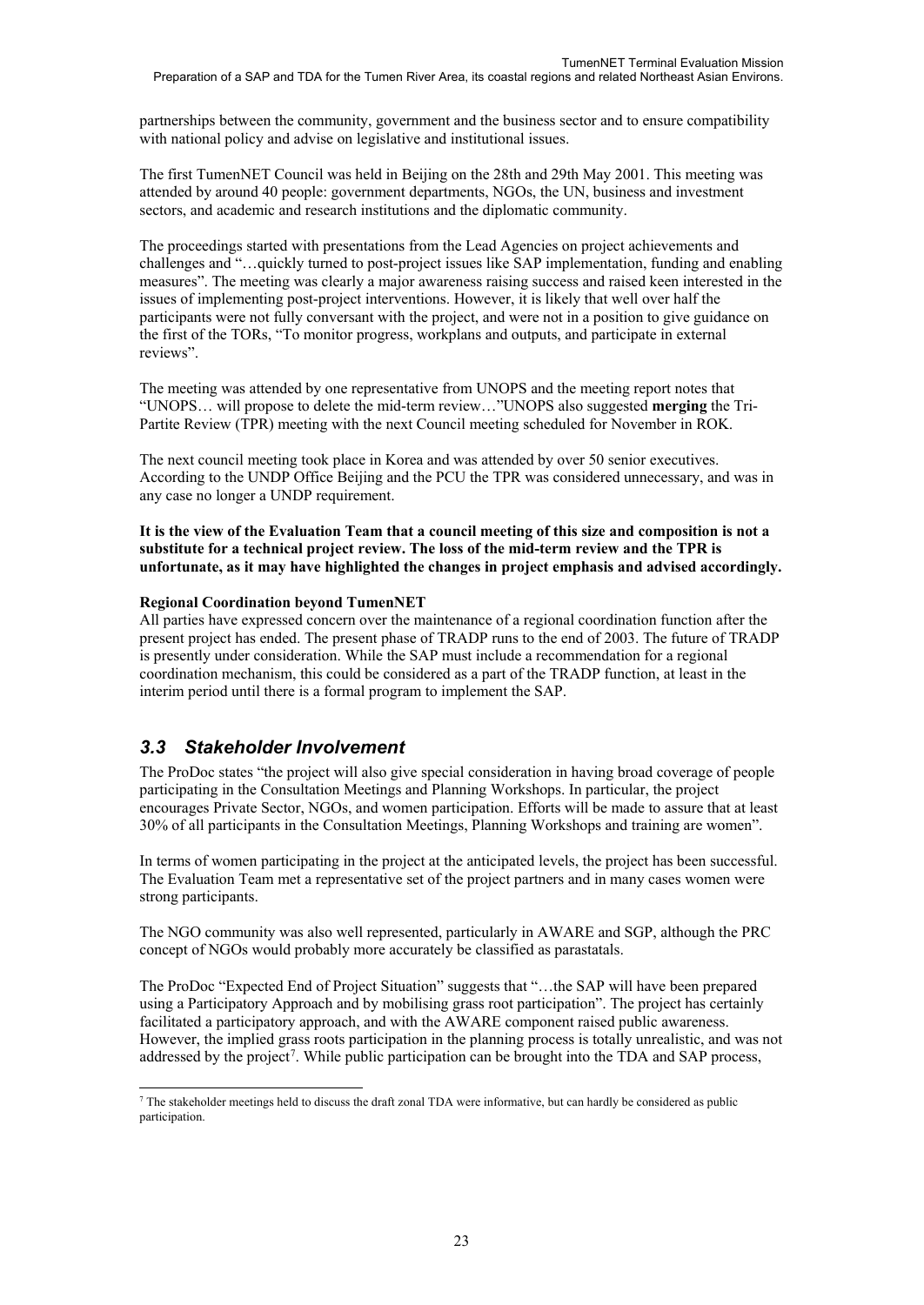partnerships between the community, government and the business sector and to ensure compatibility with national policy and advise on legislative and institutional issues.

The first TumenNET Council was held in Beijing on the 28th and 29th May 2001. This meeting was attended by around 40 people: government departments, NGOs, the UN, business and investment sectors, and academic and research institutions and the diplomatic community.

The proceedings started with presentations from the Lead Agencies on project achievements and challenges and "…quickly turned to post-project issues like SAP implementation, funding and enabling measures". The meeting was clearly a major awareness raising success and raised keen interested in the issues of implementing post-project interventions. However, it is likely that well over half the participants were not fully conversant with the project, and were not in a position to give guidance on the first of the TORs, "To monitor progress, workplans and outputs, and participate in external reviews".

The meeting was attended by one representative from UNOPS and the meeting report notes that "UNOPS… will propose to delete the mid-term review…"UNOPS also suggested **merging** the Tri-Partite Review (TPR) meeting with the next Council meeting scheduled for November in ROK.

The next council meeting took place in Korea and was attended by over 50 senior executives. According to the UNDP Office Beijing and the PCU the TPR was considered unnecessary, and was in any case no longer a UNDP requirement.

**It is the view of the Evaluation Team that a council meeting of this size and composition is not a substitute for a technical project review. The loss of the mid-term review and the TPR is unfortunate, as it may have highlighted the changes in project emphasis and advised accordingly.** 

#### **Regional Coordination beyond TumenNET**

All parties have expressed concern over the maintenance of a regional coordination function after the present project has ended. The present phase of TRADP runs to the end of 2003. The future of TRADP is presently under consideration. While the SAP must include a recommendation for a regional coordination mechanism, this could be considered as a part of the TRADP function, at least in the interim period until there is a formal program to implement the SAP.

## *3.3 Stakeholder Involvement*

The ProDoc states "the project will also give special consideration in having broad coverage of people participating in the Consultation Meetings and Planning Workshops. In particular, the project encourages Private Sector, NGOs, and women participation. Efforts will be made to assure that at least 30% of all participants in the Consultation Meetings, Planning Workshops and training are women".

In terms of women participating in the project at the anticipated levels, the project has been successful. The Evaluation Team met a representative set of the project partners and in many cases women were strong participants.

The NGO community was also well represented, particularly in AWARE and SGP, although the PRC concept of NGOs would probably more accurately be classified as parastatals.

The ProDoc "Expected End of Project Situation" suggests that "…the SAP will have been prepared using a Participatory Approach and by mobilising grass root participation". The project has certainly facilitated a participatory approach, and with the AWARE component raised public awareness. However, the implied grass roots participation in the planning process is totally unrealistic, and was not addressed by the project<sup>[7](#page-24-0)</sup>. While public participation can be brought into the TDA and SAP process,

<span id="page-24-0"></span><sup>-</sup><sup>7</sup> The stakeholder meetings held to discuss the draft zonal TDA were informative, but can hardly be considered as public participation.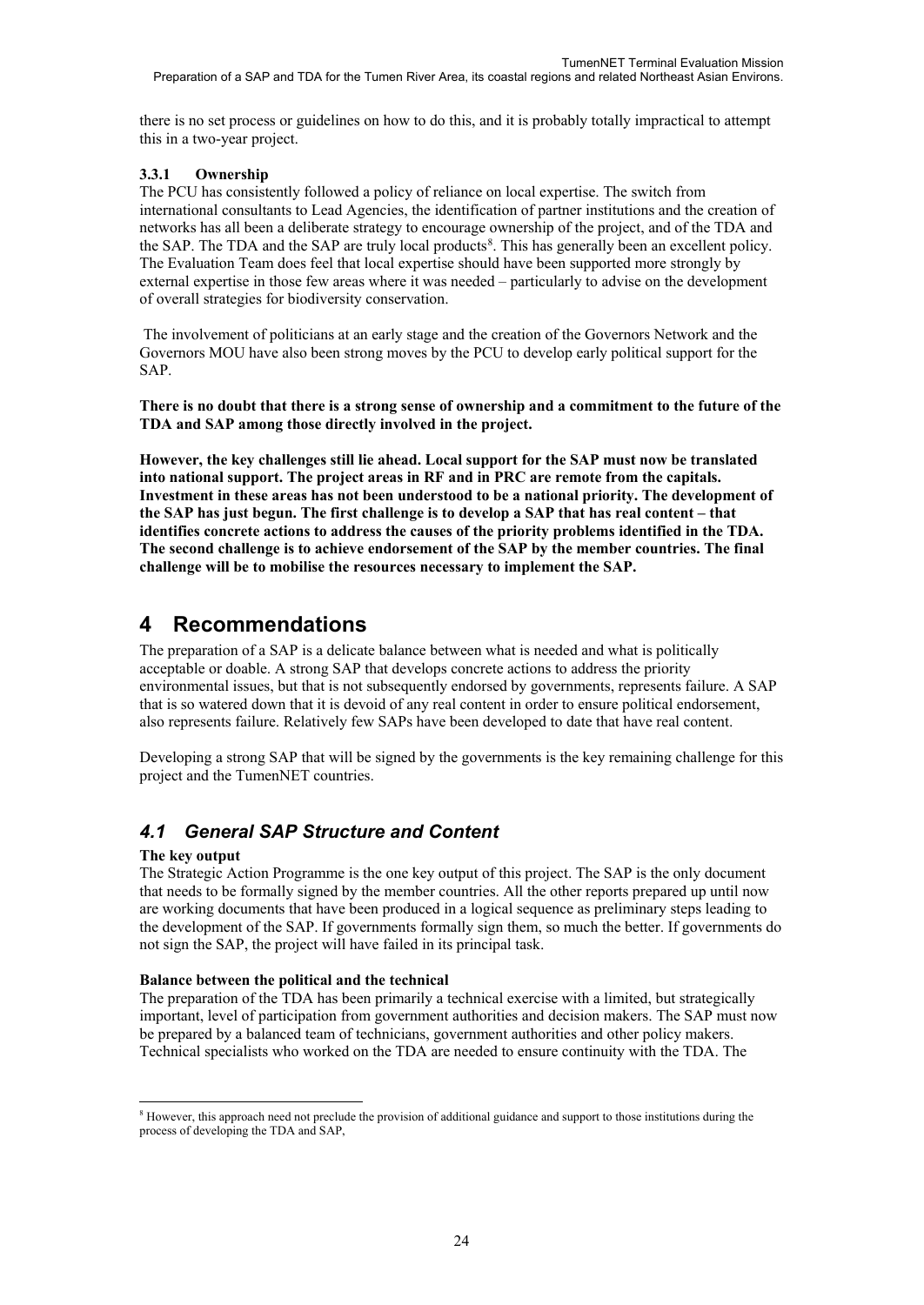there is no set process or guidelines on how to do this, and it is probably totally impractical to attempt this in a two-year project.

#### **3.3.1 Ownership**

The PCU has consistently followed a policy of reliance on local expertise. The switch from international consultants to Lead Agencies, the identification of partner institutions and the creation of networks has all been a deliberate strategy to encourage ownership of the project, and of the TDA and the SAP. The TDA and the SAP are truly local products<sup>[8](#page-25-0)</sup>. This has generally been an excellent policy. The Evaluation Team does feel that local expertise should have been supported more strongly by external expertise in those few areas where it was needed – particularly to advise on the development of overall strategies for biodiversity conservation.

The involvement of politicians at an early stage and the creation of the Governors Network and the Governors MOU have also been strong moves by the PCU to develop early political support for the SAP.

**There is no doubt that there is a strong sense of ownership and a commitment to the future of the TDA and SAP among those directly involved in the project.**

**However, the key challenges still lie ahead. Local support for the SAP must now be translated into national support. The project areas in RF and in PRC are remote from the capitals. Investment in these areas has not been understood to be a national priority. The development of the SAP has just begun. The first challenge is to develop a SAP that has real content – that identifies concrete actions to address the causes of the priority problems identified in the TDA. The second challenge is to achieve endorsement of the SAP by the member countries. The final challenge will be to mobilise the resources necessary to implement the SAP.** 

# **4 Recommendations**

The preparation of a SAP is a delicate balance between what is needed and what is politically acceptable or doable. A strong SAP that develops concrete actions to address the priority environmental issues, but that is not subsequently endorsed by governments, represents failure. A SAP that is so watered down that it is devoid of any real content in order to ensure political endorsement, also represents failure. Relatively few SAPs have been developed to date that have real content.

Developing a strong SAP that will be signed by the governments is the key remaining challenge for this project and the TumenNET countries.

## *4.1 General SAP Structure and Content*

#### **The key output**

The Strategic Action Programme is the one key output of this project. The SAP is the only document that needs to be formally signed by the member countries. All the other reports prepared up until now are working documents that have been produced in a logical sequence as preliminary steps leading to the development of the SAP. If governments formally sign them, so much the better. If governments do not sign the SAP, the project will have failed in its principal task.

#### **Balance between the political and the technical**

The preparation of the TDA has been primarily a technical exercise with a limited, but strategically important, level of participation from government authorities and decision makers. The SAP must now be prepared by a balanced team of technicians, government authorities and other policy makers. Technical specialists who worked on the TDA are needed to ensure continuity with the TDA. The

<span id="page-25-0"></span><sup>-</sup><sup>8</sup> However, this approach need not preclude the provision of additional guidance and support to those institutions during the process of developing the TDA and SAP,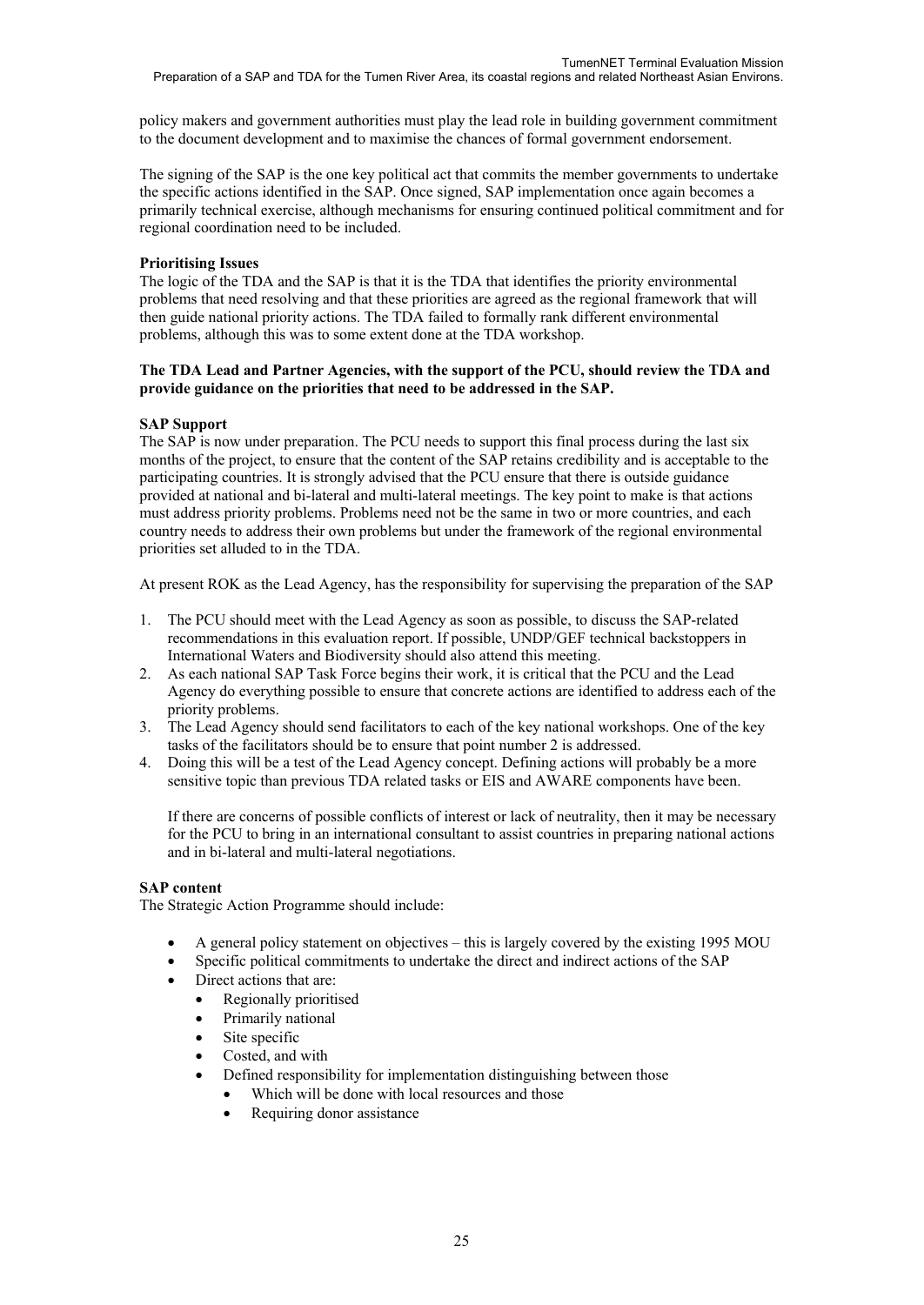policy makers and government authorities must play the lead role in building government commitment to the document development and to maximise the chances of formal government endorsement.

The signing of the SAP is the one key political act that commits the member governments to undertake the specific actions identified in the SAP. Once signed, SAP implementation once again becomes a primarily technical exercise, although mechanisms for ensuring continued political commitment and for regional coordination need to be included.

#### **Prioritising Issues**

The logic of the TDA and the SAP is that it is the TDA that identifies the priority environmental problems that need resolving and that these priorities are agreed as the regional framework that will then guide national priority actions. The TDA failed to formally rank different environmental problems, although this was to some extent done at the TDA workshop.

#### **The TDA Lead and Partner Agencies, with the support of the PCU, should review the TDA and provide guidance on the priorities that need to be addressed in the SAP.**

### **SAP Support**

The SAP is now under preparation. The PCU needs to support this final process during the last six months of the project, to ensure that the content of the SAP retains credibility and is acceptable to the participating countries. It is strongly advised that the PCU ensure that there is outside guidance provided at national and bi-lateral and multi-lateral meetings. The key point to make is that actions must address priority problems. Problems need not be the same in two or more countries, and each country needs to address their own problems but under the framework of the regional environmental priorities set alluded to in the TDA.

At present ROK as the Lead Agency, has the responsibility for supervising the preparation of the SAP

- 1. The PCU should meet with the Lead Agency as soon as possible, to discuss the SAP-related recommendations in this evaluation report. If possible, UNDP/GEF technical backstoppers in International Waters and Biodiversity should also attend this meeting.
- 2. As each national SAP Task Force begins their work, it is critical that the PCU and the Lead Agency do everything possible to ensure that concrete actions are identified to address each of the priority problems.
- 3. The Lead Agency should send facilitators to each of the key national workshops. One of the key tasks of the facilitators should be to ensure that point number 2 is addressed.
- 4. Doing this will be a test of the Lead Agency concept. Defining actions will probably be a more sensitive topic than previous TDA related tasks or EIS and AWARE components have been.

If there are concerns of possible conflicts of interest or lack of neutrality, then it may be necessary for the PCU to bring in an international consultant to assist countries in preparing national actions and in bi-lateral and multi-lateral negotiations.

#### **SAP content**

The Strategic Action Programme should include:

- A general policy statement on objectives this is largely covered by the existing 1995 MOU
- Specific political commitments to undertake the direct and indirect actions of the SAP
- Direct actions that are:
	- Regionally prioritised
	- Primarily national
	- Site specific
	- Costed, and with
	- Defined responsibility for implementation distinguishing between those
		- Which will be done with local resources and those
		- Requiring donor assistance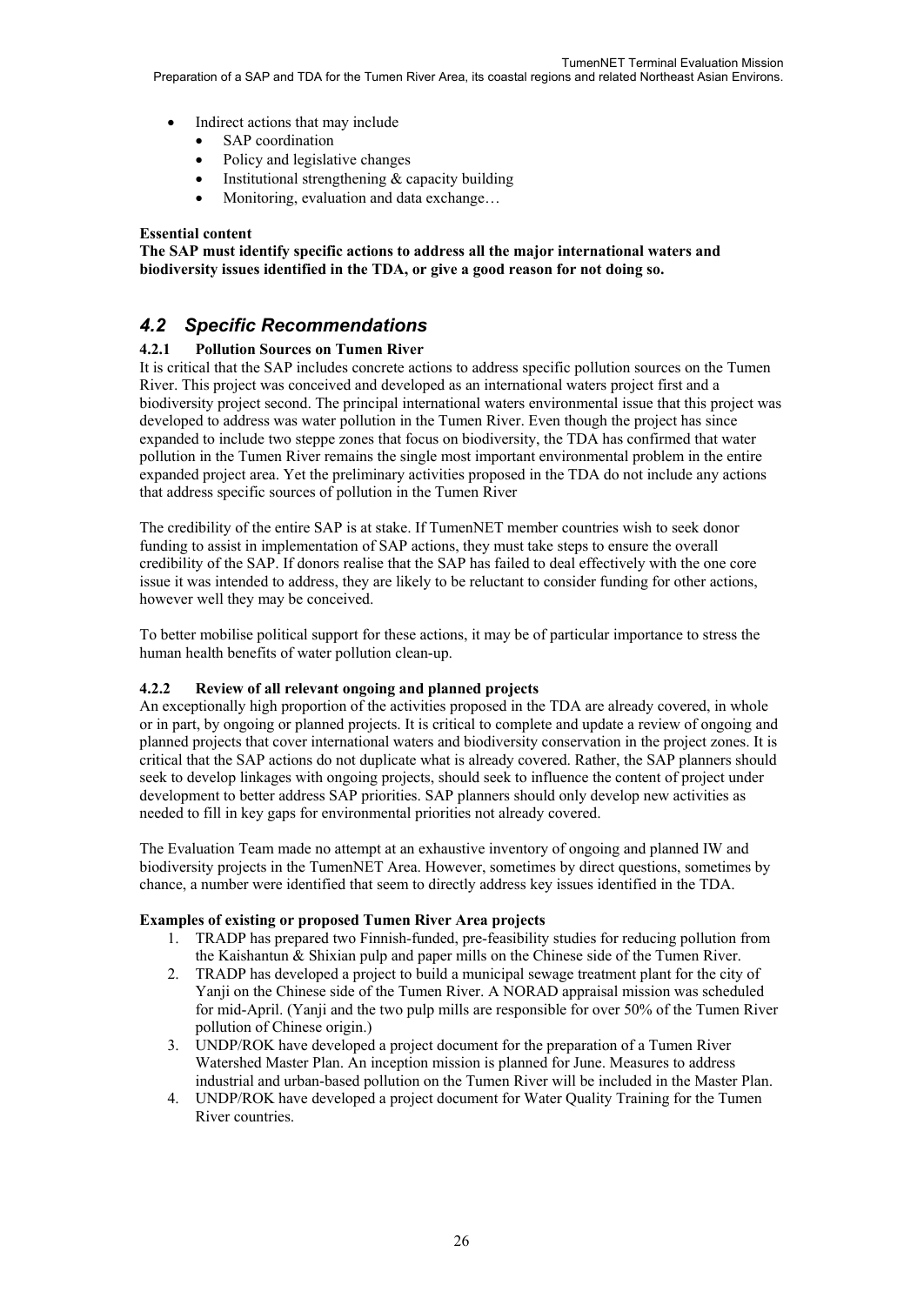- Indirect actions that may include
	- SAP coordination
	- Policy and legislative changes
	- Institutional strengthening  $&$  capacity building
	- Monitoring, evaluation and data exchange...

#### **Essential content**

**The SAP must identify specific actions to address all the major international waters and biodiversity issues identified in the TDA, or give a good reason for not doing so.**

## *4.2 Specific Recommendations*

### **4.2.1 Pollution Sources on Tumen River**

It is critical that the SAP includes concrete actions to address specific pollution sources on the Tumen River. This project was conceived and developed as an international waters project first and a biodiversity project second. The principal international waters environmental issue that this project was developed to address was water pollution in the Tumen River. Even though the project has since expanded to include two steppe zones that focus on biodiversity, the TDA has confirmed that water pollution in the Tumen River remains the single most important environmental problem in the entire expanded project area. Yet the preliminary activities proposed in the TDA do not include any actions that address specific sources of pollution in the Tumen River

The credibility of the entire SAP is at stake. If TumenNET member countries wish to seek donor funding to assist in implementation of SAP actions, they must take steps to ensure the overall credibility of the SAP. If donors realise that the SAP has failed to deal effectively with the one core issue it was intended to address, they are likely to be reluctant to consider funding for other actions, however well they may be conceived.

To better mobilise political support for these actions, it may be of particular importance to stress the human health benefits of water pollution clean-up.

### **4.2.2 Review of all relevant ongoing and planned projects**

An exceptionally high proportion of the activities proposed in the TDA are already covered, in whole or in part, by ongoing or planned projects. It is critical to complete and update a review of ongoing and planned projects that cover international waters and biodiversity conservation in the project zones. It is critical that the SAP actions do not duplicate what is already covered. Rather, the SAP planners should seek to develop linkages with ongoing projects, should seek to influence the content of project under development to better address SAP priorities. SAP planners should only develop new activities as needed to fill in key gaps for environmental priorities not already covered.

The Evaluation Team made no attempt at an exhaustive inventory of ongoing and planned IW and biodiversity projects in the TumenNET Area. However, sometimes by direct questions, sometimes by chance, a number were identified that seem to directly address key issues identified in the TDA.

#### **Examples of existing or proposed Tumen River Area projects**

- 1. TRADP has prepared two Finnish-funded, pre-feasibility studies for reducing pollution from the Kaishantun & Shixian pulp and paper mills on the Chinese side of the Tumen River.
- 2. TRADP has developed a project to build a municipal sewage treatment plant for the city of Yanji on the Chinese side of the Tumen River. A NORAD appraisal mission was scheduled for mid-April. (Yanji and the two pulp mills are responsible for over 50% of the Tumen River pollution of Chinese origin.)
- 3. UNDP/ROK have developed a project document for the preparation of a Tumen River Watershed Master Plan. An inception mission is planned for June. Measures to address industrial and urban-based pollution on the Tumen River will be included in the Master Plan.
- 4. UNDP/ROK have developed a project document for Water Quality Training for the Tumen River countries.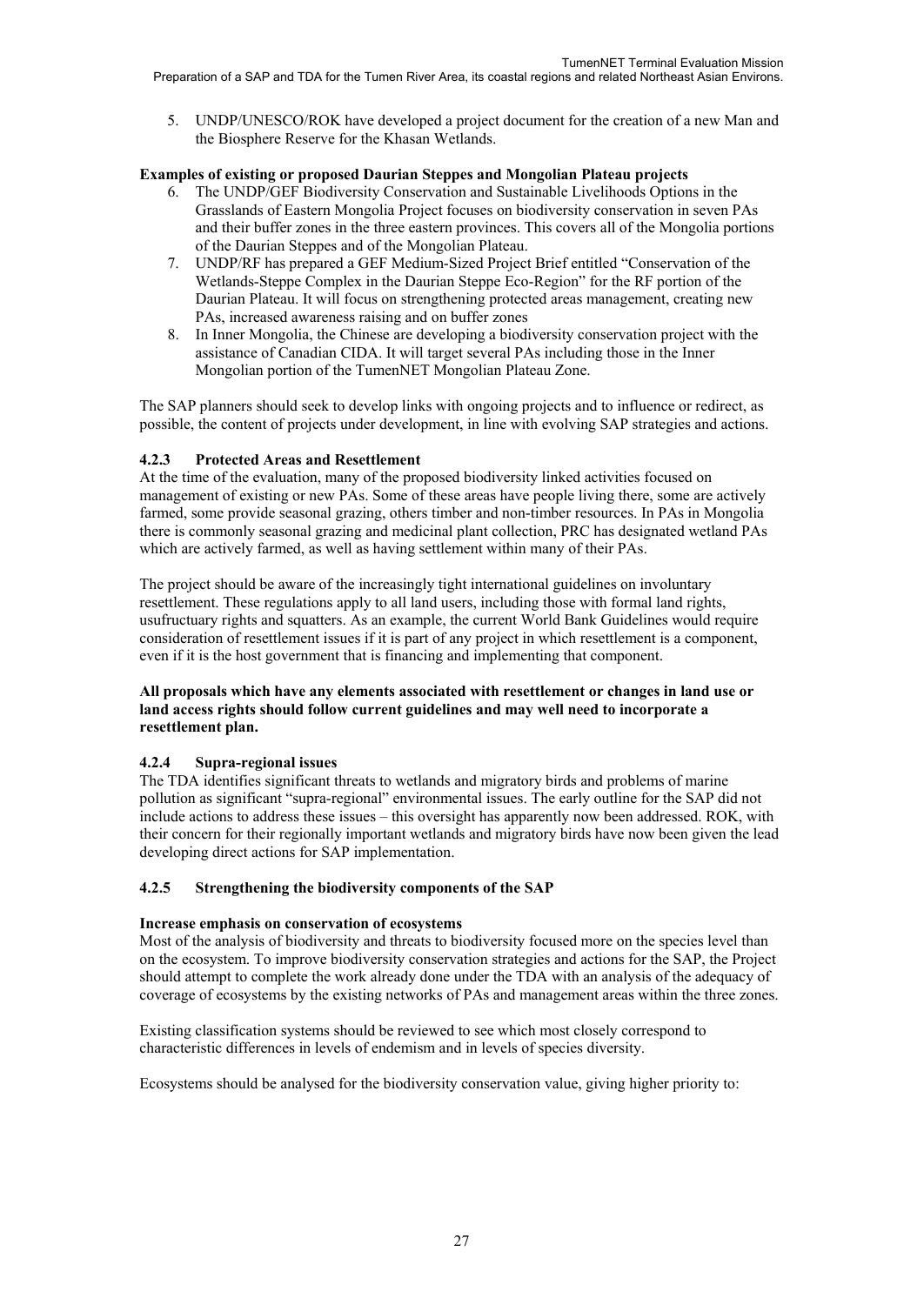Preparation of a SAP and TDA for the Tumen River Area, its coastal regions and related Northeast Asian Environs.

5. UNDP/UNESCO/ROK have developed a project document for the creation of a new Man and the Biosphere Reserve for the Khasan Wetlands.

#### **Examples of existing or proposed Daurian Steppes and Mongolian Plateau projects**

- 6. The UNDP/GEF Biodiversity Conservation and Sustainable Livelihoods Options in the Grasslands of Eastern Mongolia Project focuses on biodiversity conservation in seven PAs and their buffer zones in the three eastern provinces. This covers all of the Mongolia portions of the Daurian Steppes and of the Mongolian Plateau.
- 7. UNDP/RF has prepared a GEF Medium-Sized Project Brief entitled "Conservation of the Wetlands-Steppe Complex in the Daurian Steppe Eco-Region" for the RF portion of the Daurian Plateau. It will focus on strengthening protected areas management, creating new PAs, increased awareness raising and on buffer zones
- 8. In Inner Mongolia, the Chinese are developing a biodiversity conservation project with the assistance of Canadian CIDA. It will target several PAs including those in the Inner Mongolian portion of the TumenNET Mongolian Plateau Zone.

The SAP planners should seek to develop links with ongoing projects and to influence or redirect, as possible, the content of projects under development, in line with evolving SAP strategies and actions.

#### **4.2.3 Protected Areas and Resettlement**

At the time of the evaluation, many of the proposed biodiversity linked activities focused on management of existing or new PAs. Some of these areas have people living there, some are actively farmed, some provide seasonal grazing, others timber and non-timber resources. In PAs in Mongolia there is commonly seasonal grazing and medicinal plant collection, PRC has designated wetland PAs which are actively farmed, as well as having settlement within many of their PAs.

The project should be aware of the increasingly tight international guidelines on involuntary resettlement. These regulations apply to all land users, including those with formal land rights, usufructuary rights and squatters. As an example, the current World Bank Guidelines would require consideration of resettlement issues if it is part of any project in which resettlement is a component, even if it is the host government that is financing and implementing that component.

#### **All proposals which have any elements associated with resettlement or changes in land use or land access rights should follow current guidelines and may well need to incorporate a resettlement plan.**

#### **4.2.4 Supra-regional issues**

The TDA identifies significant threats to wetlands and migratory birds and problems of marine pollution as significant "supra-regional" environmental issues. The early outline for the SAP did not include actions to address these issues – this oversight has apparently now been addressed. ROK, with their concern for their regionally important wetlands and migratory birds have now been given the lead developing direct actions for SAP implementation.

#### **4.2.5 Strengthening the biodiversity components of the SAP**

#### **Increase emphasis on conservation of ecosystems**

Most of the analysis of biodiversity and threats to biodiversity focused more on the species level than on the ecosystem. To improve biodiversity conservation strategies and actions for the SAP, the Project should attempt to complete the work already done under the TDA with an analysis of the adequacy of coverage of ecosystems by the existing networks of PAs and management areas within the three zones.

Existing classification systems should be reviewed to see which most closely correspond to characteristic differences in levels of endemism and in levels of species diversity.

Ecosystems should be analysed for the biodiversity conservation value, giving higher priority to: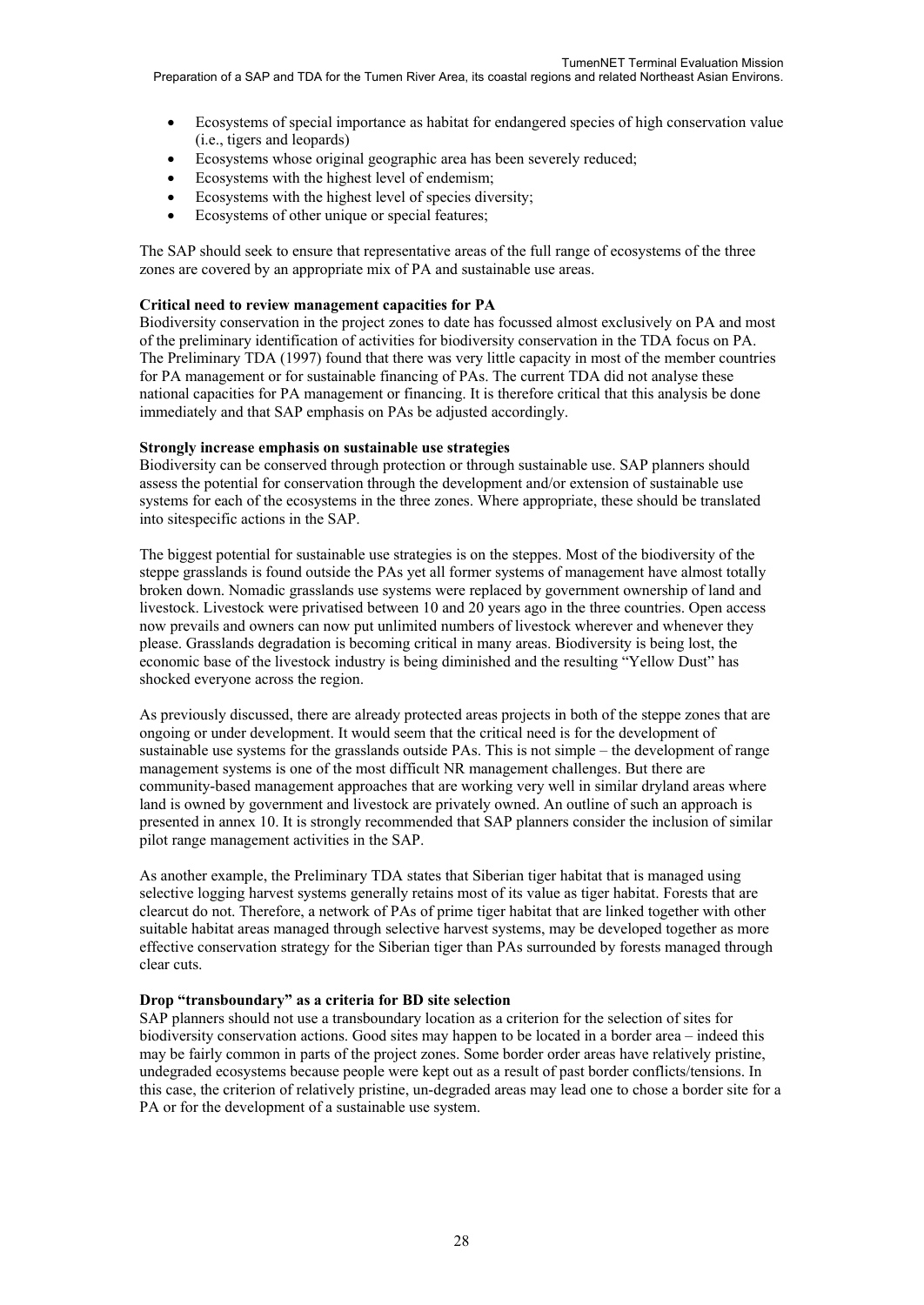- Ecosystems of special importance as habitat for endangered species of high conservation value (i.e., tigers and leopards)
- Ecosystems whose original geographic area has been severely reduced;
- Ecosystems with the highest level of endemism;
- Ecosystems with the highest level of species diversity;
- Ecosystems of other unique or special features;

The SAP should seek to ensure that representative areas of the full range of ecosystems of the three zones are covered by an appropriate mix of PA and sustainable use areas.

#### **Critical need to review management capacities for PA**

Biodiversity conservation in the project zones to date has focussed almost exclusively on PA and most of the preliminary identification of activities for biodiversity conservation in the TDA focus on PA. The Preliminary TDA (1997) found that there was very little capacity in most of the member countries for PA management or for sustainable financing of PAs. The current TDA did not analyse these national capacities for PA management or financing. It is therefore critical that this analysis be done immediately and that SAP emphasis on PAs be adjusted accordingly.

#### **Strongly increase emphasis on sustainable use strategies**

Biodiversity can be conserved through protection or through sustainable use. SAP planners should assess the potential for conservation through the development and/or extension of sustainable use systems for each of the ecosystems in the three zones. Where appropriate, these should be translated into sitespecific actions in the SAP.

The biggest potential for sustainable use strategies is on the steppes. Most of the biodiversity of the steppe grasslands is found outside the PAs yet all former systems of management have almost totally broken down. Nomadic grasslands use systems were replaced by government ownership of land and livestock. Livestock were privatised between 10 and 20 years ago in the three countries. Open access now prevails and owners can now put unlimited numbers of livestock wherever and whenever they please. Grasslands degradation is becoming critical in many areas. Biodiversity is being lost, the economic base of the livestock industry is being diminished and the resulting "Yellow Dust" has shocked everyone across the region.

As previously discussed, there are already protected areas projects in both of the steppe zones that are ongoing or under development. It would seem that the critical need is for the development of sustainable use systems for the grasslands outside PAs. This is not simple – the development of range management systems is one of the most difficult NR management challenges. But there are community-based management approaches that are working very well in similar dryland areas where land is owned by government and livestock are privately owned. An outline of such an approach is presented in annex 10. It is strongly recommended that SAP planners consider the inclusion of similar pilot range management activities in the SAP.

As another example, the Preliminary TDA states that Siberian tiger habitat that is managed using selective logging harvest systems generally retains most of its value as tiger habitat. Forests that are clearcut do not. Therefore, a network of PAs of prime tiger habitat that are linked together with other suitable habitat areas managed through selective harvest systems, may be developed together as more effective conservation strategy for the Siberian tiger than PAs surrounded by forests managed through clear cuts.

#### **Drop "transboundary" as a criteria for BD site selection**

SAP planners should not use a transboundary location as a criterion for the selection of sites for biodiversity conservation actions. Good sites may happen to be located in a border area – indeed this may be fairly common in parts of the project zones. Some border order areas have relatively pristine, undegraded ecosystems because people were kept out as a result of past border conflicts/tensions. In this case, the criterion of relatively pristine, un-degraded areas may lead one to chose a border site for a PA or for the development of a sustainable use system.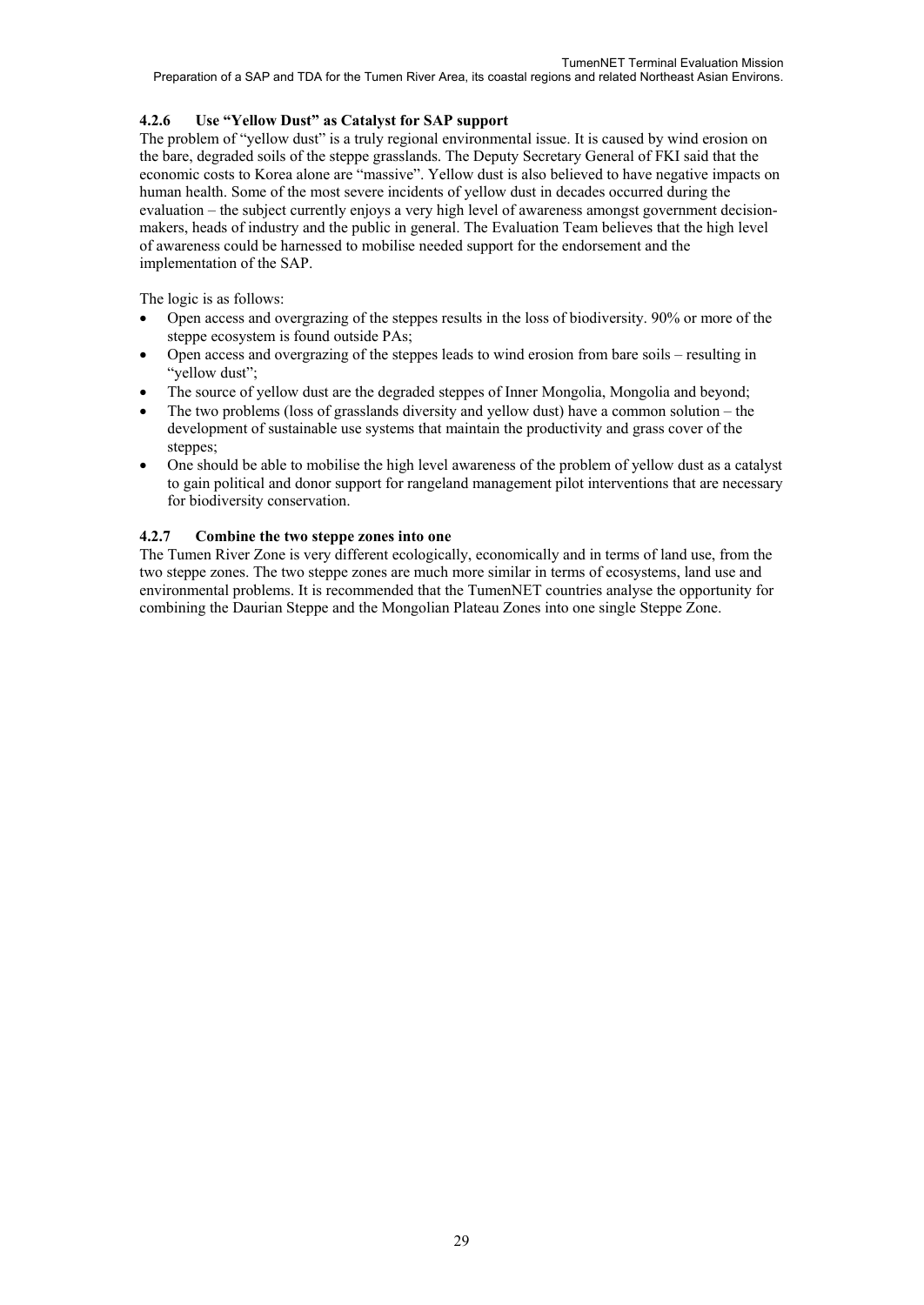### **4.2.6 Use "Yellow Dust" as Catalyst for SAP support**

The problem of "yellow dust" is a truly regional environmental issue. It is caused by wind erosion on the bare, degraded soils of the steppe grasslands. The Deputy Secretary General of FKI said that the economic costs to Korea alone are "massive". Yellow dust is also believed to have negative impacts on human health. Some of the most severe incidents of yellow dust in decades occurred during the evaluation – the subject currently enjoys a very high level of awareness amongst government decisionmakers, heads of industry and the public in general. The Evaluation Team believes that the high level of awareness could be harnessed to mobilise needed support for the endorsement and the implementation of the SAP.

The logic is as follows:

- Open access and overgrazing of the steppes results in the loss of biodiversity. 90% or more of the steppe ecosystem is found outside PAs;
- Open access and overgrazing of the steppes leads to wind erosion from bare soils resulting in "yellow dust";
- The source of yellow dust are the degraded steppes of Inner Mongolia, Mongolia and beyond;
- The two problems (loss of grasslands diversity and yellow dust) have a common solution the development of sustainable use systems that maintain the productivity and grass cover of the steppes;
- One should be able to mobilise the high level awareness of the problem of yellow dust as a catalyst to gain political and donor support for rangeland management pilot interventions that are necessary for biodiversity conservation.

### **4.2.7 Combine the two steppe zones into one**

The Tumen River Zone is very different ecologically, economically and in terms of land use, from the two steppe zones. The two steppe zones are much more similar in terms of ecosystems, land use and environmental problems. It is recommended that the TumenNET countries analyse the opportunity for combining the Daurian Steppe and the Mongolian Plateau Zones into one single Steppe Zone.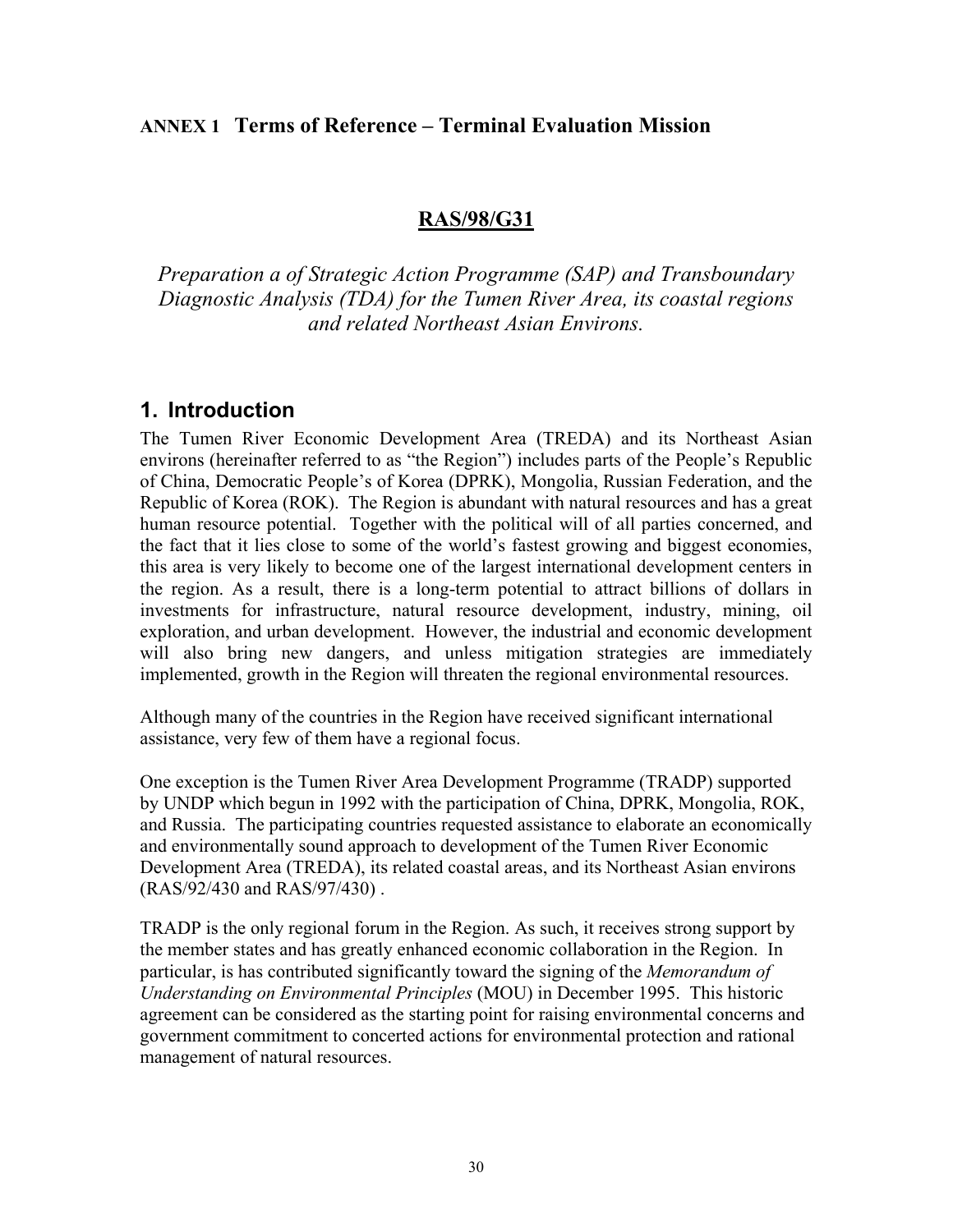## **ANNEX 1 Terms of Reference – Terminal Evaluation Mission**

## **RAS/98/G31**

*Preparation a of Strategic Action Programme (SAP) and Transboundary Diagnostic Analysis (TDA) for the Tumen River Area, its coastal regions and related Northeast Asian Environs.*

## **1. Introduction**

The Tumen River Economic Development Area (TREDA) and its Northeast Asian environs (hereinafter referred to as "the Region") includes parts of the People's Republic of China, Democratic People's of Korea (DPRK), Mongolia, Russian Federation, and the Republic of Korea (ROK). The Region is abundant with natural resources and has a great human resource potential. Together with the political will of all parties concerned, and the fact that it lies close to some of the world's fastest growing and biggest economies, this area is very likely to become one of the largest international development centers in the region. As a result, there is a long-term potential to attract billions of dollars in investments for infrastructure, natural resource development, industry, mining, oil exploration, and urban development. However, the industrial and economic development will also bring new dangers, and unless mitigation strategies are immediately implemented, growth in the Region will threaten the regional environmental resources.

Although many of the countries in the Region have received significant international assistance, very few of them have a regional focus.

One exception is the Tumen River Area Development Programme (TRADP) supported by UNDP which begun in 1992 with the participation of China, DPRK, Mongolia, ROK, and Russia. The participating countries requested assistance to elaborate an economically and environmentally sound approach to development of the Tumen River Economic Development Area (TREDA), its related coastal areas, and its Northeast Asian environs (RAS/92/430 and RAS/97/430) .

TRADP is the only regional forum in the Region. As such, it receives strong support by the member states and has greatly enhanced economic collaboration in the Region. In particular, is has contributed significantly toward the signing of the *Memorandum of Understanding on Environmental Principles* (MOU) in December 1995. This historic agreement can be considered as the starting point for raising environmental concerns and government commitment to concerted actions for environmental protection and rational management of natural resources.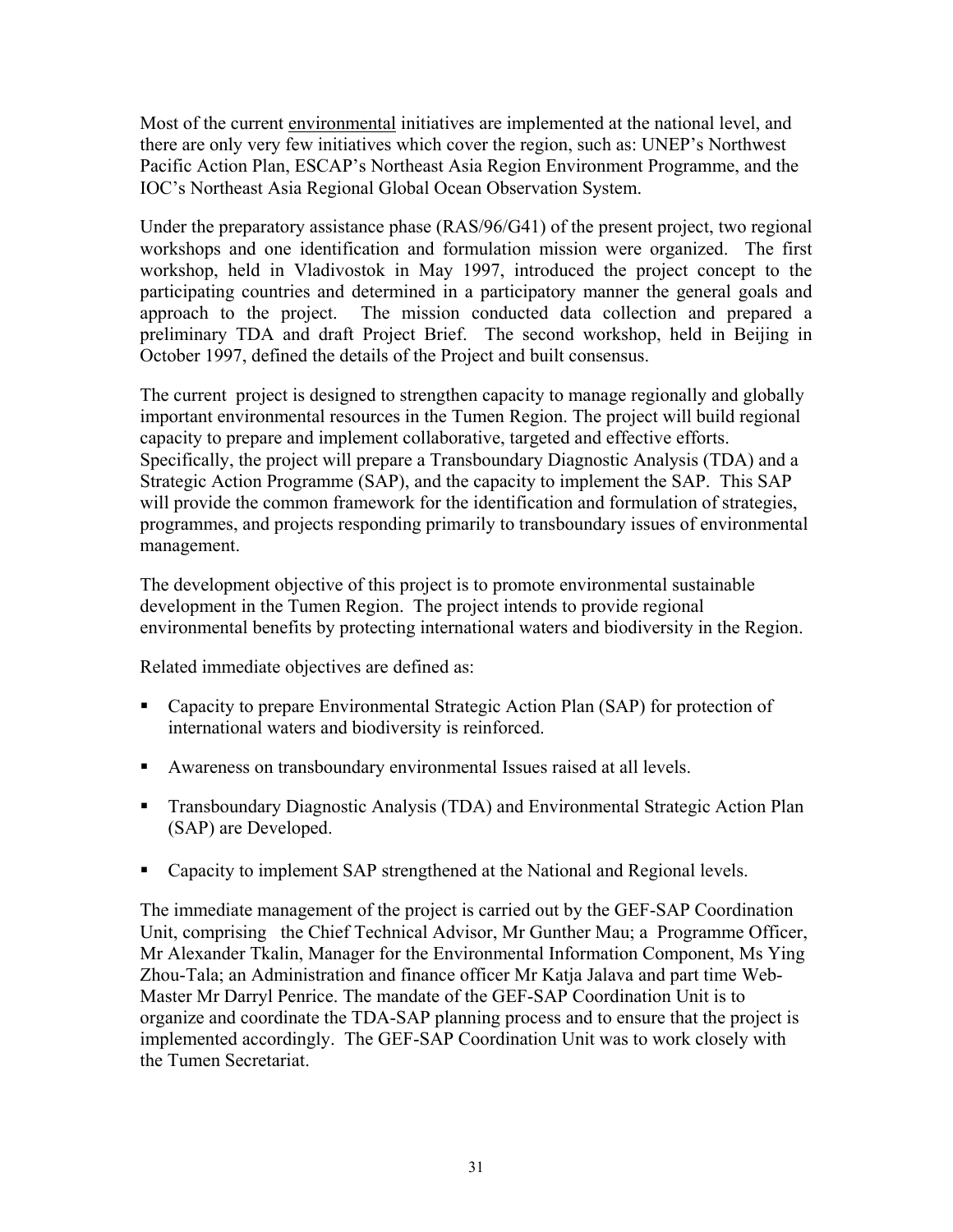Most of the current environmental initiatives are implemented at the national level, and there are only very few initiatives which cover the region, such as: UNEP's Northwest Pacific Action Plan, ESCAP's Northeast Asia Region Environment Programme, and the IOC's Northeast Asia Regional Global Ocean Observation System.

Under the preparatory assistance phase (RAS/96/G41) of the present project, two regional workshops and one identification and formulation mission were organized. The first workshop, held in Vladivostok in May 1997, introduced the project concept to the participating countries and determined in a participatory manner the general goals and approach to the project. The mission conducted data collection and prepared a preliminary TDA and draft Project Brief. The second workshop, held in Beijing in October 1997, defined the details of the Project and built consensus.

The current project is designed to strengthen capacity to manage regionally and globally important environmental resources in the Tumen Region. The project will build regional capacity to prepare and implement collaborative, targeted and effective efforts. Specifically, the project will prepare a Transboundary Diagnostic Analysis (TDA) and a Strategic Action Programme (SAP), and the capacity to implement the SAP. This SAP will provide the common framework for the identification and formulation of strategies, programmes, and projects responding primarily to transboundary issues of environmental management.

The development objective of this project is to promote environmental sustainable development in the Tumen Region. The project intends to provide regional environmental benefits by protecting international waters and biodiversity in the Region.

Related immediate objectives are defined as:

- Capacity to prepare Environmental Strategic Action Plan (SAP) for protection of international waters and biodiversity is reinforced.
- Awareness on transboundary environmental Issues raised at all levels.
- Transboundary Diagnostic Analysis (TDA) and Environmental Strategic Action Plan (SAP) are Developed.
- Capacity to implement SAP strengthened at the National and Regional levels.

The immediate management of the project is carried out by the GEF-SAP Coordination Unit, comprising the Chief Technical Advisor, Mr Gunther Mau; a Programme Officer, Mr Alexander Tkalin, Manager for the Environmental Information Component, Ms Ying Zhou-Tala; an Administration and finance officer Mr Katja Jalava and part time Web-Master Mr Darryl Penrice. The mandate of the GEF-SAP Coordination Unit is to organize and coordinate the TDA-SAP planning process and to ensure that the project is implemented accordingly. The GEF-SAP Coordination Unit was to work closely with the Tumen Secretariat.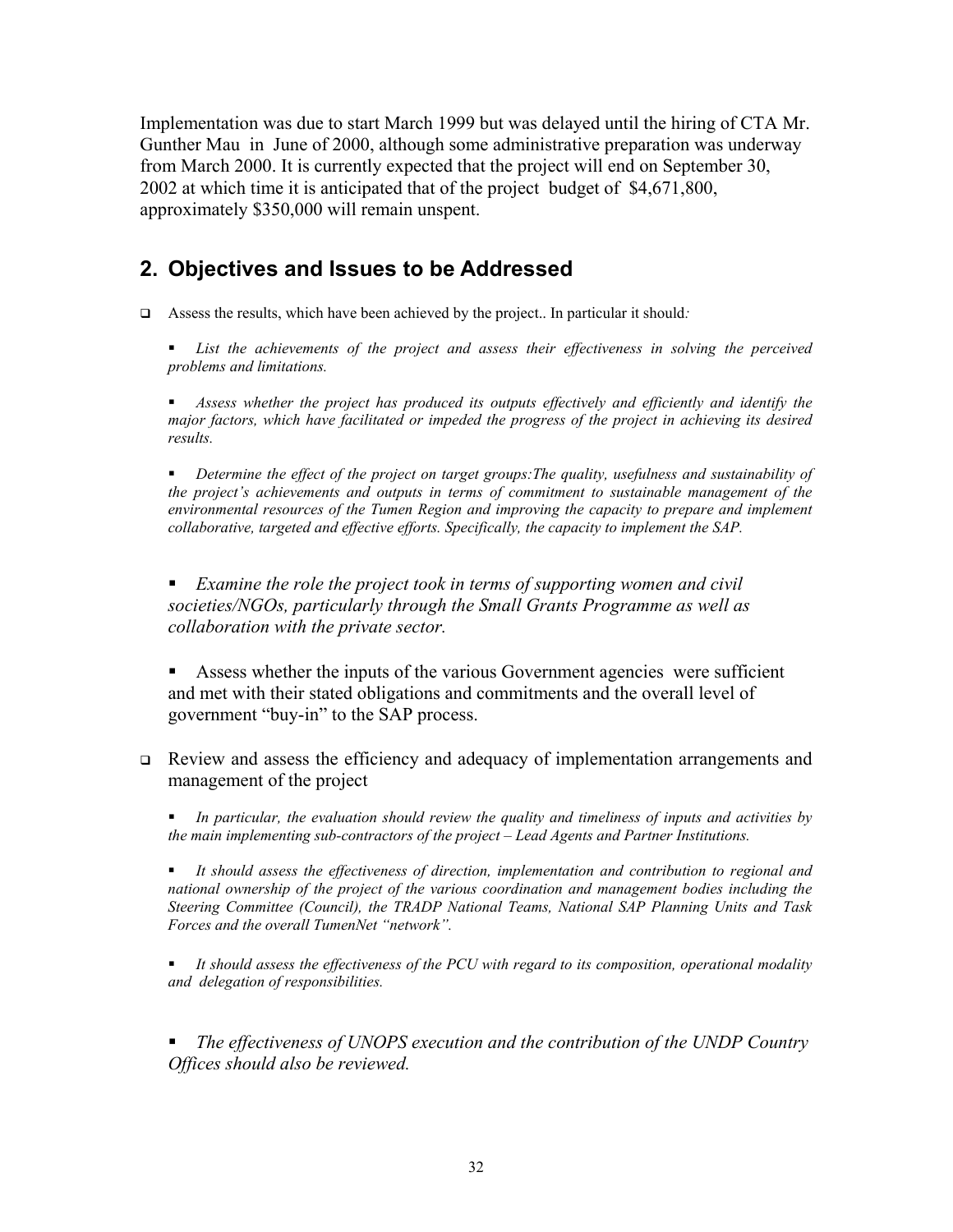Implementation was due to start March 1999 but was delayed until the hiring of CTA Mr. Gunther Mau in June of 2000, although some administrative preparation was underway from March 2000. It is currently expected that the project will end on September 30, 2002 at which time it is anticipated that of the project budget of \$4,671,800, approximately \$350,000 will remain unspent.

# **2. Objectives and Issues to be Addressed**

- Assess the results, which have been achieved by the project.. In particular it should*:* 
	- *List the achievements of the project and assess their effectiveness in solving the perceived problems and limitations.*

 *Assess whether the project has produced its outputs effectively and efficiently and identify the major factors, which have facilitated or impeded the progress of the project in achieving its desired results.* 

 *Determine the effect of the project on target groups:The quality, usefulness and sustainability of the project's achievements and outputs in terms of commitment to sustainable management of the environmental resources of the Tumen Region and improving the capacity to prepare and implement collaborative, targeted and effective efforts. Specifically, the capacity to implement the SAP.* 

 *Examine the role the project took in terms of supporting women and civil societies/NGOs, particularly through the Small Grants Programme as well as collaboration with the private sector.* 

 Assess whether the inputs of the various Government agencies were sufficient and met with their stated obligations and commitments and the overall level of government "buy-in" to the SAP process.

 Review and assess the efficiency and adequacy of implementation arrangements and management of the project

 *In particular, the evaluation should review the quality and timeliness of inputs and activities by the main implementing sub-contractors of the project – Lead Agents and Partner Institutions.* 

 *It should assess the effectiveness of direction, implementation and contribution to regional and national ownership of the project of the various coordination and management bodies including the Steering Committee (Council), the TRADP National Teams, National SAP Planning Units and Task Forces and the overall TumenNet "network".* 

 *It should assess the effectiveness of the PCU with regard to its composition, operational modality and delegation of responsibilities.*

 *The effectiveness of UNOPS execution and the contribution of the UNDP Country Offices should also be reviewed.*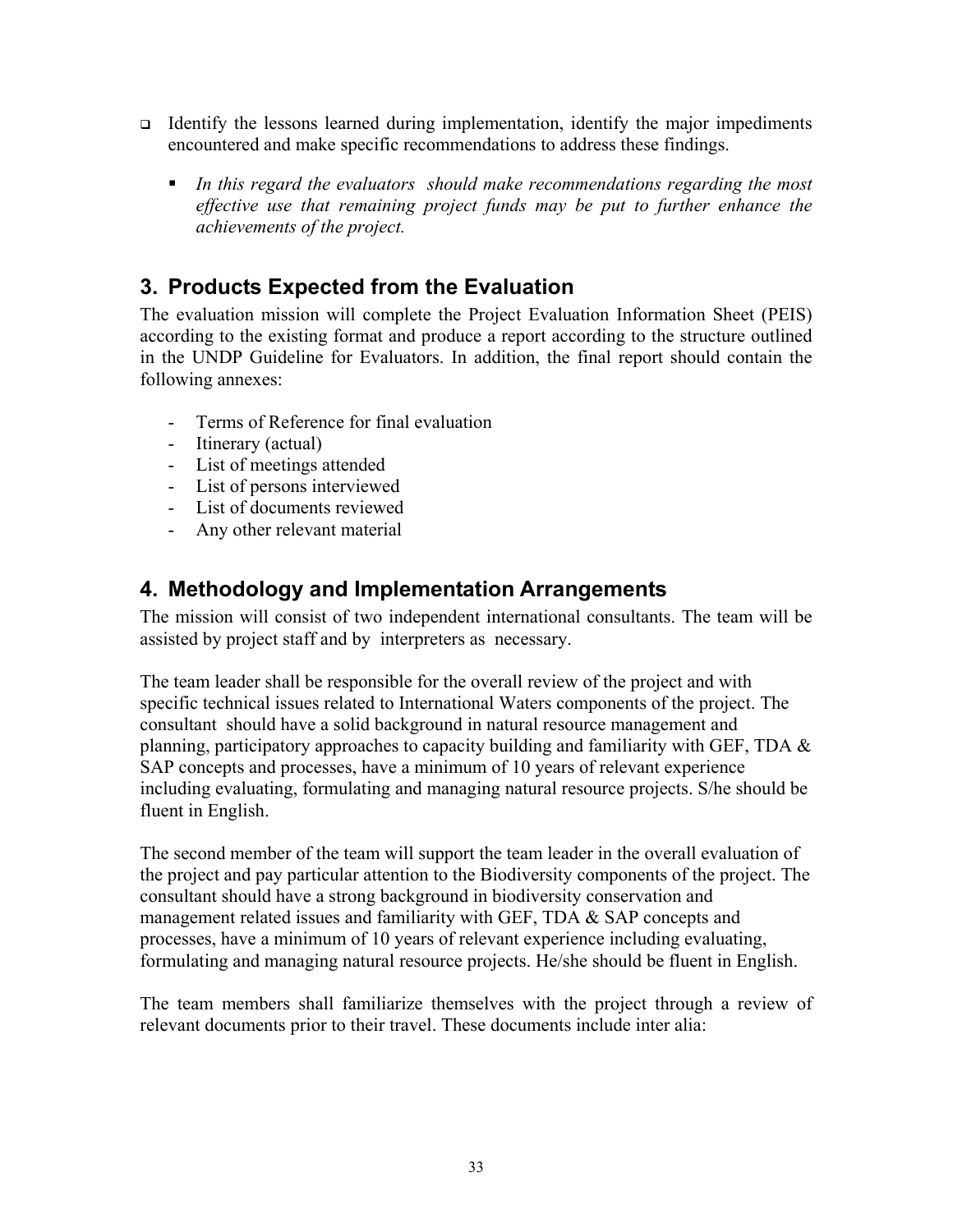- Identify the lessons learned during implementation, identify the major impediments encountered and make specific recommendations to address these findings.
	- *In this regard the evaluators should make recommendations regarding the most effective use that remaining project funds may be put to further enhance the achievements of the project.*

# **3. Products Expected from the Evaluation**

The evaluation mission will complete the Project Evaluation Information Sheet (PEIS) according to the existing format and produce a report according to the structure outlined in the UNDP Guideline for Evaluators. In addition, the final report should contain the following annexes:

- Terms of Reference for final evaluation
- Itinerary (actual)
- List of meetings attended
- List of persons interviewed
- List of documents reviewed
- Any other relevant material

# **4. Methodology and Implementation Arrangements**

The mission will consist of two independent international consultants. The team will be assisted by project staff and by interpreters as necessary.

The team leader shall be responsible for the overall review of the project and with specific technical issues related to International Waters components of the project. The consultant should have a solid background in natural resource management and planning, participatory approaches to capacity building and familiarity with GEF, TDA  $\&$ SAP concepts and processes, have a minimum of 10 years of relevant experience including evaluating, formulating and managing natural resource projects. S/he should be fluent in English.

The second member of the team will support the team leader in the overall evaluation of the project and pay particular attention to the Biodiversity components of the project. The consultant should have a strong background in biodiversity conservation and management related issues and familiarity with GEF, TDA & SAP concepts and processes, have a minimum of 10 years of relevant experience including evaluating, formulating and managing natural resource projects. He/she should be fluent in English.

The team members shall familiarize themselves with the project through a review of relevant documents prior to their travel. These documents include inter alia: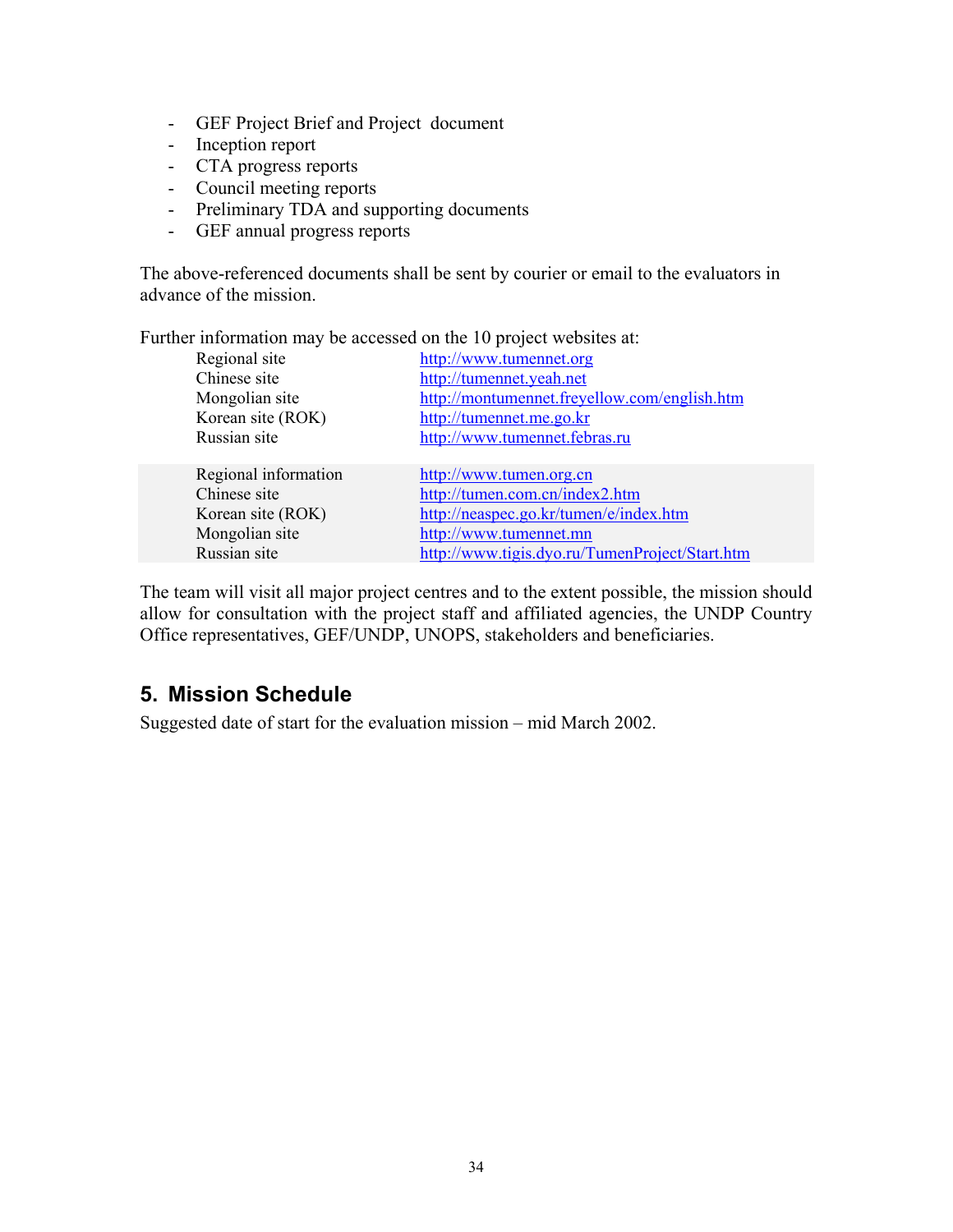- GEF Project Brief and Project document
- Inception report
- CTA progress reports
- Council meeting reports
- Preliminary TDA and supporting documents
- GEF annual progress reports

The above-referenced documents shall be sent by courier or email to the evaluators in advance of the mission.

Further information may be accessed on the 10 project websites at:

| Regional site<br>http://www.tumennet.org                       |  |
|----------------------------------------------------------------|--|
| Chinese site<br>http://tumennet.yeah.net                       |  |
| http://montumennet.freyellow.com/english.htm<br>Mongolian site |  |
| Korean site (ROK)<br>http://tumennet.me.go.kr                  |  |
| Russian site<br>http://www.tumennet.febras.ru                  |  |
|                                                                |  |
| Regional information<br>http://www.tumen.org.cn                |  |
| http://tumen.com.cn/index2.htm<br>Chinese site                 |  |
| http://neaspec.go.kr/tumen/e/index.htm<br>Korean site (ROK)    |  |
| Mongolian site<br>http://www.tumennet.mn                       |  |
| http://www.tigis.dyo.ru/TumenProject/Start.htm<br>Russian site |  |

The team will visit all major project centres and to the extent possible, the mission should allow for consultation with the project staff and affiliated agencies, the UNDP Country Office representatives, GEF/UNDP, UNOPS, stakeholders and beneficiaries.

# **5. Mission Schedule**

Suggested date of start for the evaluation mission – mid March 2002.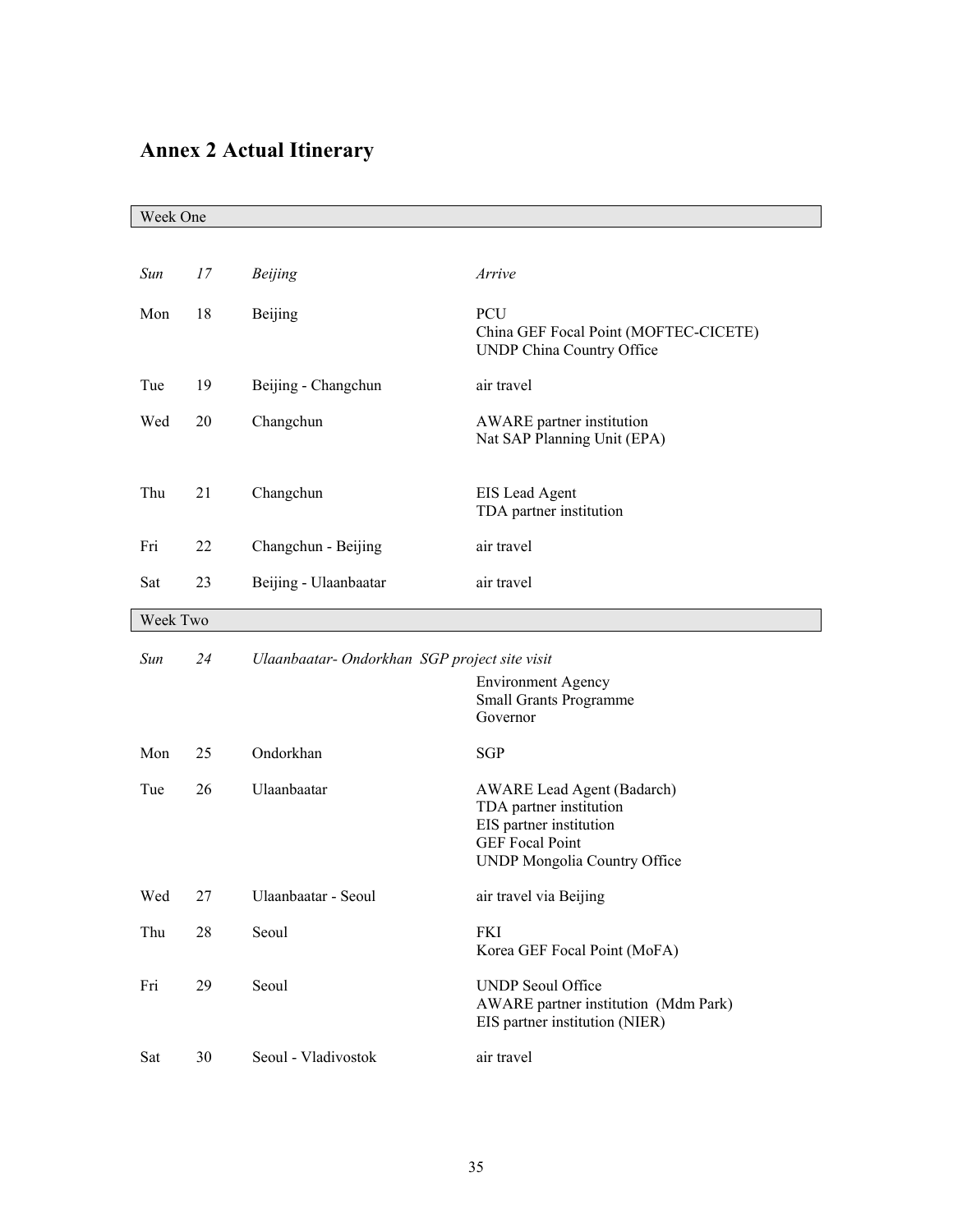# **Annex 2 Actual Itinerary**

| Week One |          |                                               |                                                                                                                                                   |  |  |
|----------|----------|-----------------------------------------------|---------------------------------------------------------------------------------------------------------------------------------------------------|--|--|
|          |          |                                               |                                                                                                                                                   |  |  |
| Sun      | 17       | <b>Beijing</b>                                | Arrive                                                                                                                                            |  |  |
| Mon      | 18       | Beijing                                       | PCU<br>China GEF Focal Point (MOFTEC-CICETE)<br>UNDP China Country Office                                                                         |  |  |
| Tue      | 19       | Beijing - Changchun                           | air travel                                                                                                                                        |  |  |
| Wed      | 20       | Changchun                                     | AWARE partner institution<br>Nat SAP Planning Unit (EPA)                                                                                          |  |  |
| Thu      | 21       | Changchun                                     | EIS Lead Agent<br>TDA partner institution                                                                                                         |  |  |
| Fri      | 22       | Changchun - Beijing                           | air travel                                                                                                                                        |  |  |
| Sat      | 23       | Beijing - Ulaanbaatar                         | air travel                                                                                                                                        |  |  |
|          | Week Two |                                               |                                                                                                                                                   |  |  |
| Sun      | 24       | Ulaanbaatar- Ondorkhan SGP project site visit |                                                                                                                                                   |  |  |
|          |          |                                               | <b>Environment Agency</b><br><b>Small Grants Programme</b><br>Governor                                                                            |  |  |
| Mon      | 25       | Ondorkhan                                     | SGP                                                                                                                                               |  |  |
| Tue      | 26       | Ulaanbaatar                                   | <b>AWARE Lead Agent (Badarch)</b><br>TDA partner institution<br>EIS partner institution<br><b>GEF</b> Focal Point<br>UNDP Mongolia Country Office |  |  |
| Wed      | 27       | Ulaanbaatar - Seoul                           | air travel via Beijing                                                                                                                            |  |  |
| Thu      | 28       | Seoul                                         | <b>FKI</b><br>Korea GEF Focal Point (MoFA)                                                                                                        |  |  |
| Fri      | 29       | Seoul                                         | <b>UNDP</b> Seoul Office<br>AWARE partner institution (Mdm Park)<br>EIS partner institution (NIER)                                                |  |  |
| Sat      | 30       | Seoul - Vladivostok                           | air travel                                                                                                                                        |  |  |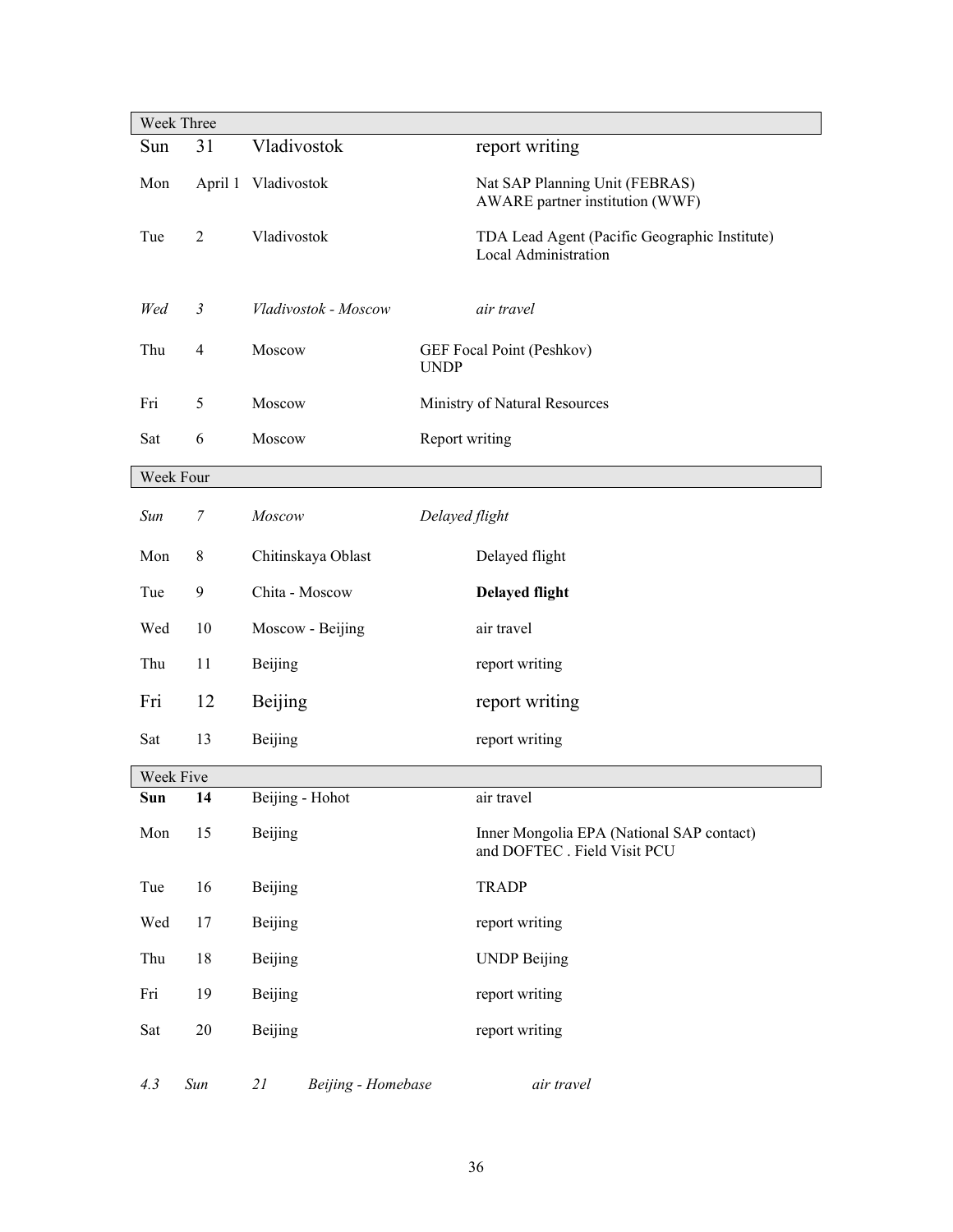|           | Week Three               |                          |                                                                           |
|-----------|--------------------------|--------------------------|---------------------------------------------------------------------------|
| Sun       | 31                       | Vladivostok              | report writing                                                            |
| Mon       |                          | April 1 Vladivostok      | Nat SAP Planning Unit (FEBRAS)<br>AWARE partner institution (WWF)         |
| Tue       | $\overline{2}$           | Vladivostok              | TDA Lead Agent (Pacific Geographic Institute)<br>Local Administration     |
| Wed       | $\mathfrak{Z}$           | Vladivostok - Moscow     | air travel                                                                |
| Thu       | $\overline{\mathcal{A}}$ | Moscow                   | GEF Focal Point (Peshkov)<br><b>UNDP</b>                                  |
| Fri       | 5                        | Moscow                   | Ministry of Natural Resources                                             |
| Sat       | 6                        | Moscow                   | Report writing                                                            |
| Week Four |                          |                          |                                                                           |
| Sun       | 7                        | Moscow                   | Delayed flight                                                            |
| Mon       | 8                        | Chitinskaya Oblast       | Delayed flight                                                            |
| Tue       | 9                        | Chita - Moscow           | <b>Delayed flight</b>                                                     |
| Wed       | 10                       | Moscow - Beijing         | air travel                                                                |
| Thu       | 11                       | Beijing                  | report writing                                                            |
| Fri       | 12                       | Beijing                  | report writing                                                            |
| Sat       | 13                       | Beijing                  | report writing                                                            |
| Week Five |                          |                          |                                                                           |
| Sun       | 14                       | Beijing - Hohot          | air travel                                                                |
| Mon       | 15                       | Beijing                  | Inner Mongolia EPA (National SAP contact)<br>and DOFTEC . Field Visit PCU |
| Tue       | 16                       | Beijing                  | <b>TRADP</b>                                                              |
| Wed       | 17                       | Beijing                  | report writing                                                            |
| Thu       | 18                       | Beijing                  | <b>UNDP Beijing</b>                                                       |
| Fri       | 19                       | Beijing                  | report writing                                                            |
| Sat       | $20\,$                   | Beijing                  | report writing                                                            |
| 4.3       | Sun                      | 21<br>Beijing - Homebase | air travel                                                                |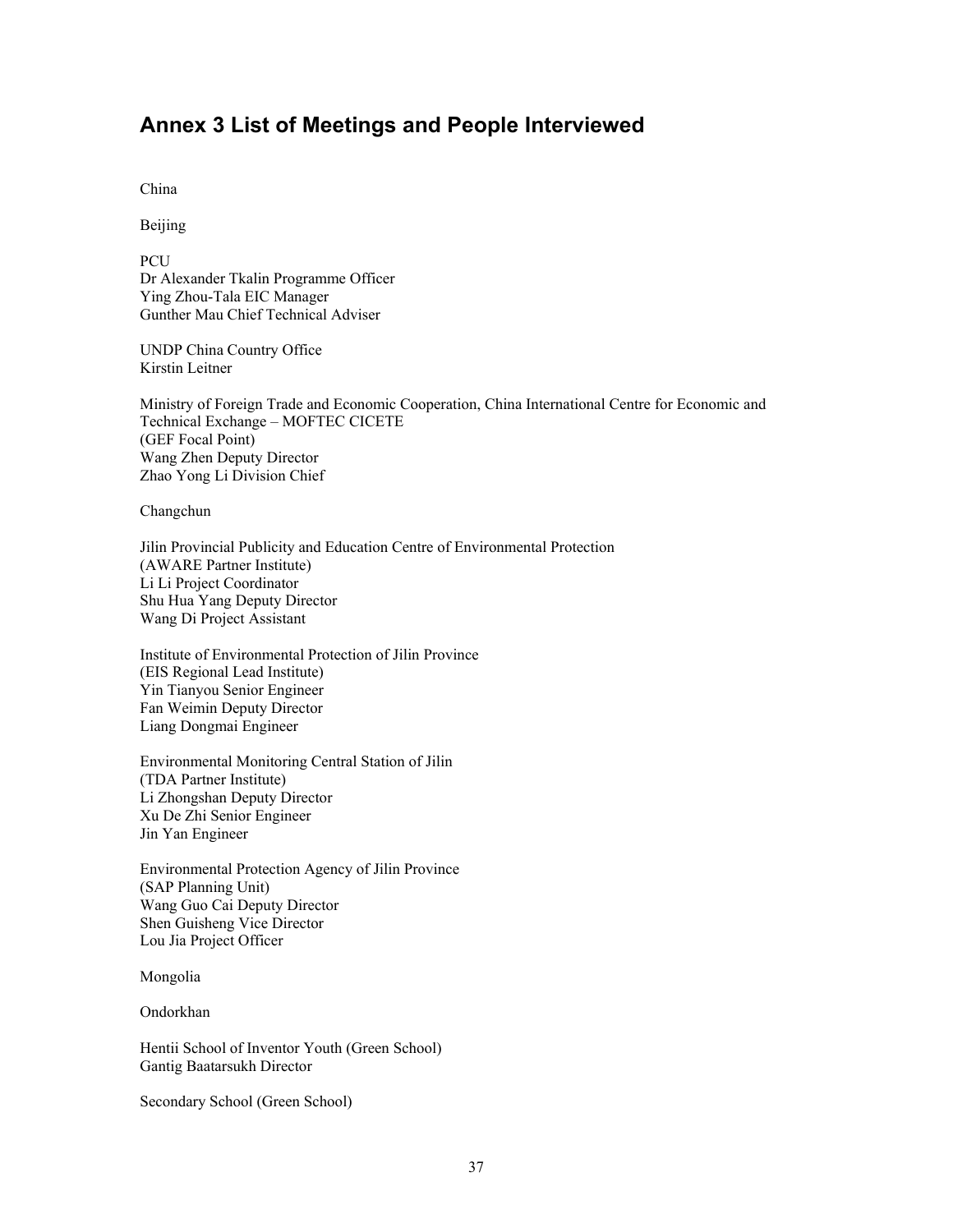## **Annex 3 List of Meetings and People Interviewed**

China

Beijing

**PCU** Dr Alexander Tkalin Programme Officer Ying Zhou-Tala EIC Manager Gunther Mau Chief Technical Adviser

UNDP China Country Office Kirstin Leitner

Ministry of Foreign Trade and Economic Cooperation, China International Centre for Economic and Technical Exchange – MOFTEC CICETE (GEF Focal Point) Wang Zhen Deputy Director Zhao Yong Li Division Chief

Changchun

Jilin Provincial Publicity and Education Centre of Environmental Protection (AWARE Partner Institute) Li Li Project Coordinator Shu Hua Yang Deputy Director Wang Di Project Assistant

Institute of Environmental Protection of Jilin Province (EIS Regional Lead Institute) Yin Tianyou Senior Engineer Fan Weimin Deputy Director Liang Dongmai Engineer

Environmental Monitoring Central Station of Jilin (TDA Partner Institute) Li Zhongshan Deputy Director Xu De Zhi Senior Engineer Jin Yan Engineer

Environmental Protection Agency of Jilin Province (SAP Planning Unit) Wang Guo Cai Deputy Director Shen Guisheng Vice Director Lou Jia Project Officer

Mongolia

Ondorkhan

Hentii School of Inventor Youth (Green School) Gantig Baatarsukh Director

Secondary School (Green School)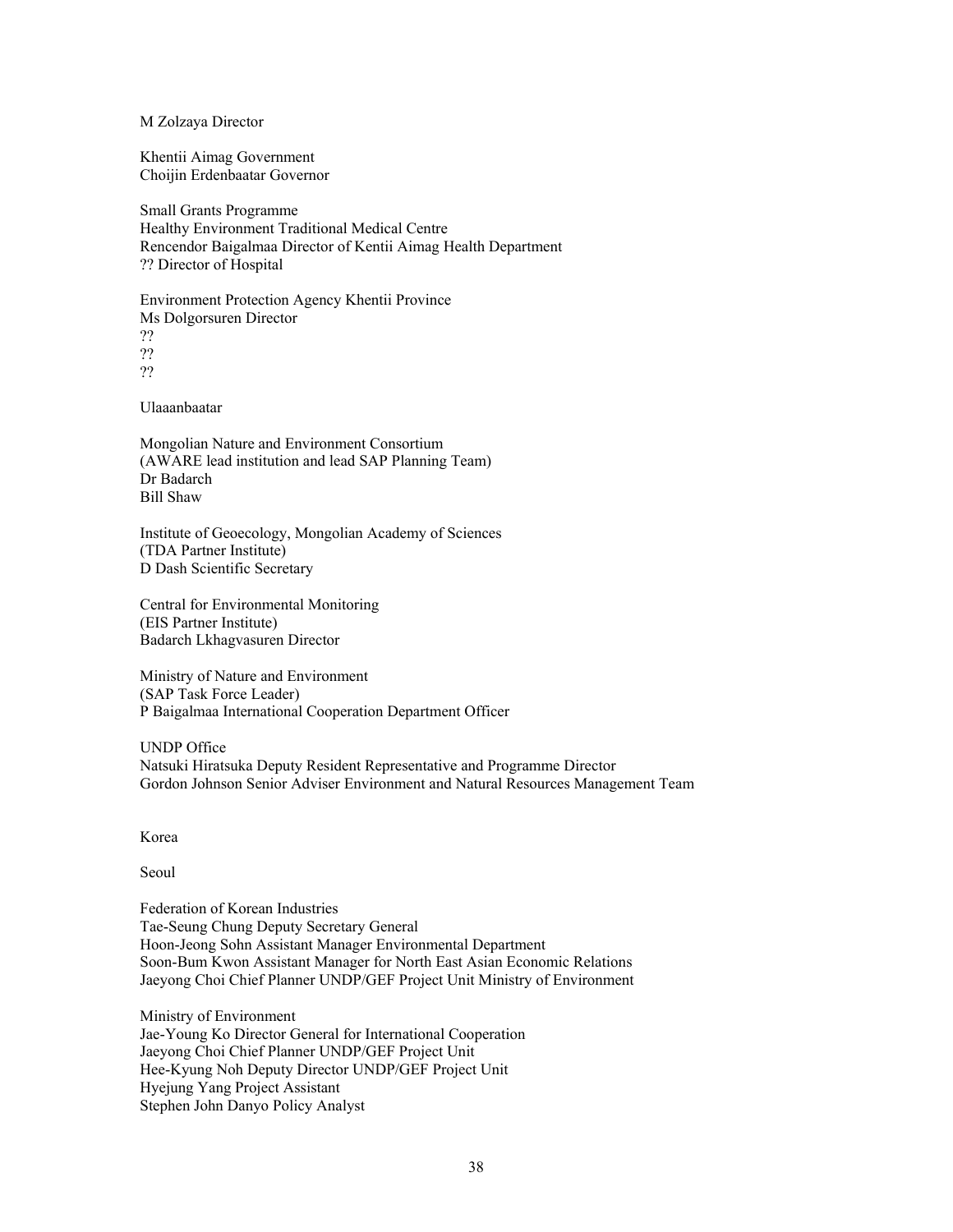M Zolzaya Director

Khentii Aimag Government Choijin Erdenbaatar Governor

Small Grants Programme Healthy Environment Traditional Medical Centre Rencendor Baigalmaa Director of Kentii Aimag Health Department ?? Director of Hospital

Environment Protection Agency Khentii Province Ms Dolgorsuren Director ?? ?? ??

Ulaaanbaatar

Mongolian Nature and Environment Consortium (AWARE lead institution and lead SAP Planning Team) Dr Badarch Bill Shaw

Institute of Geoecology, Mongolian Academy of Sciences (TDA Partner Institute) D Dash Scientific Secretary

Central for Environmental Monitoring (EIS Partner Institute) Badarch Lkhagvasuren Director

Ministry of Nature and Environment (SAP Task Force Leader) P Baigalmaa International Cooperation Department Officer

UNDP Office Natsuki Hiratsuka Deputy Resident Representative and Programme Director Gordon Johnson Senior Adviser Environment and Natural Resources Management Team

Korea

Seoul

Federation of Korean Industries Tae-Seung Chung Deputy Secretary General Hoon-Jeong Sohn Assistant Manager Environmental Department Soon-Bum Kwon Assistant Manager for North East Asian Economic Relations Jaeyong Choi Chief Planner UNDP/GEF Project Unit Ministry of Environment

Ministry of Environment Jae-Young Ko Director General for International Cooperation Jaeyong Choi Chief Planner UNDP/GEF Project Unit Hee-Kyung Noh Deputy Director UNDP/GEF Project Unit Hyejung Yang Project Assistant Stephen John Danyo Policy Analyst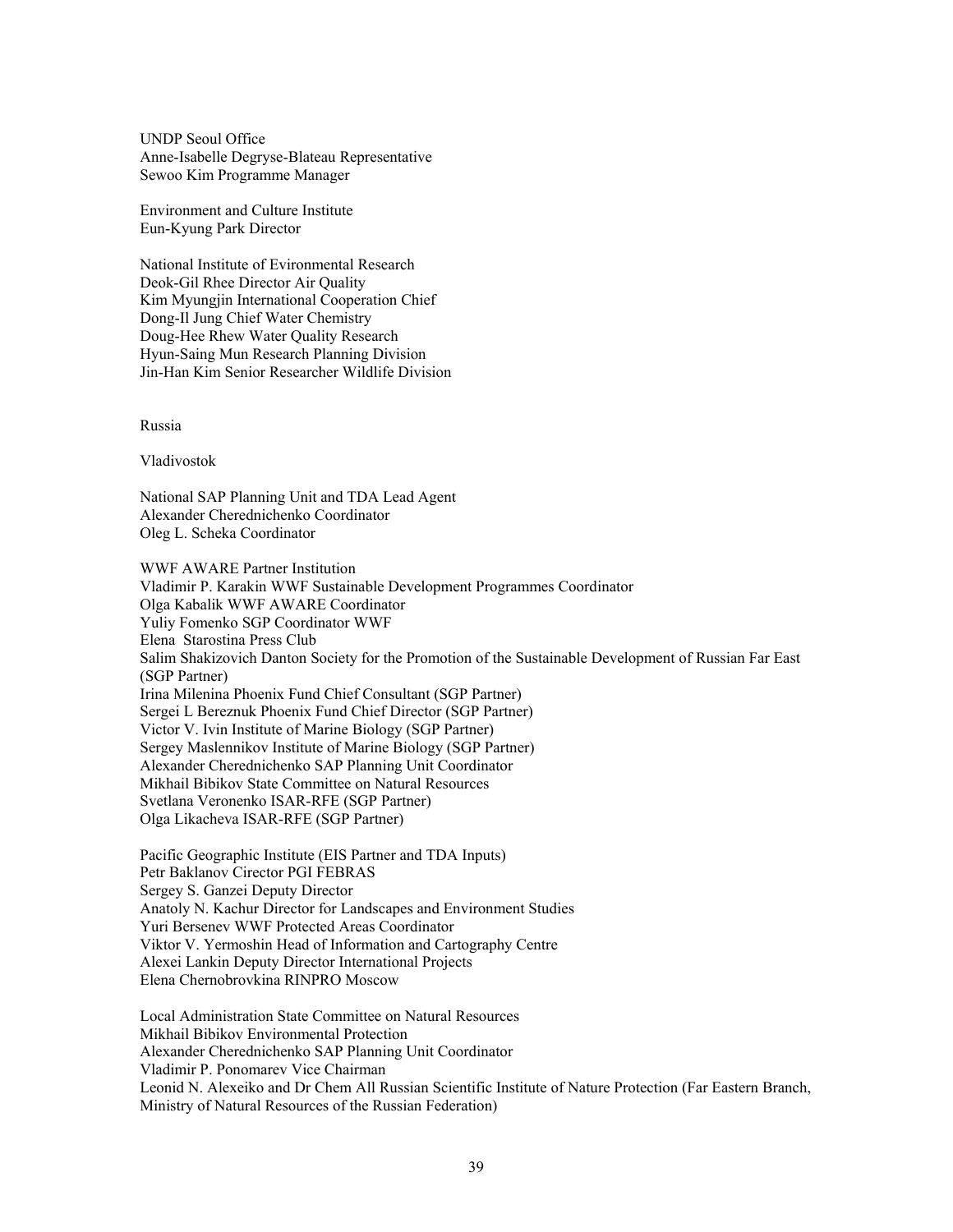UNDP Seoul Office Anne-Isabelle Degryse-Blateau Representative Sewoo Kim Programme Manager

Environment and Culture Institute Eun-Kyung Park Director

National Institute of Evironmental Research Deok-Gil Rhee Director Air Quality Kim Myungjin International Cooperation Chief Dong-Il Jung Chief Water Chemistry Doug-Hee Rhew Water Quality Research Hyun-Saing Mun Research Planning Division Jin-Han Kim Senior Researcher Wildlife Division

Russia

Vladivostok

National SAP Planning Unit and TDA Lead Agent Alexander Cherednichenko Coordinator Oleg L. Scheka Coordinator

WWF AWARE Partner Institution Vladimir P. Karakin WWF Sustainable Development Programmes Coordinator Olga Kabalik WWF AWARE Coordinator Yuliy Fomenko SGP Coordinator WWF Elena Starostina Press Club Salim Shakizovich Danton Society for the Promotion of the Sustainable Development of Russian Far East (SGP Partner) Irina Milenina Phoenix Fund Chief Consultant (SGP Partner) Sergei L Bereznuk Phoenix Fund Chief Director (SGP Partner) Victor V. Ivin Institute of Marine Biology (SGP Partner) Sergey Maslennikov Institute of Marine Biology (SGP Partner) Alexander Cherednichenko SAP Planning Unit Coordinator Mikhail Bibikov State Committee on Natural Resources Svetlana Veronenko ISAR-RFE (SGP Partner) Olga Likacheva ISAR-RFE (SGP Partner)

Pacific Geographic Institute (EIS Partner and TDA Inputs) Petr Baklanov Cirector PGI FEBRAS Sergey S. Ganzei Deputy Director Anatoly N. Kachur Director for Landscapes and Environment Studies Yuri Bersenev WWF Protected Areas Coordinator Viktor V. Yermoshin Head of Information and Cartography Centre Alexei Lankin Deputy Director International Projects Elena Chernobrovkina RINPRO Moscow

Local Administration State Committee on Natural Resources Mikhail Bibikov Environmental Protection Alexander Cherednichenko SAP Planning Unit Coordinator Vladimir P. Ponomarev Vice Chairman Leonid N. Alexeiko and Dr Chem All Russian Scientific Institute of Nature Protection (Far Eastern Branch, Ministry of Natural Resources of the Russian Federation)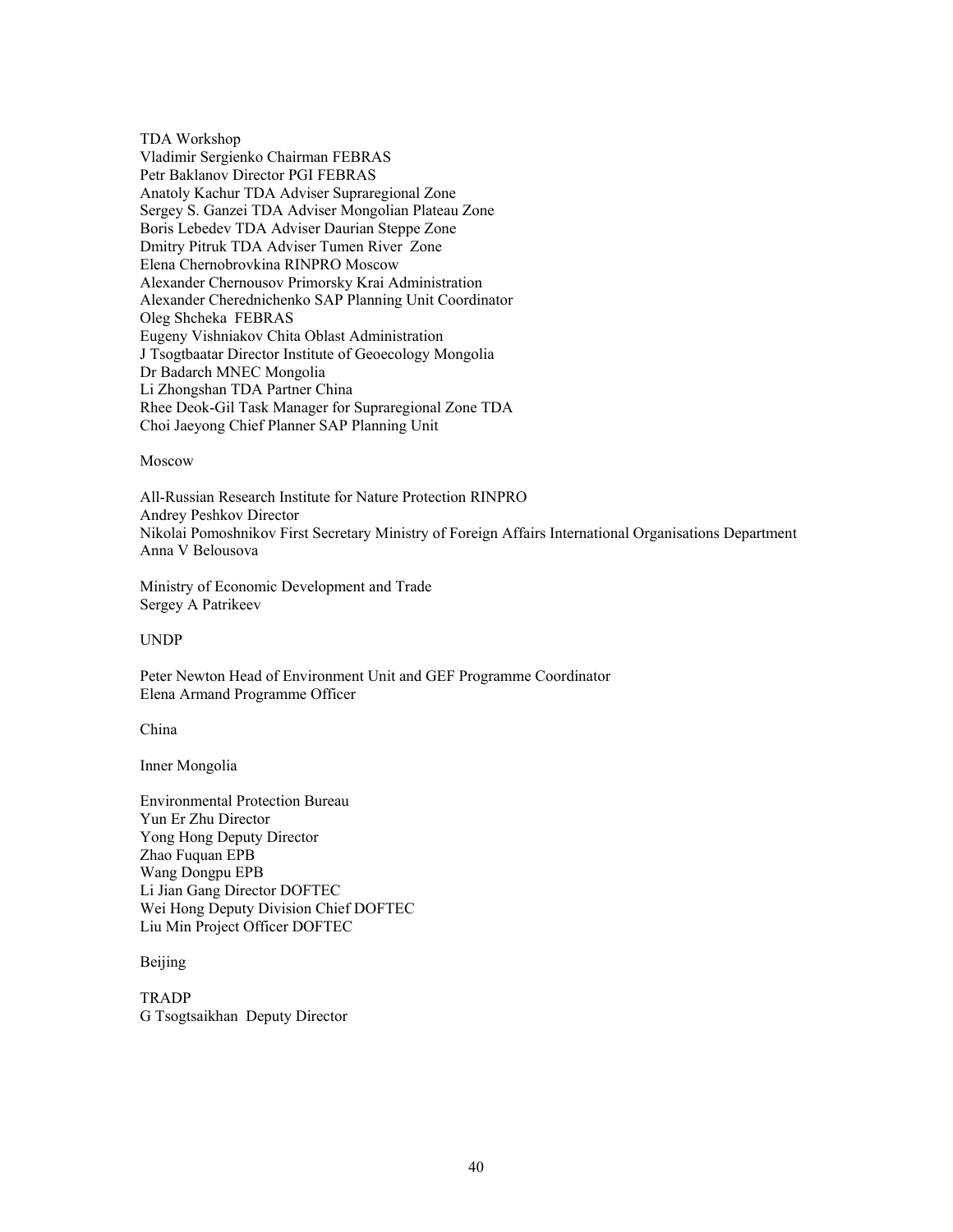TDA Workshop Vladimir Sergienko Chairman FEBRAS Petr Baklanov Director PGI FEBRAS Anatoly Kachur TDA Adviser Supraregional Zone Sergey S. Ganzei TDA Adviser Mongolian Plateau Zone Boris Lebedev TDA Adviser Daurian Steppe Zone Dmitry Pitruk TDA Adviser Tumen River Zone Elena Chernobrovkina RINPRO Moscow Alexander Chernousov Primorsky Krai Administration Alexander Cherednichenko SAP Planning Unit Coordinator Oleg Shcheka FEBRAS Eugeny Vishniakov Chita Oblast Administration J Tsogtbaatar Director Institute of Geoecology Mongolia Dr Badarch MNEC Mongolia Li Zhongshan TDA Partner China Rhee Deok-Gil Task Manager for Supraregional Zone TDA Choi Jaeyong Chief Planner SAP Planning Unit

#### Moscow

All-Russian Research Institute for Nature Protection RINPRO Andrey Peshkov Director Nikolai Pomoshnikov First Secretary Ministry of Foreign Affairs International Organisations Department Anna V Belousova

Ministry of Economic Development and Trade Sergey A Patrikeev

UNDP

Peter Newton Head of Environment Unit and GEF Programme Coordinator Elena Armand Programme Officer

China

Inner Mongolia

Environmental Protection Bureau Yun Er Zhu Director Yong Hong Deputy Director Zhao Fuquan EPB Wang Dongpu EPB Li Jian Gang Director DOFTEC Wei Hong Deputy Division Chief DOFTEC Liu Min Project Officer DOFTEC

Beijing

TRADP G Tsogtsaikhan Deputy Director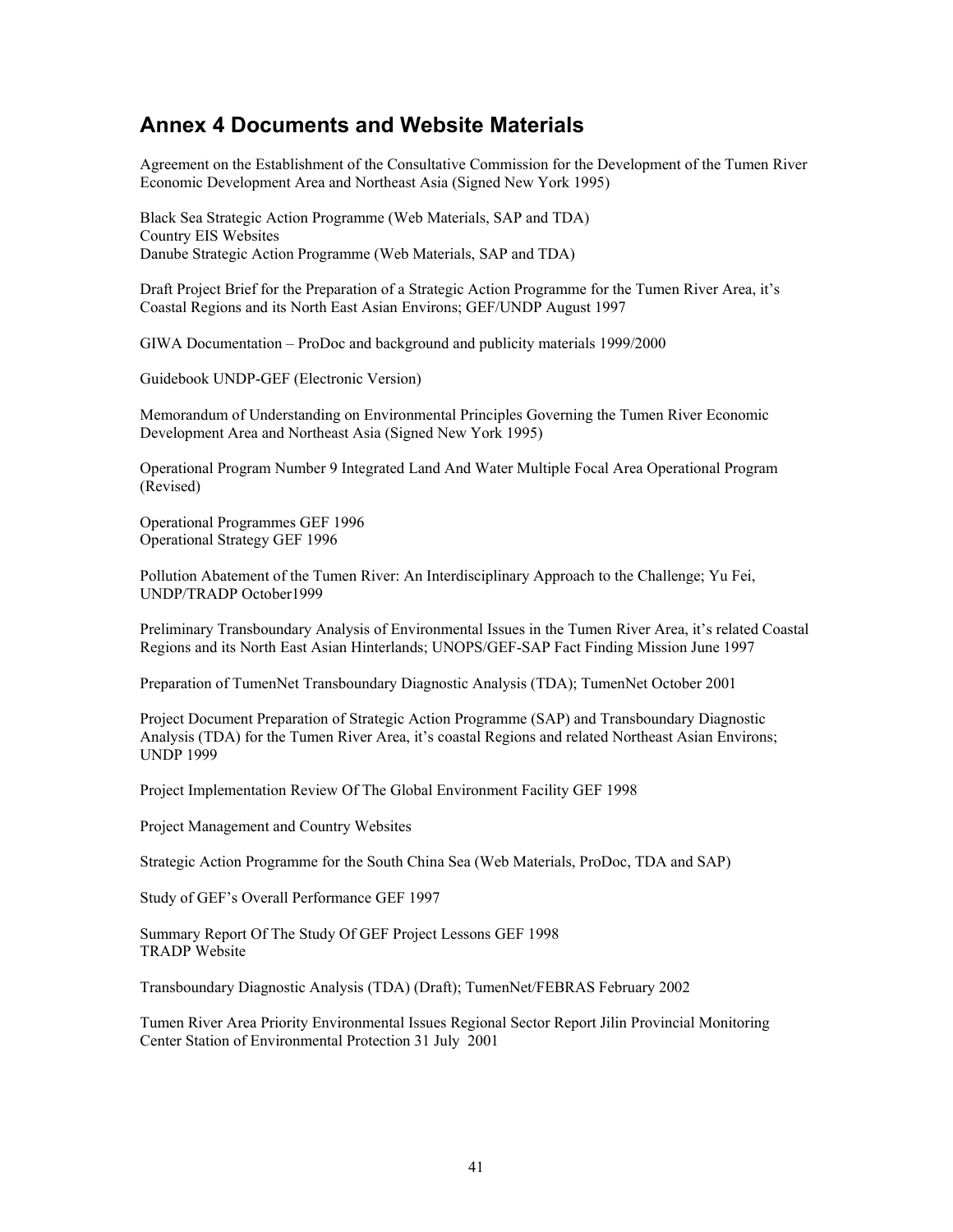## **Annex 4 Documents and Website Materials**

Agreement on the Establishment of the Consultative Commission for the Development of the Tumen River Economic Development Area and Northeast Asia (Signed New York 1995)

Black Sea Strategic Action Programme (Web Materials, SAP and TDA) Country EIS Websites Danube Strategic Action Programme (Web Materials, SAP and TDA)

Draft Project Brief for the Preparation of a Strategic Action Programme for the Tumen River Area, it's Coastal Regions and its North East Asian Environs; GEF/UNDP August 1997

GIWA Documentation – ProDoc and background and publicity materials 1999/2000

Guidebook UNDP-GEF (Electronic Version)

Memorandum of Understanding on Environmental Principles Governing the Tumen River Economic Development Area and Northeast Asia (Signed New York 1995)

Operational Program Number 9 Integrated Land And Water Multiple Focal Area Operational Program (Revised)

Operational Programmes GEF 1996 Operational Strategy GEF 1996

Pollution Abatement of the Tumen River: An Interdisciplinary Approach to the Challenge; Yu Fei, UNDP/TRADP October1999

Preliminary Transboundary Analysis of Environmental Issues in the Tumen River Area, it's related Coastal Regions and its North East Asian Hinterlands; UNOPS/GEF-SAP Fact Finding Mission June 1997

Preparation of TumenNet Transboundary Diagnostic Analysis (TDA); TumenNet October 2001

Project Document Preparation of Strategic Action Programme (SAP) and Transboundary Diagnostic Analysis (TDA) for the Tumen River Area, it's coastal Regions and related Northeast Asian Environs; UNDP 1999

Project Implementation Review Of The Global Environment Facility GEF 1998

Project Management and Country Websites

Strategic Action Programme for the South China Sea (Web Materials, ProDoc, TDA and SAP)

Study of GEF's Overall Performance GEF 1997

Summary Report Of The Study Of GEF Project Lessons GEF 1998 TRADP Website

Transboundary Diagnostic Analysis (TDA) (Draft); TumenNet/FEBRAS February 2002

Tumen River Area Priority Environmental Issues Regional Sector Report Jilin Provincial Monitoring Center Station of Environmental Protection 31 July 2001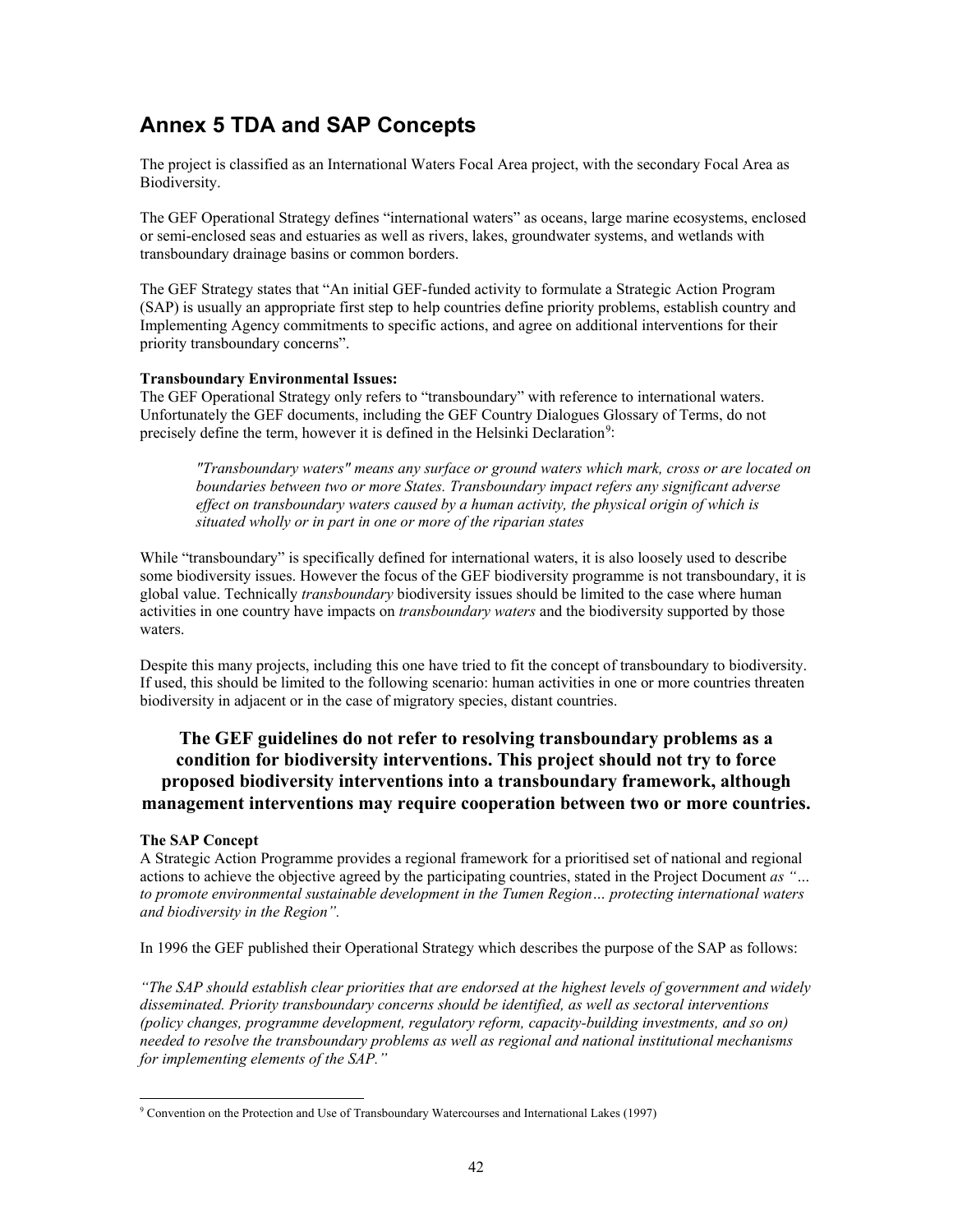# **Annex 5 TDA and SAP Concepts**

The project is classified as an International Waters Focal Area project, with the secondary Focal Area as Biodiversity.

The GEF Operational Strategy defines "international waters" as oceans, large marine ecosystems, enclosed or semi-enclosed seas and estuaries as well as rivers, lakes, groundwater systems, and wetlands with transboundary drainage basins or common borders.

The GEF Strategy states that "An initial GEF-funded activity to formulate a Strategic Action Program (SAP) is usually an appropriate first step to help countries define priority problems, establish country and Implementing Agency commitments to specific actions, and agree on additional interventions for their priority transboundary concerns".

#### **Transboundary Environmental Issues:**

The GEF Operational Strategy only refers to "transboundary" with reference to international waters. Unfortunately the GEF documents, including the GEF Country Dialogues Glossary of Terms, do not precisely define the term, however it is defined in the Helsinki Declaration<sup>[9](#page-43-0)</sup>:

*"Transboundary waters" means any surface or ground waters which mark, cross or are located on boundaries between two or more States. Transboundary impact refers any significant adverse effect on transboundary waters caused by a human activity, the physical origin of which is situated wholly or in part in one or more of the riparian states*

While "transboundary" is specifically defined for international waters, it is also loosely used to describe some biodiversity issues. However the focus of the GEF biodiversity programme is not transboundary, it is global value. Technically *transboundary* biodiversity issues should be limited to the case where human activities in one country have impacts on *transboundary waters* and the biodiversity supported by those waters.

Despite this many projects, including this one have tried to fit the concept of transboundary to biodiversity. If used, this should be limited to the following scenario: human activities in one or more countries threaten biodiversity in adjacent or in the case of migratory species, distant countries.

## **The GEF guidelines do not refer to resolving transboundary problems as a condition for biodiversity interventions. This project should not try to force proposed biodiversity interventions into a transboundary framework, although management interventions may require cooperation between two or more countries.**

#### **The SAP Concept**

A Strategic Action Programme provides a regional framework for a prioritised set of national and regional actions to achieve the objective agreed by the participating countries, stated in the Project Document *as "… to promote environmental sustainable development in the Tumen Region… protecting international waters and biodiversity in the Region".* 

In 1996 the GEF published their Operational Strategy which describes the purpose of the SAP as follows:

*"The SAP should establish clear priorities that are endorsed at the highest levels of government and widely disseminated. Priority transboundary concerns should be identified, as well as sectoral interventions (policy changes, programme development, regulatory reform, capacity-building investments, and so on) needed to resolve the transboundary problems as well as regional and national institutional mechanisms for implementing elements of the SAP."*

<span id="page-43-0"></span> $\overline{a}$ <sup>9</sup> Convention on the Protection and Use of Transboundary Watercourses and International Lakes (1997)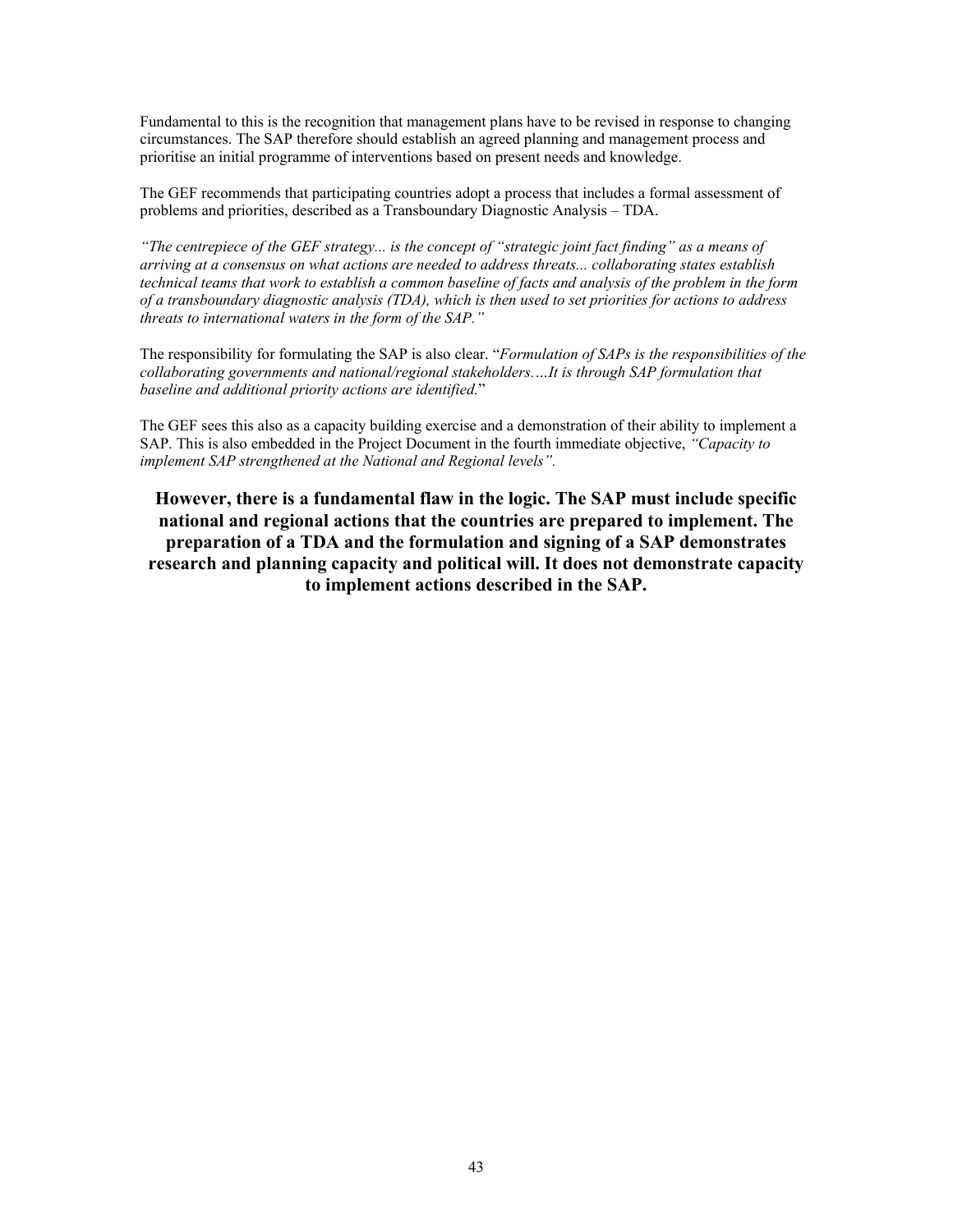Fundamental to this is the recognition that management plans have to be revised in response to changing circumstances. The SAP therefore should establish an agreed planning and management process and prioritise an initial programme of interventions based on present needs and knowledge.

The GEF recommends that participating countries adopt a process that includes a formal assessment of problems and priorities, described as a Transboundary Diagnostic Analysis – TDA.

*"The centrepiece of the GEF strategy... is the concept of "strategic joint fact finding" as a means of arriving at a consensus on what actions are needed to address threats... collaborating states establish technical teams that work to establish a common baseline of facts and analysis of the problem in the form of a transboundary diagnostic analysis (TDA), which is then used to set priorities for actions to address threats to international waters in the form of the SAP."*

The responsibility for formulating the SAP is also clear. "*Formulation of SAPs is the responsibilities of the collaborating governments and national/regional stakeholders.…It is through SAP formulation that baseline and additional priority actions are identified.*"

The GEF sees this also as a capacity building exercise and a demonstration of their ability to implement a SAP. This is also embedded in the Project Document in the fourth immediate objective, *"Capacity to implement SAP strengthened at the National and Regional levels".*

**However, there is a fundamental flaw in the logic. The SAP must include specific national and regional actions that the countries are prepared to implement. The preparation of a TDA and the formulation and signing of a SAP demonstrates research and planning capacity and political will. It does not demonstrate capacity to implement actions described in the SAP.**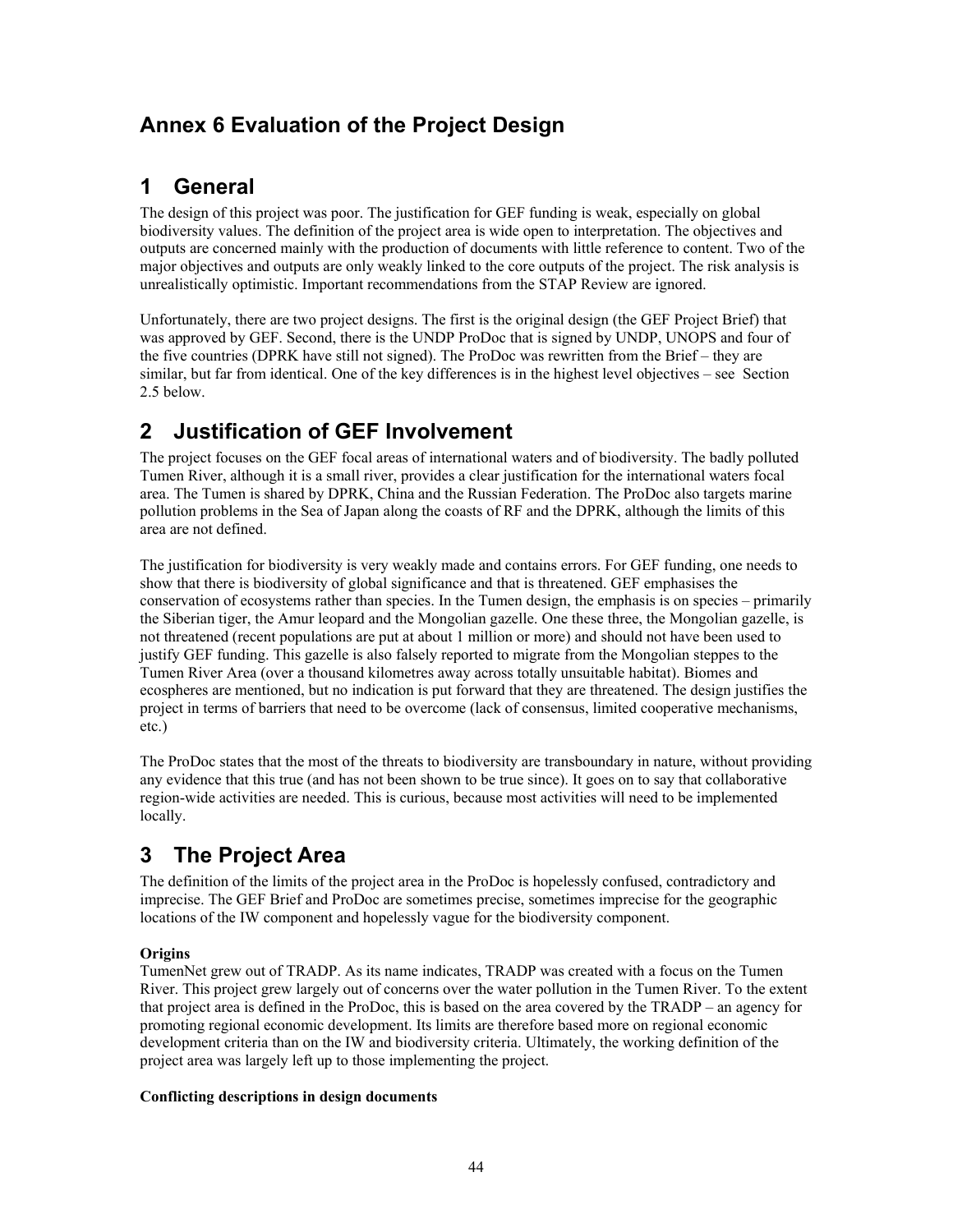# **Annex 6 Evaluation of the Project Design**

# **1 General**

The design of this project was poor. The justification for GEF funding is weak, especially on global biodiversity values. The definition of the project area is wide open to interpretation. The objectives and outputs are concerned mainly with the production of documents with little reference to content. Two of the major objectives and outputs are only weakly linked to the core outputs of the project. The risk analysis is unrealistically optimistic. Important recommendations from the STAP Review are ignored.

Unfortunately, there are two project designs. The first is the original design (the GEF Project Brief) that was approved by GEF. Second, there is the UNDP ProDoc that is signed by UNDP, UNOPS and four of the five countries (DPRK have still not signed). The ProDoc was rewritten from the Brief – they are similar, but far from identical. One of the key differences is in the highest level objectives – see Section 2.5 below.

# **2 Justification of GEF Involvement**

The project focuses on the GEF focal areas of international waters and of biodiversity. The badly polluted Tumen River, although it is a small river, provides a clear justification for the international waters focal area. The Tumen is shared by DPRK, China and the Russian Federation. The ProDoc also targets marine pollution problems in the Sea of Japan along the coasts of RF and the DPRK, although the limits of this area are not defined.

The justification for biodiversity is very weakly made and contains errors. For GEF funding, one needs to show that there is biodiversity of global significance and that is threatened. GEF emphasises the conservation of ecosystems rather than species. In the Tumen design, the emphasis is on species – primarily the Siberian tiger, the Amur leopard and the Mongolian gazelle. One these three, the Mongolian gazelle, is not threatened (recent populations are put at about 1 million or more) and should not have been used to justify GEF funding. This gazelle is also falsely reported to migrate from the Mongolian steppes to the Tumen River Area (over a thousand kilometres away across totally unsuitable habitat). Biomes and ecospheres are mentioned, but no indication is put forward that they are threatened. The design justifies the project in terms of barriers that need to be overcome (lack of consensus, limited cooperative mechanisms, etc.)

The ProDoc states that the most of the threats to biodiversity are transboundary in nature, without providing any evidence that this true (and has not been shown to be true since). It goes on to say that collaborative region-wide activities are needed. This is curious, because most activities will need to be implemented locally.

# **3 The Project Area**

The definition of the limits of the project area in the ProDoc is hopelessly confused, contradictory and imprecise. The GEF Brief and ProDoc are sometimes precise, sometimes imprecise for the geographic locations of the IW component and hopelessly vague for the biodiversity component.

### **Origins**

TumenNet grew out of TRADP. As its name indicates, TRADP was created with a focus on the Tumen River. This project grew largely out of concerns over the water pollution in the Tumen River. To the extent that project area is defined in the ProDoc, this is based on the area covered by the TRADP – an agency for promoting regional economic development. Its limits are therefore based more on regional economic development criteria than on the IW and biodiversity criteria. Ultimately, the working definition of the project area was largely left up to those implementing the project.

### **Conflicting descriptions in design documents**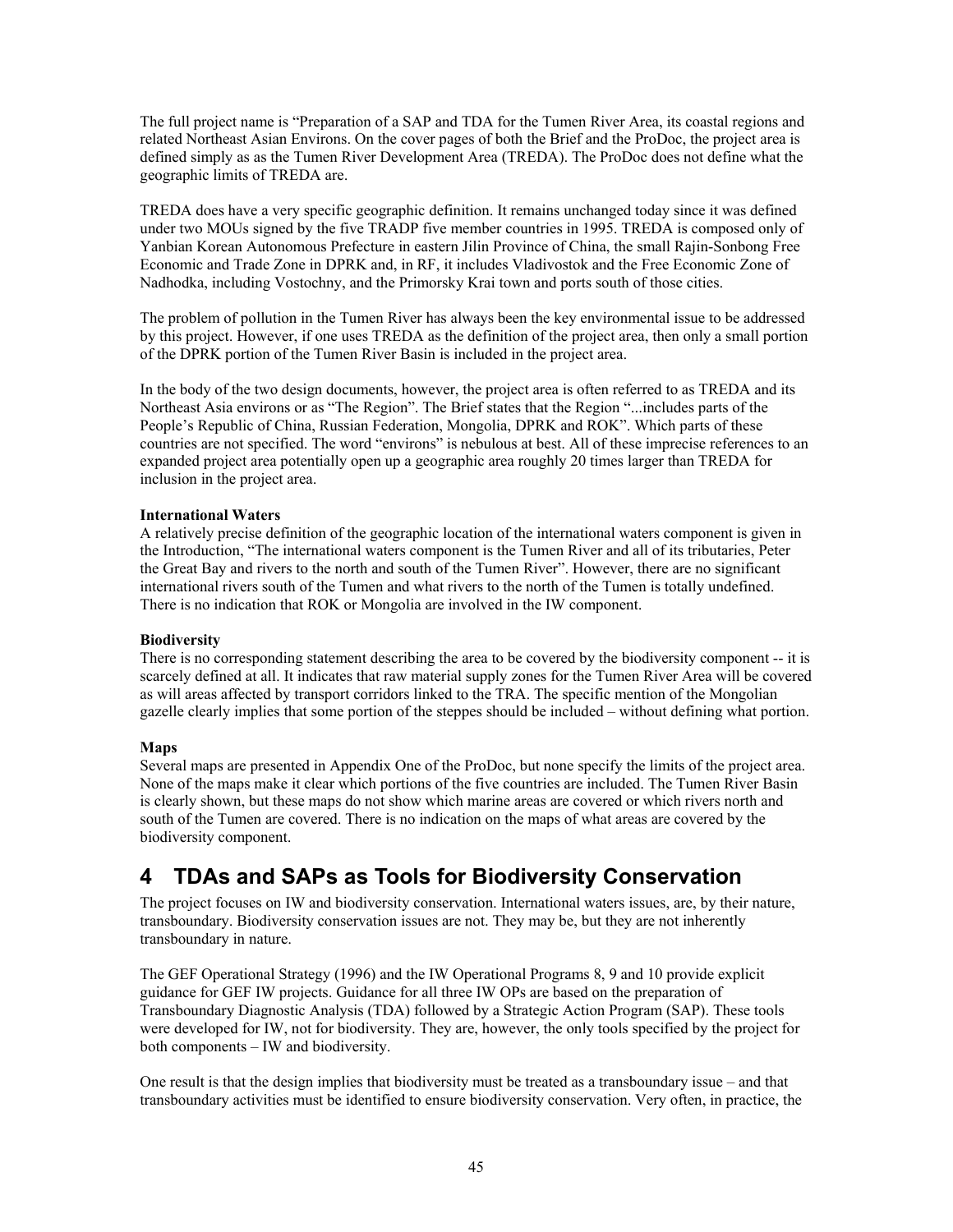The full project name is "Preparation of a SAP and TDA for the Tumen River Area, its coastal regions and related Northeast Asian Environs. On the cover pages of both the Brief and the ProDoc, the project area is defined simply as as the Tumen River Development Area (TREDA). The ProDoc does not define what the geographic limits of TREDA are.

TREDA does have a very specific geographic definition. It remains unchanged today since it was defined under two MOUs signed by the five TRADP five member countries in 1995. TREDA is composed only of Yanbian Korean Autonomous Prefecture in eastern Jilin Province of China, the small Rajin-Sonbong Free Economic and Trade Zone in DPRK and, in RF, it includes Vladivostok and the Free Economic Zone of Nadhodka, including Vostochny, and the Primorsky Krai town and ports south of those cities.

The problem of pollution in the Tumen River has always been the key environmental issue to be addressed by this project. However, if one uses TREDA as the definition of the project area, then only a small portion of the DPRK portion of the Tumen River Basin is included in the project area.

In the body of the two design documents, however, the project area is often referred to as TREDA and its Northeast Asia environs or as "The Region". The Brief states that the Region "...includes parts of the People's Republic of China, Russian Federation, Mongolia, DPRK and ROK". Which parts of these countries are not specified. The word "environs" is nebulous at best. All of these imprecise references to an expanded project area potentially open up a geographic area roughly 20 times larger than TREDA for inclusion in the project area.

#### **International Waters**

A relatively precise definition of the geographic location of the international waters component is given in the Introduction, "The international waters component is the Tumen River and all of its tributaries, Peter the Great Bay and rivers to the north and south of the Tumen River". However, there are no significant international rivers south of the Tumen and what rivers to the north of the Tumen is totally undefined. There is no indication that ROK or Mongolia are involved in the IW component.

#### **Biodiversity**

There is no corresponding statement describing the area to be covered by the biodiversity component -- it is scarcely defined at all. It indicates that raw material supply zones for the Tumen River Area will be covered as will areas affected by transport corridors linked to the TRA. The specific mention of the Mongolian gazelle clearly implies that some portion of the steppes should be included – without defining what portion.

#### **Maps**

Several maps are presented in Appendix One of the ProDoc, but none specify the limits of the project area. None of the maps make it clear which portions of the five countries are included. The Tumen River Basin is clearly shown, but these maps do not show which marine areas are covered or which rivers north and south of the Tumen are covered. There is no indication on the maps of what areas are covered by the biodiversity component.

# **4 TDAs and SAPs as Tools for Biodiversity Conservation**

The project focuses on IW and biodiversity conservation. International waters issues, are, by their nature, transboundary. Biodiversity conservation issues are not. They may be, but they are not inherently transboundary in nature.

The GEF Operational Strategy (1996) and the IW Operational Programs 8, 9 and 10 provide explicit guidance for GEF IW projects. Guidance for all three IW OPs are based on the preparation of Transboundary Diagnostic Analysis (TDA) followed by a Strategic Action Program (SAP). These tools were developed for IW, not for biodiversity. They are, however, the only tools specified by the project for both components – IW and biodiversity.

One result is that the design implies that biodiversity must be treated as a transboundary issue – and that transboundary activities must be identified to ensure biodiversity conservation. Very often, in practice, the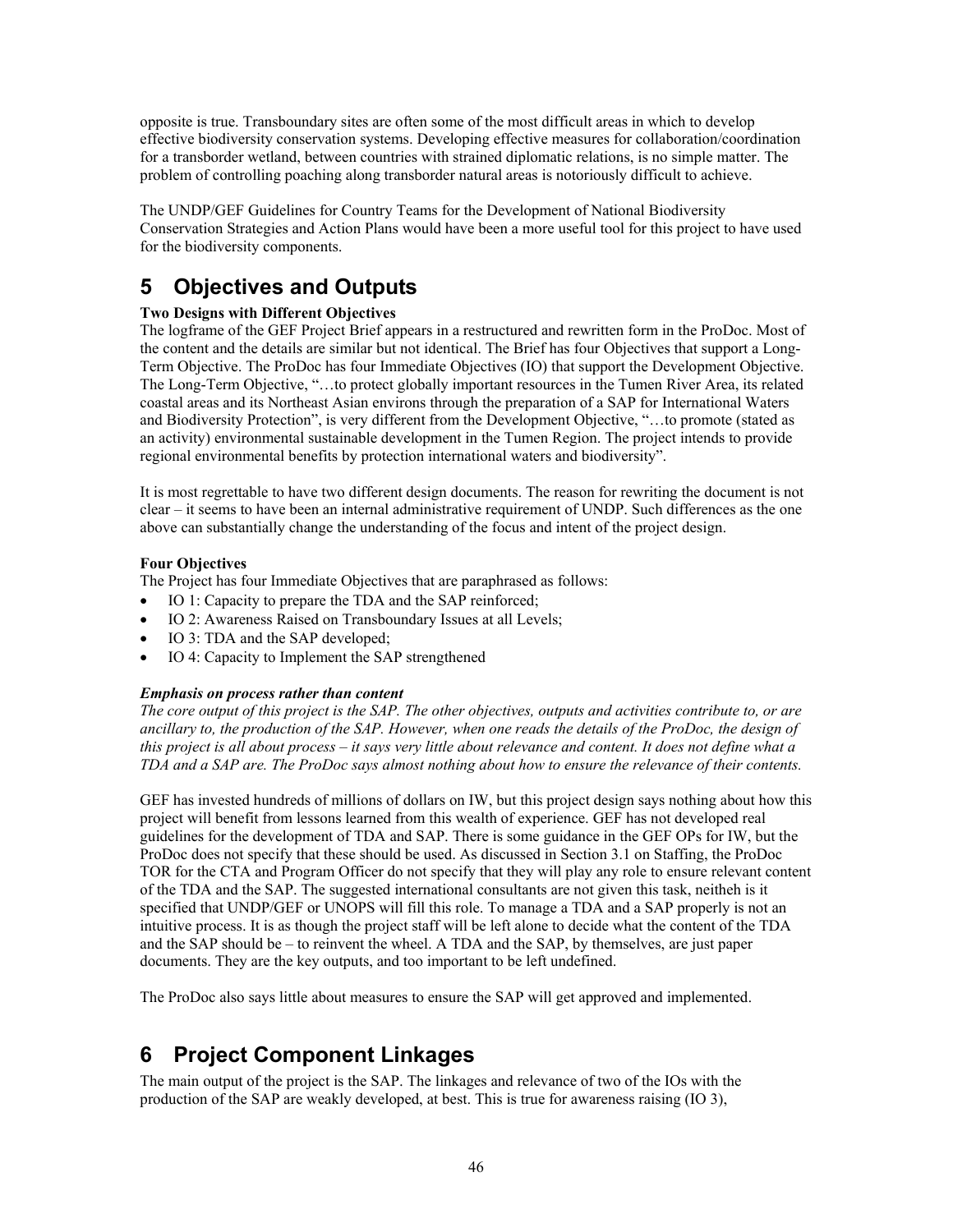opposite is true. Transboundary sites are often some of the most difficult areas in which to develop effective biodiversity conservation systems. Developing effective measures for collaboration/coordination for a transborder wetland, between countries with strained diplomatic relations, is no simple matter. The problem of controlling poaching along transborder natural areas is notoriously difficult to achieve.

The UNDP/GEF Guidelines for Country Teams for the Development of National Biodiversity Conservation Strategies and Action Plans would have been a more useful tool for this project to have used for the biodiversity components.

# **5 Objectives and Outputs**

### **Two Designs with Different Objectives**

The logframe of the GEF Project Brief appears in a restructured and rewritten form in the ProDoc. Most of the content and the details are similar but not identical. The Brief has four Objectives that support a Long-Term Objective. The ProDoc has four Immediate Objectives (IO) that support the Development Objective. The Long-Term Objective, "…to protect globally important resources in the Tumen River Area, its related coastal areas and its Northeast Asian environs through the preparation of a SAP for International Waters and Biodiversity Protection", is very different from the Development Objective, "…to promote (stated as an activity) environmental sustainable development in the Tumen Region. The project intends to provide regional environmental benefits by protection international waters and biodiversity".

It is most regrettable to have two different design documents. The reason for rewriting the document is not clear – it seems to have been an internal administrative requirement of UNDP. Such differences as the one above can substantially change the understanding of the focus and intent of the project design.

#### **Four Objectives**

The Project has four Immediate Objectives that are paraphrased as follows:

- IO 1: Capacity to prepare the TDA and the SAP reinforced;
- IO 2: Awareness Raised on Transboundary Issues at all Levels;
- IO 3: TDA and the SAP developed;
- IO 4: Capacity to Implement the SAP strengthened

#### *Emphasis on process rather than content*

*The core output of this project is the SAP. The other objectives, outputs and activities contribute to, or are ancillary to, the production of the SAP. However, when one reads the details of the ProDoc, the design of this project is all about process – it says very little about relevance and content. It does not define what a TDA and a SAP are. The ProDoc says almost nothing about how to ensure the relevance of their contents.* 

GEF has invested hundreds of millions of dollars on IW, but this project design says nothing about how this project will benefit from lessons learned from this wealth of experience. GEF has not developed real guidelines for the development of TDA and SAP. There is some guidance in the GEF OPs for IW, but the ProDoc does not specify that these should be used. As discussed in Section 3.1 on Staffing, the ProDoc TOR for the CTA and Program Officer do not specify that they will play any role to ensure relevant content of the TDA and the SAP. The suggested international consultants are not given this task, neitheh is it specified that UNDP/GEF or UNOPS will fill this role. To manage a TDA and a SAP properly is not an intuitive process. It is as though the project staff will be left alone to decide what the content of the TDA and the SAP should be – to reinvent the wheel. A TDA and the SAP, by themselves, are just paper documents. They are the key outputs, and too important to be left undefined.

The ProDoc also says little about measures to ensure the SAP will get approved and implemented.

# **6 Project Component Linkages**

The main output of the project is the SAP. The linkages and relevance of two of the IOs with the production of the SAP are weakly developed, at best. This is true for awareness raising (IO 3),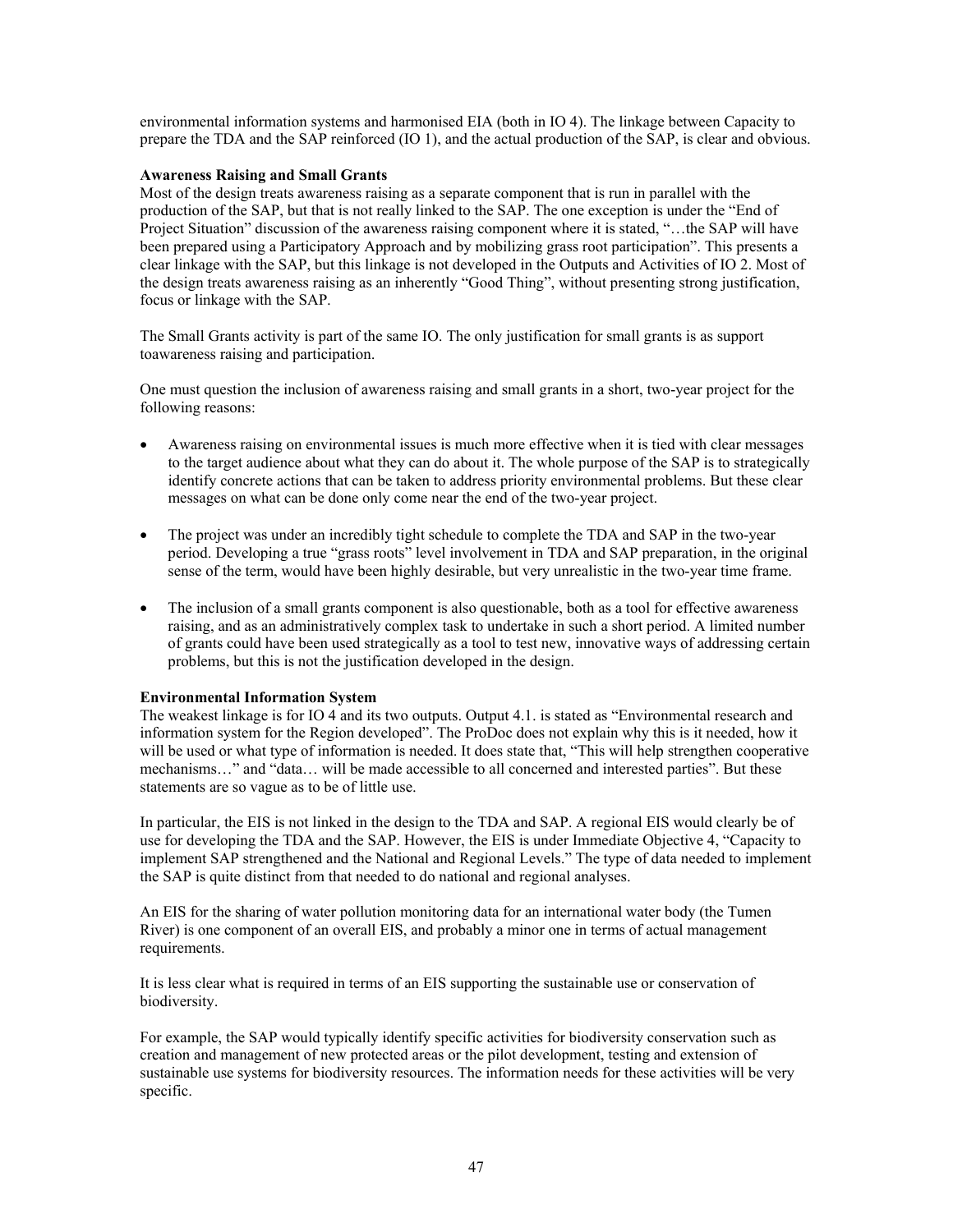environmental information systems and harmonised EIA (both in IO 4). The linkage between Capacity to prepare the TDA and the SAP reinforced (IO 1), and the actual production of the SAP, is clear and obvious.

#### **Awareness Raising and Small Grants**

Most of the design treats awareness raising as a separate component that is run in parallel with the production of the SAP, but that is not really linked to the SAP. The one exception is under the "End of Project Situation" discussion of the awareness raising component where it is stated, "…the SAP will have been prepared using a Participatory Approach and by mobilizing grass root participation". This presents a clear linkage with the SAP, but this linkage is not developed in the Outputs and Activities of IO 2. Most of the design treats awareness raising as an inherently "Good Thing", without presenting strong justification, focus or linkage with the SAP.

The Small Grants activity is part of the same IO. The only justification for small grants is as support toawareness raising and participation.

One must question the inclusion of awareness raising and small grants in a short, two-year project for the following reasons:

- Awareness raising on environmental issues is much more effective when it is tied with clear messages to the target audience about what they can do about it. The whole purpose of the SAP is to strategically identify concrete actions that can be taken to address priority environmental problems. But these clear messages on what can be done only come near the end of the two-year project.
- The project was under an incredibly tight schedule to complete the TDA and SAP in the two-year period. Developing a true "grass roots" level involvement in TDA and SAP preparation, in the original sense of the term, would have been highly desirable, but very unrealistic in the two-year time frame.
- The inclusion of a small grants component is also questionable, both as a tool for effective awareness raising, and as an administratively complex task to undertake in such a short period. A limited number of grants could have been used strategically as a tool to test new, innovative ways of addressing certain problems, but this is not the justification developed in the design.

#### **Environmental Information System**

The weakest linkage is for IO 4 and its two outputs. Output 4.1. is stated as "Environmental research and information system for the Region developed". The ProDoc does not explain why this is it needed, how it will be used or what type of information is needed. It does state that, "This will help strengthen cooperative mechanisms…" and "data… will be made accessible to all concerned and interested parties". But these statements are so vague as to be of little use.

In particular, the EIS is not linked in the design to the TDA and SAP. A regional EIS would clearly be of use for developing the TDA and the SAP. However, the EIS is under Immediate Objective 4, "Capacity to implement SAP strengthened and the National and Regional Levels." The type of data needed to implement the SAP is quite distinct from that needed to do national and regional analyses.

An EIS for the sharing of water pollution monitoring data for an international water body (the Tumen River) is one component of an overall EIS, and probably a minor one in terms of actual management requirements.

It is less clear what is required in terms of an EIS supporting the sustainable use or conservation of biodiversity.

For example, the SAP would typically identify specific activities for biodiversity conservation such as creation and management of new protected areas or the pilot development, testing and extension of sustainable use systems for biodiversity resources. The information needs for these activities will be very specific.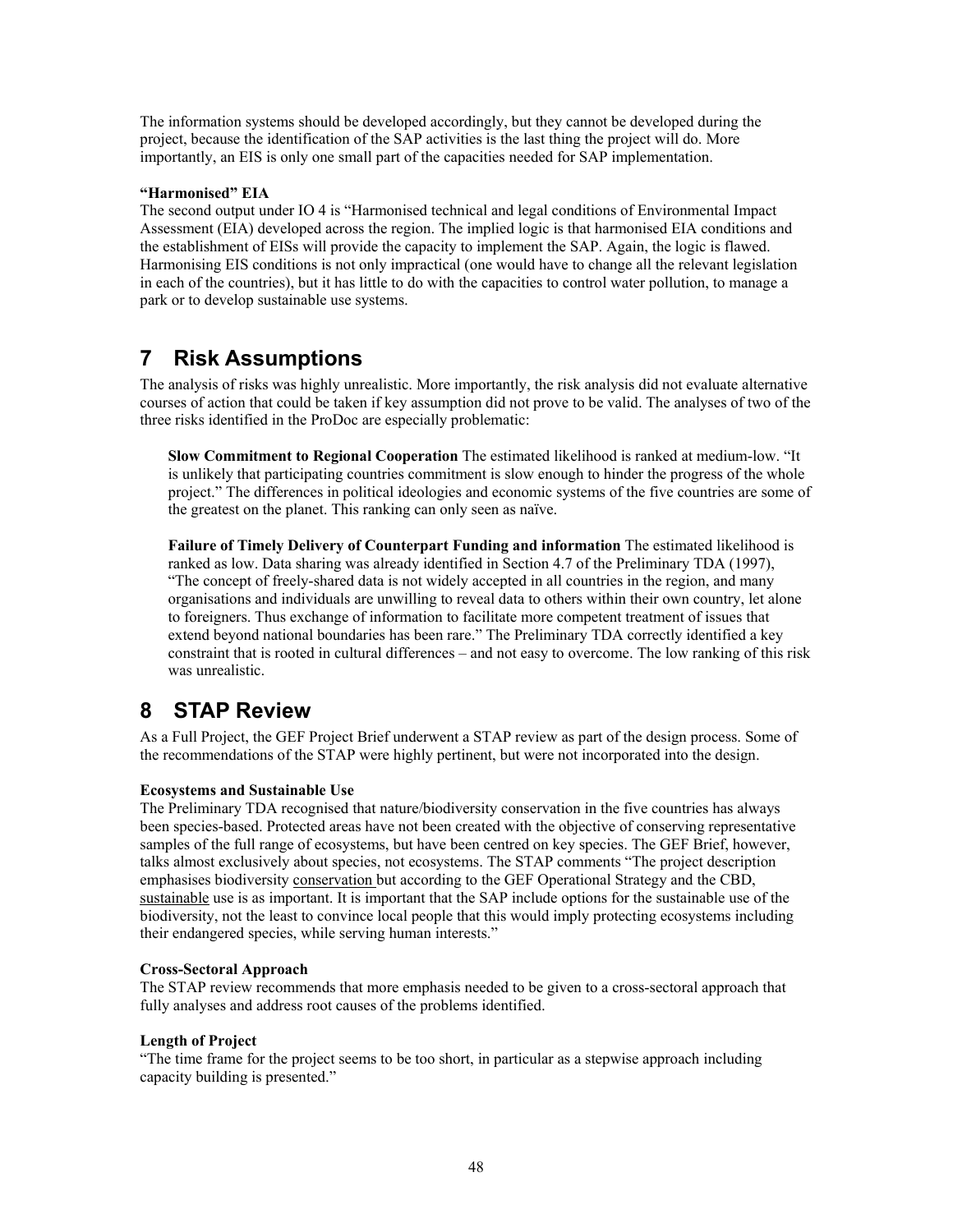The information systems should be developed accordingly, but they cannot be developed during the project, because the identification of the SAP activities is the last thing the project will do. More importantly, an EIS is only one small part of the capacities needed for SAP implementation.

#### **"Harmonised" EIA**

The second output under IO 4 is "Harmonised technical and legal conditions of Environmental Impact Assessment (EIA) developed across the region. The implied logic is that harmonised EIA conditions and the establishment of EISs will provide the capacity to implement the SAP. Again, the logic is flawed. Harmonising EIS conditions is not only impractical (one would have to change all the relevant legislation in each of the countries), but it has little to do with the capacities to control water pollution, to manage a park or to develop sustainable use systems.

## **7 Risk Assumptions**

The analysis of risks was highly unrealistic. More importantly, the risk analysis did not evaluate alternative courses of action that could be taken if key assumption did not prove to be valid. The analyses of two of the three risks identified in the ProDoc are especially problematic:

**Slow Commitment to Regional Cooperation** The estimated likelihood is ranked at medium-low. "It is unlikely that participating countries commitment is slow enough to hinder the progress of the whole project." The differences in political ideologies and economic systems of the five countries are some of the greatest on the planet. This ranking can only seen as naïve.

**Failure of Timely Delivery of Counterpart Funding and information** The estimated likelihood is ranked as low. Data sharing was already identified in Section 4.7 of the Preliminary TDA (1997), "The concept of freely-shared data is not widely accepted in all countries in the region, and many organisations and individuals are unwilling to reveal data to others within their own country, let alone to foreigners. Thus exchange of information to facilitate more competent treatment of issues that extend beyond national boundaries has been rare." The Preliminary TDA correctly identified a key constraint that is rooted in cultural differences – and not easy to overcome. The low ranking of this risk was unrealistic.

# **8 STAP Review**

As a Full Project, the GEF Project Brief underwent a STAP review as part of the design process. Some of the recommendations of the STAP were highly pertinent, but were not incorporated into the design.

#### **Ecosystems and Sustainable Use**

The Preliminary TDA recognised that nature/biodiversity conservation in the five countries has always been species-based. Protected areas have not been created with the objective of conserving representative samples of the full range of ecosystems, but have been centred on key species. The GEF Brief, however, talks almost exclusively about species, not ecosystems. The STAP comments "The project description emphasises biodiversity conservation but according to the GEF Operational Strategy and the CBD, sustainable use is as important. It is important that the SAP include options for the sustainable use of the biodiversity, not the least to convince local people that this would imply protecting ecosystems including their endangered species, while serving human interests."

#### **Cross-Sectoral Approach**

The STAP review recommends that more emphasis needed to be given to a cross-sectoral approach that fully analyses and address root causes of the problems identified.

#### **Length of Project**

"The time frame for the project seems to be too short, in particular as a stepwise approach including capacity building is presented."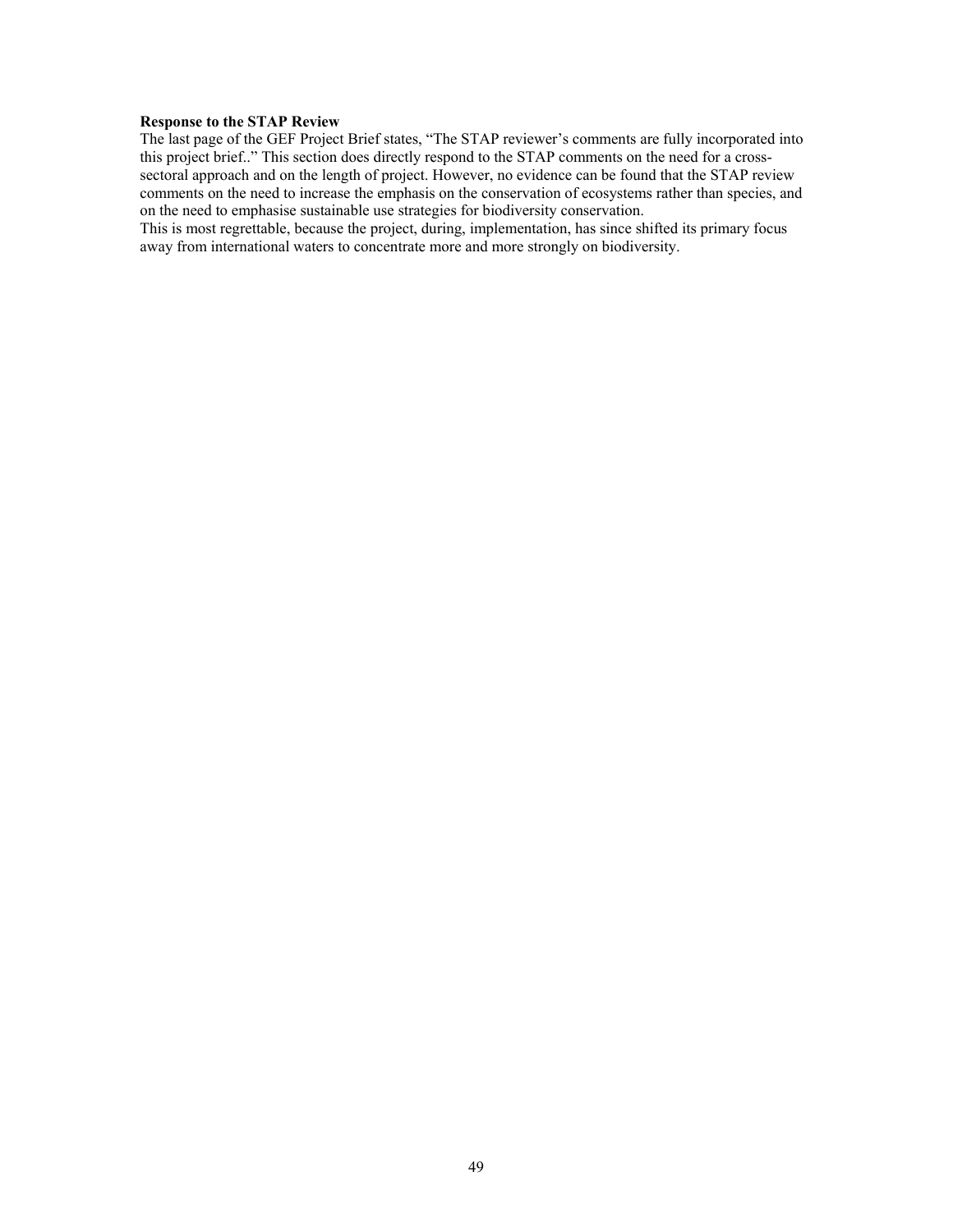#### **Response to the STAP Review**

The last page of the GEF Project Brief states, "The STAP reviewer's comments are fully incorporated into this project brief.." This section does directly respond to the STAP comments on the need for a crosssectoral approach and on the length of project. However, no evidence can be found that the STAP review comments on the need to increase the emphasis on the conservation of ecosystems rather than species, and on the need to emphasise sustainable use strategies for biodiversity conservation.

This is most regrettable, because the project, during, implementation, has since shifted its primary focus away from international waters to concentrate more and more strongly on biodiversity.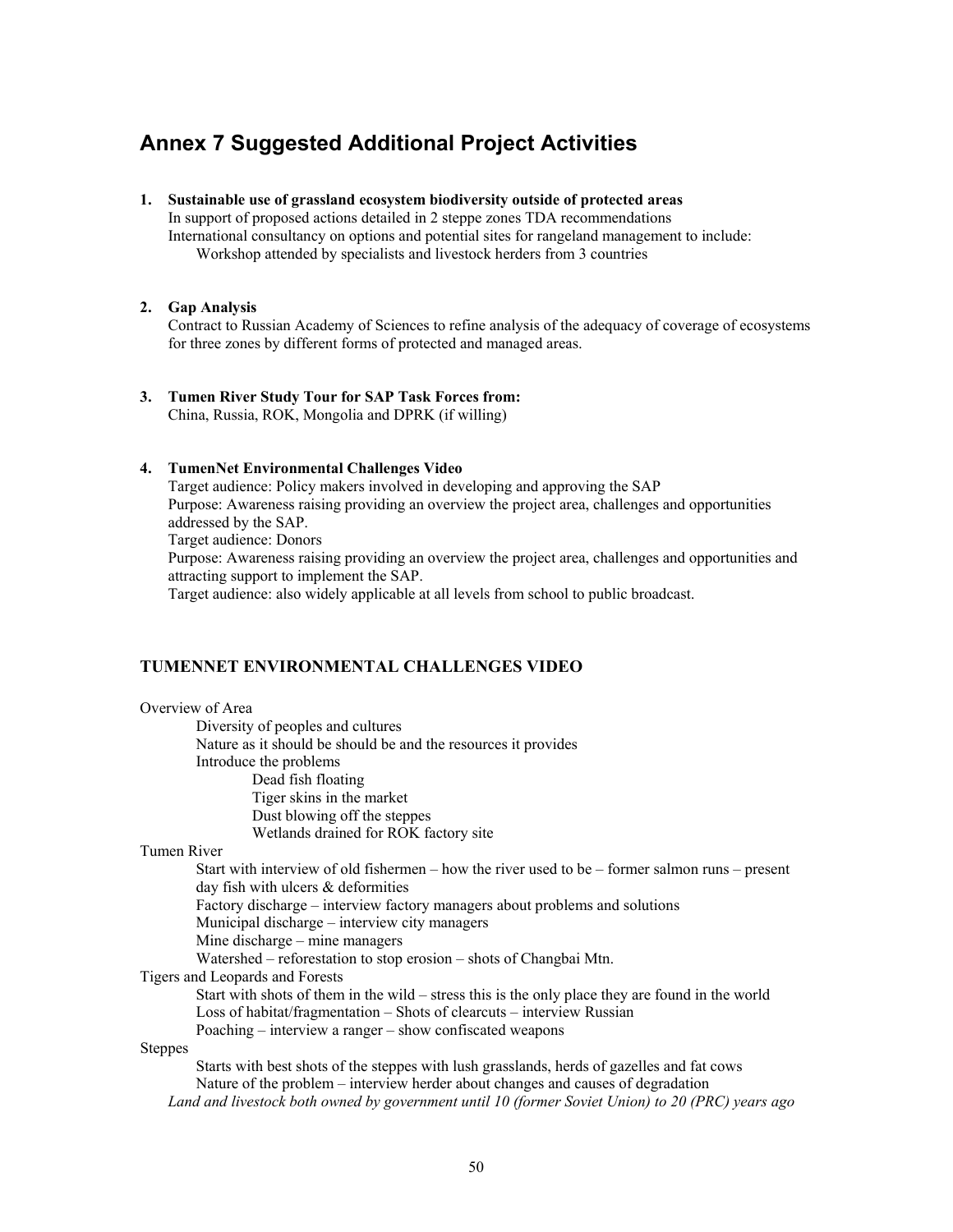# **Annex 7 Suggested Additional Project Activities**

**1. Sustainable use of grassland ecosystem biodiversity outside of protected areas** In support of proposed actions detailed in 2 steppe zones TDA recommendations

International consultancy on options and potential sites for rangeland management to include: Workshop attended by specialists and livestock herders from 3 countries

#### **2. Gap Analysis**

Contract to Russian Academy of Sciences to refine analysis of the adequacy of coverage of ecosystems for three zones by different forms of protected and managed areas.

# **3. Tumen River Study Tour for SAP Task Forces from:**

China, Russia, ROK, Mongolia and DPRK (if willing)

#### **4. TumenNet Environmental Challenges Video**

Target audience: Policy makers involved in developing and approving the SAP Purpose: Awareness raising providing an overview the project area, challenges and opportunities addressed by the SAP. Target audience: Donors Purpose: Awareness raising providing an overview the project area, challenges and opportunities and attracting support to implement the SAP.

Target audience: also widely applicable at all levels from school to public broadcast.

### **TUMENNET ENVIRONMENTAL CHALLENGES VIDEO**

Overview of Area Diversity of peoples and cultures Nature as it should be should be and the resources it provides Introduce the problems Dead fish floating Tiger skins in the market Dust blowing off the steppes Wetlands drained for ROK factory site Tumen River Start with interview of old fishermen – how the river used to be – former salmon runs – present day fish with ulcers & deformities Factory discharge – interview factory managers about problems and solutions Municipal discharge – interview city managers Mine discharge – mine managers Watershed – reforestation to stop erosion – shots of Changbai Mtn. Tigers and Leopards and Forests Start with shots of them in the wild – stress this is the only place they are found in the world Loss of habitat/fragmentation – Shots of clearcuts – interview Russian Poaching – interview a ranger – show confiscated weapons Steppes Starts with best shots of the steppes with lush grasslands, herds of gazelles and fat cows Nature of the problem – interview herder about changes and causes of degradation

*Land and livestock both owned by government until 10 (former Soviet Union) to 20 (PRC) years ago*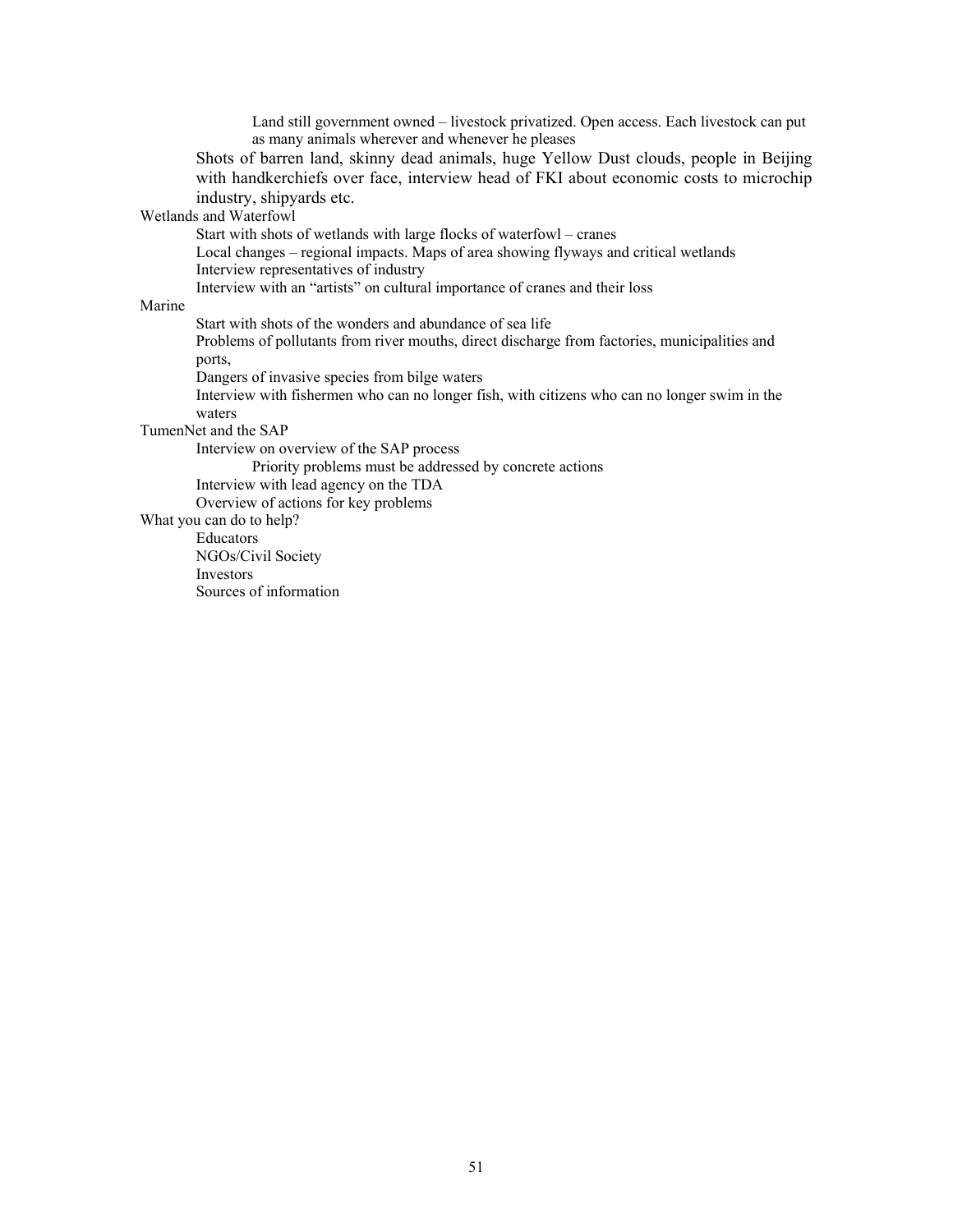Land still government owned – livestock privatized. Open access. Each livestock can put as many animals wherever and whenever he pleases

Shots of barren land, skinny dead animals, huge Yellow Dust clouds, people in Beijing with handkerchiefs over face, interview head of FKI about economic costs to microchip industry, shipyards etc.

Wetlands and Waterfowl

Start with shots of wetlands with large flocks of waterfowl – cranes

Local changes – regional impacts. Maps of area showing flyways and critical wetlands Interview representatives of industry

Interview with an "artists" on cultural importance of cranes and their loss

#### Marine

Start with shots of the wonders and abundance of sea life

Problems of pollutants from river mouths, direct discharge from factories, municipalities and ports,

Dangers of invasive species from bilge waters

Interview with fishermen who can no longer fish, with citizens who can no longer swim in the waters

TumenNet and the SAP

Interview on overview of the SAP process

Priority problems must be addressed by concrete actions

Interview with lead agency on the TDA

Overview of actions for key problems

What you can do to help?

Educators

NGOs/Civil Society

Investors

Sources of information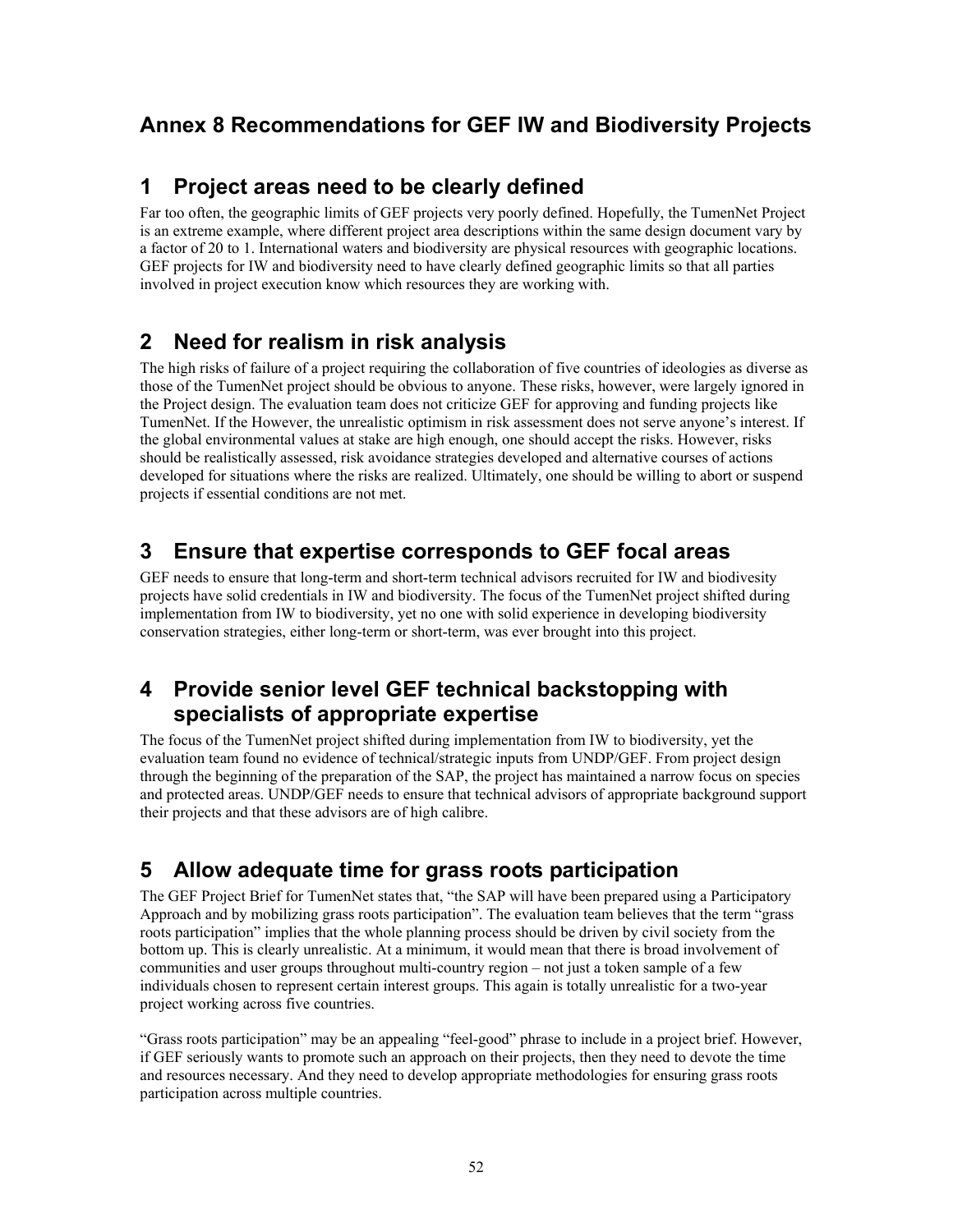# **Annex 8 Recommendations for GEF IW and Biodiversity Projects**

# **1 Project areas need to be clearly defined**

Far too often, the geographic limits of GEF projects very poorly defined. Hopefully, the TumenNet Project is an extreme example, where different project area descriptions within the same design document vary by a factor of 20 to 1. International waters and biodiversity are physical resources with geographic locations. GEF projects for IW and biodiversity need to have clearly defined geographic limits so that all parties involved in project execution know which resources they are working with.

# **2 Need for realism in risk analysis**

The high risks of failure of a project requiring the collaboration of five countries of ideologies as diverse as those of the TumenNet project should be obvious to anyone. These risks, however, were largely ignored in the Project design. The evaluation team does not criticize GEF for approving and funding projects like TumenNet. If the However, the unrealistic optimism in risk assessment does not serve anyone's interest. If the global environmental values at stake are high enough, one should accept the risks. However, risks should be realistically assessed, risk avoidance strategies developed and alternative courses of actions developed for situations where the risks are realized. Ultimately, one should be willing to abort or suspend projects if essential conditions are not met.

# **3 Ensure that expertise corresponds to GEF focal areas**

GEF needs to ensure that long-term and short-term technical advisors recruited for IW and biodivesity projects have solid credentials in IW and biodiversity. The focus of the TumenNet project shifted during implementation from IW to biodiversity, yet no one with solid experience in developing biodiversity conservation strategies, either long-term or short-term, was ever brought into this project.

# **4 Provide senior level GEF technical backstopping with specialists of appropriate expertise**

The focus of the TumenNet project shifted during implementation from IW to biodiversity, yet the evaluation team found no evidence of technical/strategic inputs from UNDP/GEF. From project design through the beginning of the preparation of the SAP, the project has maintained a narrow focus on species and protected areas. UNDP/GEF needs to ensure that technical advisors of appropriate background support their projects and that these advisors are of high calibre.

# **5 Allow adequate time for grass roots participation**

The GEF Project Brief for TumenNet states that, "the SAP will have been prepared using a Participatory Approach and by mobilizing grass roots participation". The evaluation team believes that the term "grass roots participation" implies that the whole planning process should be driven by civil society from the bottom up. This is clearly unrealistic. At a minimum, it would mean that there is broad involvement of communities and user groups throughout multi-country region – not just a token sample of a few individuals chosen to represent certain interest groups. This again is totally unrealistic for a two-year project working across five countries.

"Grass roots participation" may be an appealing "feel-good" phrase to include in a project brief. However, if GEF seriously wants to promote such an approach on their projects, then they need to devote the time and resources necessary. And they need to develop appropriate methodologies for ensuring grass roots participation across multiple countries.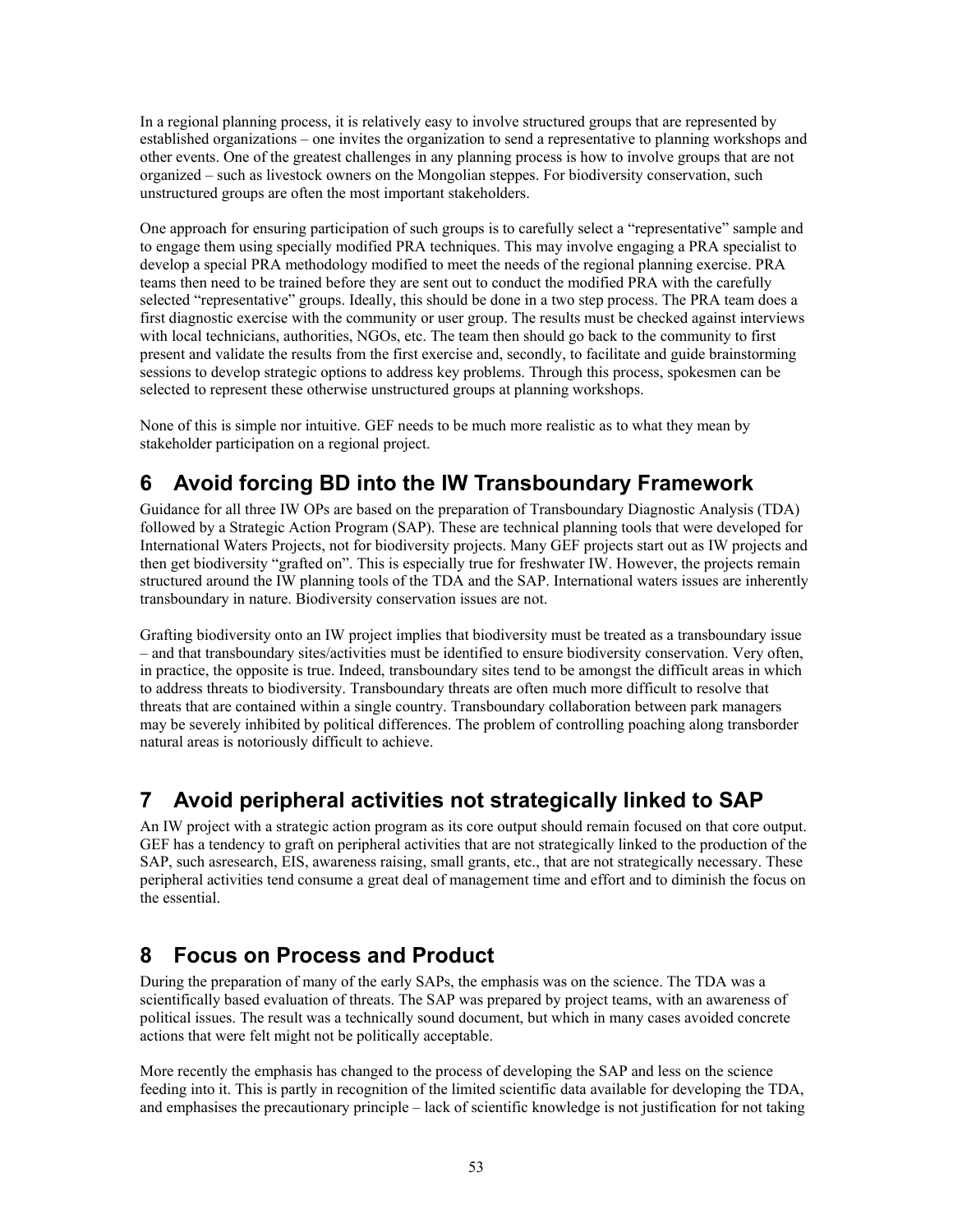In a regional planning process, it is relatively easy to involve structured groups that are represented by established organizations – one invites the organization to send a representative to planning workshops and other events. One of the greatest challenges in any planning process is how to involve groups that are not organized – such as livestock owners on the Mongolian steppes. For biodiversity conservation, such unstructured groups are often the most important stakeholders.

One approach for ensuring participation of such groups is to carefully select a "representative" sample and to engage them using specially modified PRA techniques. This may involve engaging a PRA specialist to develop a special PRA methodology modified to meet the needs of the regional planning exercise. PRA teams then need to be trained before they are sent out to conduct the modified PRA with the carefully selected "representative" groups. Ideally, this should be done in a two step process. The PRA team does a first diagnostic exercise with the community or user group. The results must be checked against interviews with local technicians, authorities, NGOs, etc. The team then should go back to the community to first present and validate the results from the first exercise and, secondly, to facilitate and guide brainstorming sessions to develop strategic options to address key problems. Through this process, spokesmen can be selected to represent these otherwise unstructured groups at planning workshops.

None of this is simple nor intuitive. GEF needs to be much more realistic as to what they mean by stakeholder participation on a regional project.

# **6 Avoid forcing BD into the IW Transboundary Framework**

Guidance for all three IW OPs are based on the preparation of Transboundary Diagnostic Analysis (TDA) followed by a Strategic Action Program (SAP). These are technical planning tools that were developed for International Waters Projects, not for biodiversity projects. Many GEF projects start out as IW projects and then get biodiversity "grafted on". This is especially true for freshwater IW. However, the projects remain structured around the IW planning tools of the TDA and the SAP. International waters issues are inherently transboundary in nature. Biodiversity conservation issues are not.

Grafting biodiversity onto an IW project implies that biodiversity must be treated as a transboundary issue – and that transboundary sites/activities must be identified to ensure biodiversity conservation. Very often, in practice, the opposite is true. Indeed, transboundary sites tend to be amongst the difficult areas in which to address threats to biodiversity. Transboundary threats are often much more difficult to resolve that threats that are contained within a single country. Transboundary collaboration between park managers may be severely inhibited by political differences. The problem of controlling poaching along transborder natural areas is notoriously difficult to achieve.

# **7 Avoid peripheral activities not strategically linked to SAP**

An IW project with a strategic action program as its core output should remain focused on that core output. GEF has a tendency to graft on peripheral activities that are not strategically linked to the production of the SAP, such asresearch, EIS, awareness raising, small grants, etc., that are not strategically necessary. These peripheral activities tend consume a great deal of management time and effort and to diminish the focus on the essential.

# **8 Focus on Process and Product**

During the preparation of many of the early SAPs, the emphasis was on the science. The TDA was a scientifically based evaluation of threats. The SAP was prepared by project teams, with an awareness of political issues. The result was a technically sound document, but which in many cases avoided concrete actions that were felt might not be politically acceptable.

More recently the emphasis has changed to the process of developing the SAP and less on the science feeding into it. This is partly in recognition of the limited scientific data available for developing the TDA, and emphasises the precautionary principle – lack of scientific knowledge is not justification for not taking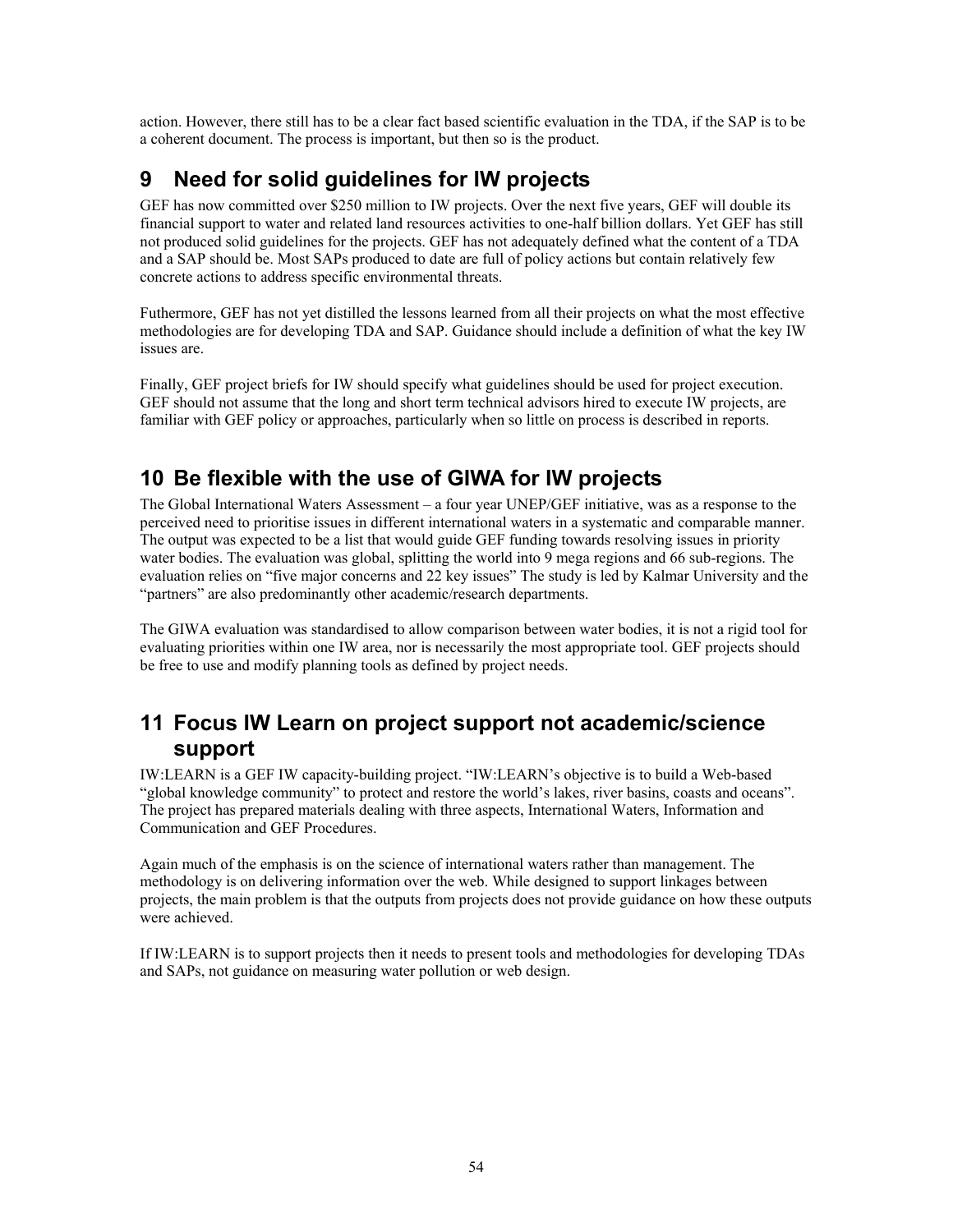action. However, there still has to be a clear fact based scientific evaluation in the TDA, if the SAP is to be a coherent document. The process is important, but then so is the product.

# **9 Need for solid guidelines for IW projects**

GEF has now committed over \$250 million to IW projects. Over the next five years, GEF will double its financial support to water and related land resources activities to one-half billion dollars. Yet GEF has still not produced solid guidelines for the projects. GEF has not adequately defined what the content of a TDA and a SAP should be. Most SAPs produced to date are full of policy actions but contain relatively few concrete actions to address specific environmental threats.

Futhermore, GEF has not yet distilled the lessons learned from all their projects on what the most effective methodologies are for developing TDA and SAP. Guidance should include a definition of what the key IW issues are.

Finally, GEF project briefs for IW should specify what guidelines should be used for project execution. GEF should not assume that the long and short term technical advisors hired to execute IW projects, are familiar with GEF policy or approaches, particularly when so little on process is described in reports.

# **10 Be flexible with the use of GIWA for IW projects**

The Global International Waters Assessment – a four year UNEP/GEF initiative, was as a response to the perceived need to prioritise issues in different international waters in a systematic and comparable manner. The output was expected to be a list that would guide GEF funding towards resolving issues in priority water bodies. The evaluation was global, splitting the world into 9 mega regions and 66 sub-regions. The evaluation relies on "five major concerns and 22 key issues" The study is led by Kalmar University and the "partners" are also predominantly other academic/research departments.

The GIWA evaluation was standardised to allow comparison between water bodies, it is not a rigid tool for evaluating priorities within one IW area, nor is necessarily the most appropriate tool. GEF projects should be free to use and modify planning tools as defined by project needs.

# **11 Focus IW Learn on project support not academic/science support**

IW:LEARN is a GEF IW capacity-building project. "IW:LEARN's objective is to build a Web-based "global knowledge community" to protect and restore the world's lakes, river basins, coasts and oceans". The project has prepared materials dealing with three aspects, International Waters, Information and Communication and GEF Procedures.

Again much of the emphasis is on the science of international waters rather than management. The methodology is on delivering information over the web. While designed to support linkages between projects, the main problem is that the outputs from projects does not provide guidance on how these outputs were achieved.

If IW:LEARN is to support projects then it needs to present tools and methodologies for developing TDAs and SAPs, not guidance on measuring water pollution or web design.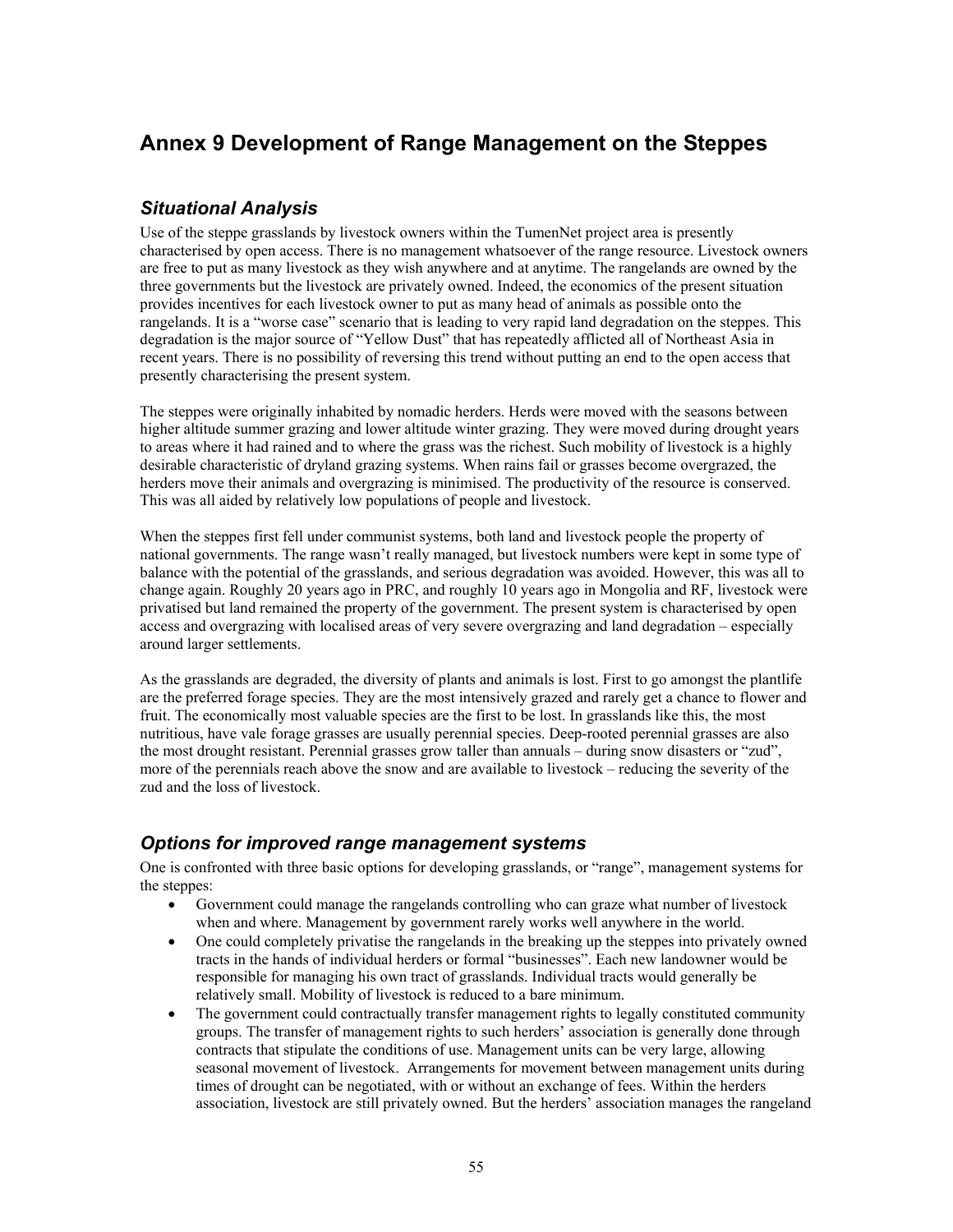# **Annex 9 Development of Range Management on the Steppes**

## *Situational Analysis*

Use of the steppe grasslands by livestock owners within the TumenNet project area is presently characterised by open access. There is no management whatsoever of the range resource. Livestock owners are free to put as many livestock as they wish anywhere and at anytime. The rangelands are owned by the three governments but the livestock are privately owned. Indeed, the economics of the present situation provides incentives for each livestock owner to put as many head of animals as possible onto the rangelands. It is a "worse case" scenario that is leading to very rapid land degradation on the steppes. This degradation is the major source of "Yellow Dust" that has repeatedly afflicted all of Northeast Asia in recent years. There is no possibility of reversing this trend without putting an end to the open access that presently characterising the present system.

The steppes were originally inhabited by nomadic herders. Herds were moved with the seasons between higher altitude summer grazing and lower altitude winter grazing. They were moved during drought years to areas where it had rained and to where the grass was the richest. Such mobility of livestock is a highly desirable characteristic of dryland grazing systems. When rains fail or grasses become overgrazed, the herders move their animals and overgrazing is minimised. The productivity of the resource is conserved. This was all aided by relatively low populations of people and livestock.

When the steppes first fell under communist systems, both land and livestock people the property of national governments. The range wasn't really managed, but livestock numbers were kept in some type of balance with the potential of the grasslands, and serious degradation was avoided. However, this was all to change again. Roughly 20 years ago in PRC, and roughly 10 years ago in Mongolia and RF, livestock were privatised but land remained the property of the government. The present system is characterised by open access and overgrazing with localised areas of very severe overgrazing and land degradation – especially around larger settlements.

As the grasslands are degraded, the diversity of plants and animals is lost. First to go amongst the plantlife are the preferred forage species. They are the most intensively grazed and rarely get a chance to flower and fruit. The economically most valuable species are the first to be lost. In grasslands like this, the most nutritious, have vale forage grasses are usually perennial species. Deep-rooted perennial grasses are also the most drought resistant. Perennial grasses grow taller than annuals – during snow disasters or "zud", more of the perennials reach above the snow and are available to livestock – reducing the severity of the zud and the loss of livestock.

### *Options for improved range management systems*

One is confronted with three basic options for developing grasslands, or "range", management systems for the steppes:

- Government could manage the rangelands controlling who can graze what number of livestock when and where. Management by government rarely works well anywhere in the world.
- One could completely privatise the rangelands in the breaking up the steppes into privately owned tracts in the hands of individual herders or formal "businesses". Each new landowner would be responsible for managing his own tract of grasslands. Individual tracts would generally be relatively small. Mobility of livestock is reduced to a bare minimum.
- The government could contractually transfer management rights to legally constituted community groups. The transfer of management rights to such herders' association is generally done through contracts that stipulate the conditions of use. Management units can be very large, allowing seasonal movement of livestock. Arrangements for movement between management units during times of drought can be negotiated, with or without an exchange of fees. Within the herders association, livestock are still privately owned. But the herders' association manages the rangeland